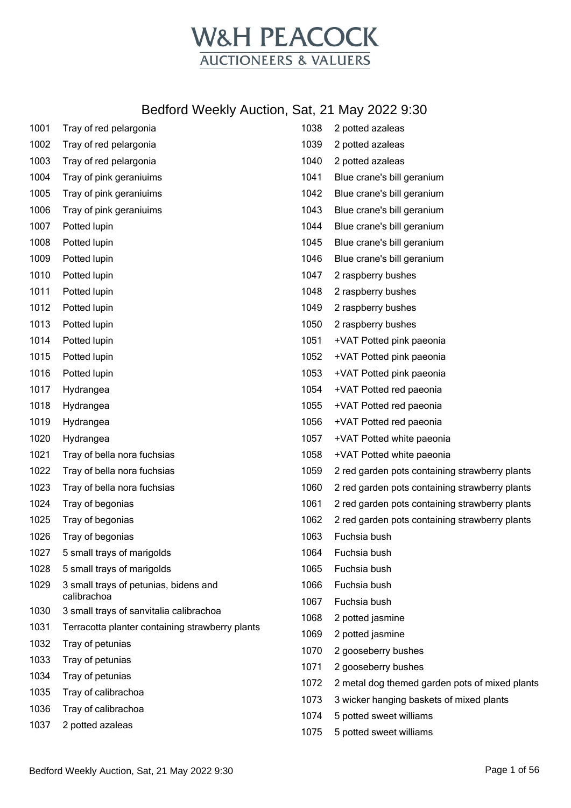

| 1001 | Tray of red pelargonia                               | 1038 | 2 potted azaleas                               |
|------|------------------------------------------------------|------|------------------------------------------------|
| 1002 | Tray of red pelargonia                               | 1039 | 2 potted azaleas                               |
| 1003 | Tray of red pelargonia                               | 1040 | 2 potted azaleas                               |
| 1004 | Tray of pink geraniuims                              | 1041 | Blue crane's bill geranium                     |
| 1005 | Tray of pink geraniuims                              | 1042 | Blue crane's bill geranium                     |
| 1006 | Tray of pink geraniuims                              | 1043 | Blue crane's bill geranium                     |
| 1007 | Potted lupin                                         | 1044 | Blue crane's bill geranium                     |
| 1008 | Potted lupin                                         | 1045 | Blue crane's bill geranium                     |
| 1009 | Potted lupin                                         | 1046 | Blue crane's bill geranium                     |
| 1010 | Potted lupin                                         | 1047 | 2 raspberry bushes                             |
| 1011 | Potted lupin                                         | 1048 | 2 raspberry bushes                             |
| 1012 | Potted lupin                                         | 1049 | 2 raspberry bushes                             |
| 1013 | Potted lupin                                         | 1050 | 2 raspberry bushes                             |
| 1014 | Potted lupin                                         | 1051 | +VAT Potted pink paeonia                       |
| 1015 | Potted lupin                                         | 1052 | +VAT Potted pink paeonia                       |
| 1016 | Potted lupin                                         | 1053 | +VAT Potted pink paeonia                       |
| 1017 | Hydrangea                                            | 1054 | +VAT Potted red paeonia                        |
| 1018 | Hydrangea                                            | 1055 | +VAT Potted red paeonia                        |
| 1019 | Hydrangea                                            | 1056 | +VAT Potted red paeonia                        |
| 1020 | Hydrangea                                            | 1057 | +VAT Potted white paeonia                      |
| 1021 | Tray of bella nora fuchsias                          | 1058 | +VAT Potted white paeonia                      |
| 1022 | Tray of bella nora fuchsias                          | 1059 | 2 red garden pots containing strawberry plants |
| 1023 | Tray of bella nora fuchsias                          | 1060 | 2 red garden pots containing strawberry plants |
| 1024 | Tray of begonias                                     | 1061 | 2 red garden pots containing strawberry plants |
| 1025 | Tray of begonias                                     | 1062 | 2 red garden pots containing strawberry plants |
| 1026 | Tray of begonias                                     | 1063 | Fuchsia bush                                   |
| 1027 | 5 small trays of marigolds                           | 1064 | Fuchsia bush                                   |
| 1028 | 5 small trays of marigolds                           | 1065 | Fuchsia bush                                   |
| 1029 | 3 small trays of petunias, bidens and<br>calibrachoa | 1066 | Fuchsia bush                                   |
| 1030 | 3 small trays of sanvitalia calibrachoa              | 1067 | Fuchsia bush                                   |
| 1031 | Terracotta planter containing strawberry plants      | 1068 | 2 potted jasmine                               |
| 1032 | Tray of petunias                                     | 1069 | 2 potted jasmine                               |
| 1033 | Tray of petunias                                     | 1070 | 2 gooseberry bushes                            |
| 1034 | Tray of petunias                                     | 1071 | 2 gooseberry bushes                            |
| 1035 | Tray of calibrachoa                                  | 1072 | 2 metal dog themed garden pots of mixed plants |
| 1036 | Tray of calibrachoa                                  | 1073 | 3 wicker hanging baskets of mixed plants       |
| 1037 | 2 potted azaleas                                     | 1074 | 5 potted sweet williams                        |
|      |                                                      | 1075 | 5 potted sweet williams                        |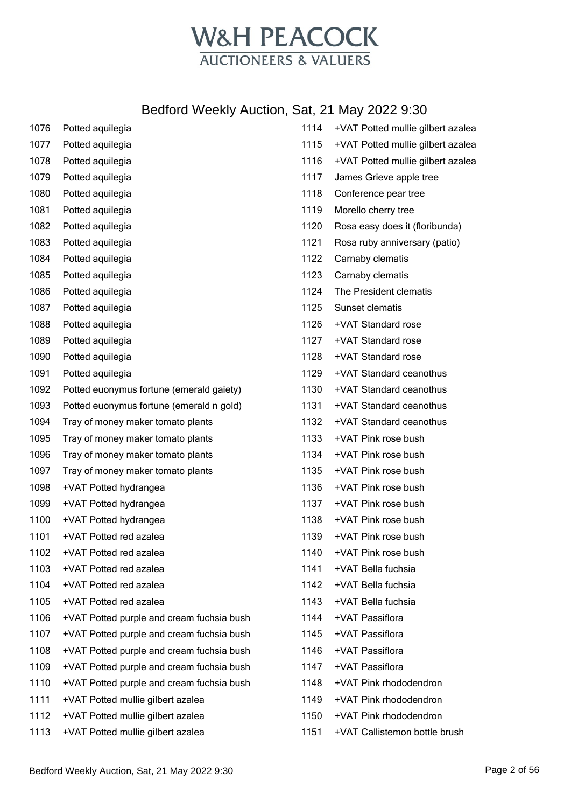

| 1076 | Potted aquilegia                          | 1114  | +VAT Potted mullie gilbert azalea |
|------|-------------------------------------------|-------|-----------------------------------|
| 1077 | Potted aquilegia                          | 1115  | +VAT Potted mullie gilbert azalea |
| 1078 | Potted aquilegia                          | 1116  | +VAT Potted mullie gilbert azalea |
| 1079 | Potted aquilegia                          | 1117  | James Grieve apple tree           |
| 1080 | Potted aquilegia                          | 1118  | Conference pear tree              |
| 1081 | Potted aquilegia                          | 1119  | Morello cherry tree               |
| 1082 | Potted aquilegia                          | 1120  | Rosa easy does it (floribunda)    |
| 1083 | Potted aquilegia                          | 1121  | Rosa ruby anniversary (patio)     |
| 1084 | Potted aquilegia                          | 1122  | Carnaby clematis                  |
| 1085 | Potted aquilegia                          | 1123  | Carnaby clematis                  |
| 1086 | Potted aquilegia                          | 1124  | The President clematis            |
| 1087 | Potted aquilegia                          | 1125  | Sunset clematis                   |
| 1088 | Potted aquilegia                          | 1126  | +VAT Standard rose                |
| 1089 | Potted aquilegia                          | 1127  | +VAT Standard rose                |
| 1090 | Potted aquilegia                          | 1128  | +VAT Standard rose                |
| 1091 | Potted aquilegia                          | 1129  | +VAT Standard ceanothus           |
| 1092 | Potted euonymus fortune (emerald gaiety)  | 1130  | +VAT Standard ceanothus           |
| 1093 | Potted euonymus fortune (emerald n gold)  | 1131  | +VAT Standard ceanothus           |
| 1094 | Tray of money maker tomato plants         | 1132  | +VAT Standard ceanothus           |
| 1095 | Tray of money maker tomato plants         | 1133  | +VAT Pink rose bush               |
| 1096 | Tray of money maker tomato plants         | 1134  | +VAT Pink rose bush               |
| 1097 | Tray of money maker tomato plants         | 1135  | +VAT Pink rose bush               |
| 1098 | +VAT Potted hydrangea                     | 1136  | +VAT Pink rose bush               |
| 1099 | +VAT Potted hydrangea                     | 1137  | +VAT Pink rose bush               |
| 1100 | +VAT Potted hydrangea                     | 1138  | +VAT Pink rose bush               |
| 1101 | +VAT Potted red azalea                    | 1139  | +VAT Pink rose bush               |
| 1102 | +VAT Potted red azalea                    | 1140. | +VAT Pink rose bush               |
| 1103 | +VAT Potted red azalea                    | 1141  | +VAT Bella fuchsia                |
| 1104 | +VAT Potted red azalea                    | 1142  | +VAT Bella fuchsia                |
| 1105 | +VAT Potted red azalea                    | 1143  | +VAT Bella fuchsia                |
| 1106 | +VAT Potted purple and cream fuchsia bush | 1144  | +VAT Passiflora                   |
| 1107 | +VAT Potted purple and cream fuchsia bush | 1145  | +VAT Passiflora                   |
| 1108 | +VAT Potted purple and cream fuchsia bush | 1146  | +VAT Passiflora                   |
| 1109 | +VAT Potted purple and cream fuchsia bush | 1147  | +VAT Passiflora                   |
| 1110 | +VAT Potted purple and cream fuchsia bush | 1148  | +VAT Pink rhododendron            |
| 1111 | +VAT Potted mullie gilbert azalea         | 1149  | +VAT Pink rhododendron            |
| 1112 | +VAT Potted mullie gilbert azalea         | 1150  | +VAT Pink rhododendron            |
| 1113 | +VAT Potted mullie gilbert azalea         | 1151  | +VAT Callistemon bottle brush     |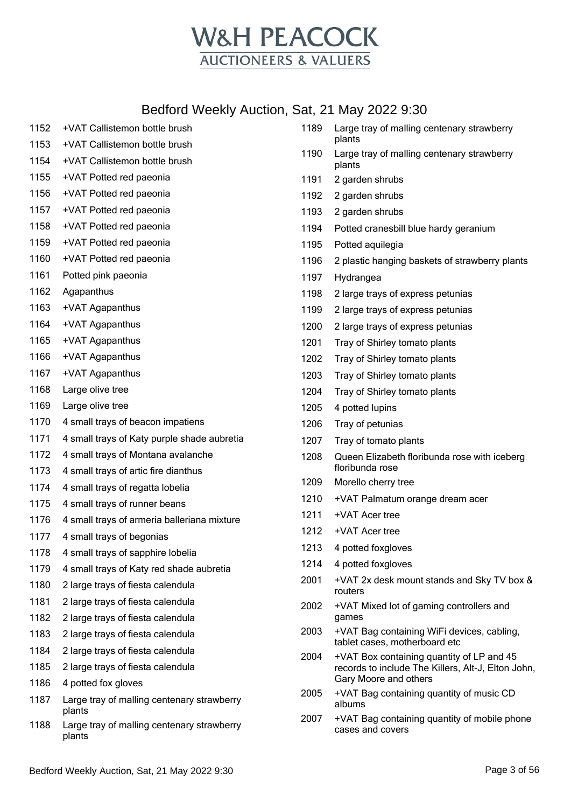

| 1152 | +VAT Callistemon bottle brush                        | 1189 | Large tray of malling centenary strawberry                                  |
|------|------------------------------------------------------|------|-----------------------------------------------------------------------------|
| 1153 | +VAT Callistemon bottle brush                        |      | plants                                                                      |
| 1154 | +VAT Callistemon bottle brush                        | 1190 | Large tray of malling centenary strawberry<br>plants                        |
| 1155 | +VAT Potted red paeonia                              | 1191 | 2 garden shrubs                                                             |
| 1156 | +VAT Potted red paeonia                              | 1192 | 2 garden shrubs                                                             |
| 1157 | +VAT Potted red paeonia                              | 1193 | 2 garden shrubs                                                             |
| 1158 | +VAT Potted red paeonia                              | 1194 | Potted cranesbill blue hardy geranium                                       |
| 1159 | +VAT Potted red paeonia                              | 1195 | Potted aquilegia                                                            |
| 1160 | +VAT Potted red paeonia                              | 1196 | 2 plastic hanging baskets of strawberry plants                              |
| 1161 | Potted pink paeonia                                  | 1197 | Hydrangea                                                                   |
| 1162 | Agapanthus                                           | 1198 | 2 large trays of express petunias                                           |
| 1163 | +VAT Agapanthus                                      | 1199 | 2 large trays of express petunias                                           |
| 1164 | +VAT Agapanthus                                      | 1200 | 2 large trays of express petunias                                           |
| 1165 | +VAT Agapanthus                                      | 1201 | Tray of Shirley tomato plants                                               |
| 1166 | +VAT Agapanthus                                      | 1202 | Tray of Shirley tomato plants                                               |
| 1167 | +VAT Agapanthus                                      | 1203 | Tray of Shirley tomato plants                                               |
| 1168 | Large olive tree                                     | 1204 | Tray of Shirley tomato plants                                               |
| 1169 | Large olive tree                                     | 1205 | 4 potted lupins                                                             |
| 1170 | 4 small trays of beacon impatiens                    | 1206 | Tray of petunias                                                            |
| 1171 | 4 small trays of Katy purple shade aubretia          | 1207 | Tray of tomato plants                                                       |
| 1172 | 4 small trays of Montana avalanche                   | 1208 | Queen Elizabeth floribunda rose with iceberg                                |
| 1173 | 4 small trays of artic fire dianthus                 |      | floribunda rose                                                             |
| 1174 | 4 small trays of regatta lobelia                     | 1209 | Morello cherry tree                                                         |
| 1175 | 4 small trays of runner beans                        | 1210 | +VAT Palmatum orange dream acer                                             |
| 1176 | 4 small trays of armeria balleriana mixture          | 1211 | +VAT Acer tree                                                              |
| 1177 | 4 small trays of begonias                            | 1212 | +VAT Acer tree                                                              |
| 1178 | 4 small trays of sapphire lobelia                    | 1213 | 4 potted foxgloves                                                          |
| 1179 | 4 small trays of Katy red shade aubretia             | 1214 | 4 potted foxgloves                                                          |
| 1180 | 2 large trays of fiesta calendula                    | 2001 | +VAT 2x desk mount stands and Sky TV box &<br>routers                       |
| 1181 | 2 large trays of fiesta calendula                    | 2002 | +VAT Mixed lot of gaming controllers and                                    |
| 1182 | 2 large trays of fiesta calendula                    |      | games                                                                       |
| 1183 | 2 large trays of fiesta calendula                    | 2003 | +VAT Bag containing WiFi devices, cabling,<br>tablet cases, motherboard etc |
| 1184 | 2 large trays of fiesta calendula                    | 2004 | +VAT Box containing quantity of LP and 45                                   |
| 1185 | 2 large trays of fiesta calendula                    |      | records to include The Killers, Alt-J, Elton John,                          |
| 1186 | 4 potted fox gloves                                  | 2005 | Gary Moore and others<br>+VAT Bag containing quantity of music CD           |
| 1187 | Large tray of malling centenary strawberry<br>plants |      | albums                                                                      |
| 1188 | Large tray of malling centenary strawberry<br>plants | 2007 | +VAT Bag containing quantity of mobile phone<br>cases and covers            |
|      |                                                      |      |                                                                             |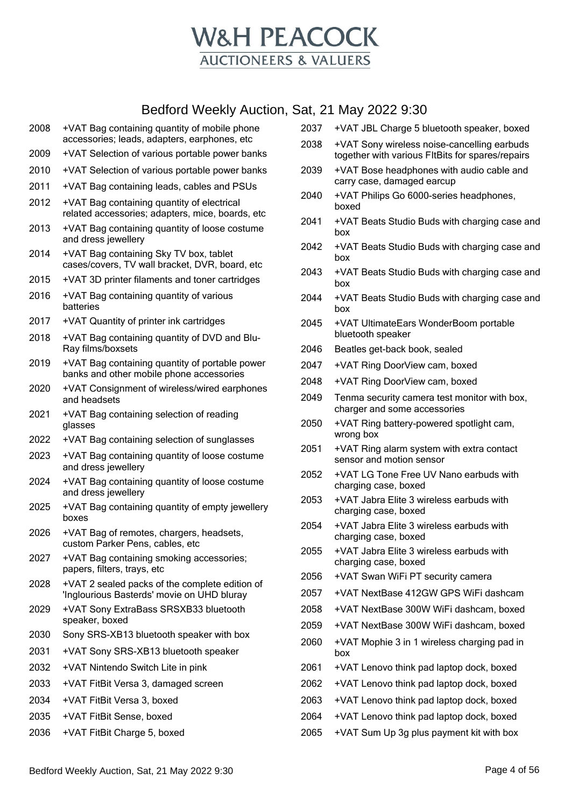

- +VAT Bag containing quantity of mobile phone accessories; leads, adapters, earphones, etc
- +VAT Selection of various portable power banks
- +VAT Selection of various portable power banks
- +VAT Bag containing leads, cables and PSUs
- +VAT Bag containing quantity of electrical related accessories; adapters, mice, boards, etc
- +VAT Bag containing quantity of loose costume and dress jewellery
- +VAT Bag containing Sky TV box, tablet cases/covers, TV wall bracket, DVR, board, etc
- +VAT 3D printer filaments and toner cartridges
- +VAT Bag containing quantity of various batteries
- +VAT Quantity of printer ink cartridges
- +VAT Bag containing quantity of DVD and Blu-Ray films/boxsets
- +VAT Bag containing quantity of portable power banks and other mobile phone accessories
- +VAT Consignment of wireless/wired earphones and headsets
- +VAT Bag containing selection of reading glasses
- +VAT Bag containing selection of sunglasses
- +VAT Bag containing quantity of loose costume and dress jewellery
- +VAT Bag containing quantity of loose costume and dress jewellery
- +VAT Bag containing quantity of empty jewellery boxes
- +VAT Bag of remotes, chargers, headsets, custom Parker Pens, cables, etc
- +VAT Bag containing smoking accessories; papers, filters, trays, etc
- +VAT 2 sealed packs of the complete edition of 'Inglourious Basterds' movie on UHD bluray
- +VAT Sony ExtraBass SRSXB33 bluetooth speaker, boxed
- Sony SRS-XB13 bluetooth speaker with box
- +VAT Sony SRS-XB13 bluetooth speaker
- +VAT Nintendo Switch Lite in pink
- +VAT FitBit Versa 3, damaged screen
- +VAT FitBit Versa 3, boxed
- +VAT FitBit Sense, boxed
- +VAT FitBit Charge 5, boxed
- +VAT JBL Charge 5 bluetooth speaker, boxed
- +VAT Sony wireless noise-cancelling earbuds together with various FItBits for spares/repairs
- +VAT Bose headphones with audio cable and carry case, damaged earcup
- +VAT Philips Go 6000-series headphones, boxed
- +VAT Beats Studio Buds with charging case and box
- +VAT Beats Studio Buds with charging case and box
- +VAT Beats Studio Buds with charging case and box
- +VAT Beats Studio Buds with charging case and box
- +VAT UltimateEars WonderBoom portable bluetooth speaker
- Beatles get-back book, sealed
- +VAT Ring DoorView cam, boxed
- +VAT Ring DoorView cam, boxed
- Tenma security camera test monitor with box, charger and some accessories
- +VAT Ring battery-powered spotlight cam, wrong box
- +VAT Ring alarm system with extra contact sensor and motion sensor
- +VAT LG Tone Free UV Nano earbuds with charging case, boxed
- +VAT Jabra Elite 3 wireless earbuds with charging case, boxed
- +VAT Jabra Elite 3 wireless earbuds with charging case, boxed
- +VAT Jabra Elite 3 wireless earbuds with charging case, boxed
- +VAT Swan WiFi PT security camera
- +VAT NextBase 412GW GPS WiFi dashcam
- +VAT NextBase 300W WiFi dashcam, boxed
- +VAT NextBase 300W WiFi dashcam, boxed
- +VAT Mophie 3 in 1 wireless charging pad in box
- +VAT Lenovo think pad laptop dock, boxed
- +VAT Lenovo think pad laptop dock, boxed
- +VAT Lenovo think pad laptop dock, boxed
- +VAT Lenovo think pad laptop dock, boxed
- +VAT Sum Up 3g plus payment kit with box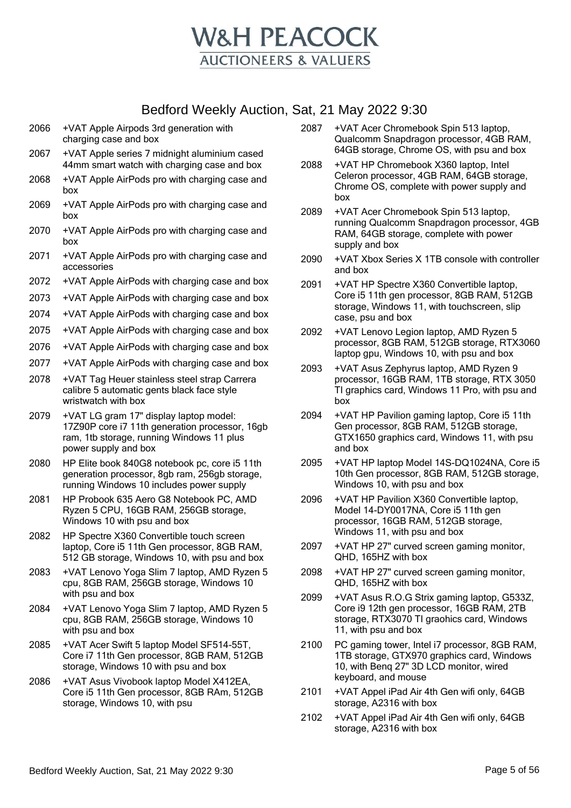

- 2066 +VAT Apple Airpods 3rd generation with charging case and box
- 2067 +VAT Apple series 7 midnight aluminium cased 44mm smart watch with charging case and box
- 2068 +VAT Apple AirPods pro with charging case and box
- 2069 +VAT Apple AirPods pro with charging case and box
- 2070 +VAT Apple AirPods pro with charging case and box
- 2071 +VAT Apple AirPods pro with charging case and accessories
- 2072 +VAT Apple AirPods with charging case and box
- 2073 +VAT Apple AirPods with charging case and box
- 2074 +VAT Apple AirPods with charging case and box
- 2075 +VAT Apple AirPods with charging case and box
- 2076 +VAT Apple AirPods with charging case and box
- 2077 +VAT Apple AirPods with charging case and box
- 2078 +VAT Tag Heuer stainless steel strap Carrera calibre 5 automatic gents black face style wristwatch with box
- 2079 +VAT LG gram 17" display laptop model: 17Z90P core i7 11th generation processor, 16gb ram, 1tb storage, running Windows 11 plus power supply and box
- 2080 HP Elite book 840G8 notebook pc, core i5 11th generation processor, 8gb ram, 256gb storage, running Windows 10 includes power supply
- 2081 HP Probook 635 Aero G8 Notebook PC, AMD Ryzen 5 CPU, 16GB RAM, 256GB storage, Windows 10 with psu and box
- 2082 HP Spectre X360 Convertible touch screen laptop, Core i5 11th Gen processor, 8GB RAM, 512 GB storage, Windows 10, with psu and box
- 2083 +VAT Lenovo Yoga Slim 7 laptop, AMD Ryzen 5 cpu, 8GB RAM, 256GB storage, Windows 10 with psu and box
- 2084 +VAT Lenovo Yoga Slim 7 laptop, AMD Ryzen 5 cpu, 8GB RAM, 256GB storage, Windows 10 with psu and box
- 2085 +VAT Acer Swift 5 laptop Model SF514-55T, Core i7 11th Gen processor, 8GB RAM, 512GB storage, Windows 10 with psu and box
- 2086 +VAT Asus Vivobook laptop Model X412EA, Core i5 11th Gen processor, 8GB RAm, 512GB storage, Windows 10, with psu
- 2087 +VAT Acer Chromebook Spin 513 laptop, Qualcomm Snapdragon processor, 4GB RAM, 64GB storage, Chrome OS, with psu and box
- 2088 +VAT HP Chromebook X360 laptop, Intel Celeron processor, 4GB RAM, 64GB storage, Chrome OS, complete with power supply and box
- 2089 +VAT Acer Chromebook Spin 513 laptop, running Qualcomm Snapdragon processor, 4GB RAM, 64GB storage, complete with power supply and box
- 2090 +VAT Xbox Series X 1TB console with controller and box
- 2091 +VAT HP Spectre X360 Convertible laptop, Core i5 11th gen processor, 8GB RAM, 512GB storage, Windows 11, with touchscreen, slip case, psu and box
- 2092 +VAT Lenovo Legion laptop, AMD Ryzen 5 processor, 8GB RAM, 512GB storage, RTX3060 laptop gpu, Windows 10, with psu and box
- 2093 +VAT Asus Zephyrus laptop, AMD Ryzen 9 processor, 16GB RAM, 1TB storage, RTX 3050 TI graphics card, Windows 11 Pro, with psu and box
- 2094 +VAT HP Pavilion gaming laptop, Core i5 11th Gen processor, 8GB RAM, 512GB storage, GTX1650 graphics card, Windows 11, with psu and box
- 2095 +VAT HP laptop Model 14S-DQ1024NA, Core i5 10th Gen processor, 8GB RAM, 512GB storage, Windows 10, with psu and box
- 2096 +VAT HP Pavilion X360 Convertible laptop, Model 14-DY0017NA, Core i5 11th gen processor, 16GB RAM, 512GB storage, Windows 11, with psu and box
- 2097 +VAT HP 27" curved screen gaming monitor, QHD, 165HZ with box
- 2098 +VAT HP 27" curved screen gaming monitor, QHD, 165HZ with box
- 2099 +VAT Asus R.O.G Strix gaming laptop, G533Z, Core i9 12th gen processor, 16GB RAM, 2TB storage, RTX3070 TI graohics card, Windows 11, with psu and box
- 2100 PC gaming tower, Intel i7 processor, 8GB RAM, 1TB storage, GTX970 graphics card, Windows 10, with Benq 27" 3D LCD monitor, wired keyboard, and mouse
- 2101 +VAT Appel iPad Air 4th Gen wifi only, 64GB storage, A2316 with box
- 2102 +VAT Appel iPad Air 4th Gen wifi only, 64GB storage, A2316 with box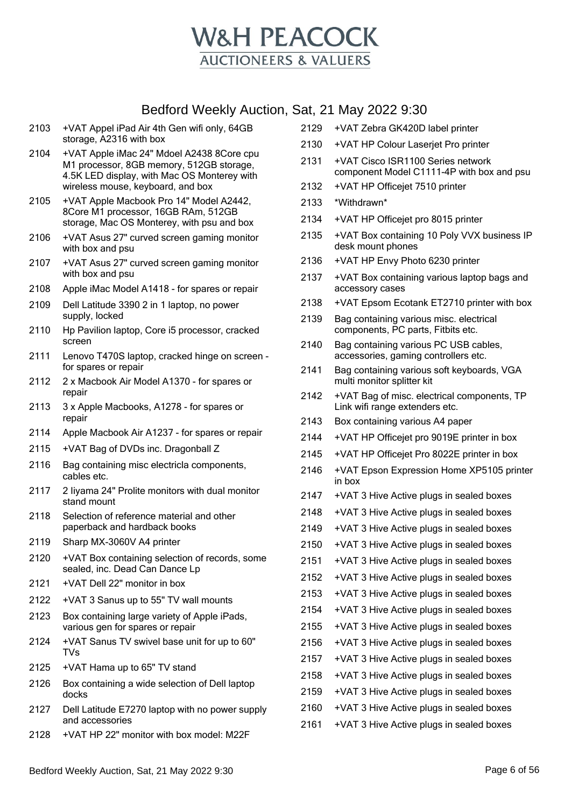

- +VAT Appel iPad Air 4th Gen wifi only, 64GB storage, A2316 with box
- +VAT Apple iMac 24" Mdoel A2438 8Core cpu M1 processor, 8GB memory, 512GB storage, 4.5K LED display, with Mac OS Monterey with wireless mouse, keyboard, and box
- +VAT Apple Macbook Pro 14" Model A2442, 8Core M1 processor, 16GB RAm, 512GB storage, Mac OS Monterey, with psu and box
- +VAT Asus 27" curved screen gaming monitor with box and psu
- +VAT Asus 27" curved screen gaming monitor with box and psu
- Apple iMac Model A1418 for spares or repair
- Dell Latitude 3390 2 in 1 laptop, no power supply, locked
- Hp Pavilion laptop, Core i5 processor, cracked screen
- Lenovo T470S laptop, cracked hinge on screen for spares or repair
- 2 x Macbook Air Model A1370 for spares or repair
- 3 x Apple Macbooks, A1278 for spares or repair
- Apple Macbook Air A1237 for spares or repair
- +VAT Bag of DVDs inc. Dragonball Z
- Bag containing misc electricla components, cables etc.
- 2 Iiyama 24" Prolite monitors with dual monitor stand mount
- Selection of reference material and other paperback and hardback books
- Sharp MX-3060V A4 printer
- +VAT Box containing selection of records, some sealed, inc. Dead Can Dance Lp
- +VAT Dell 22" monitor in box
- +VAT 3 Sanus up to 55" TV wall mounts
- 2123 Box containing large variety of Apple iPads, various gen for spares or repair
- +VAT Sanus TV swivel base unit for up to 60" TVs
- +VAT Hama up to 65" TV stand
- Box containing a wide selection of Dell laptop docks
- Dell Latitude E7270 laptop with no power supply and accessories
- +VAT HP 22" monitor with box model: M22F
- +VAT Zebra GK420D label printer
- +VAT HP Colour Laserjet Pro printer
- +VAT Cisco ISR1100 Series network component Model C1111-4P with box and psu
- +VAT HP Officejet 7510 printer
- \*Withdrawn\*
- +VAT HP Officejet pro 8015 printer
- +VAT Box containing 10 Poly VVX business IP desk mount phones
- +VAT HP Envy Photo 6230 printer
- +VAT Box containing various laptop bags and accessory cases
- +VAT Epsom Ecotank ET2710 printer with box
- Bag containing various misc. electrical components, PC parts, Fitbits etc.
- Bag containing various PC USB cables, accessories, gaming controllers etc.
- Bag containing various soft keyboards, VGA multi monitor splitter kit
- +VAT Bag of misc. electrical components, TP Link wifi range extenders etc.
- Box containing various A4 paper
- +VAT HP Officejet pro 9019E printer in box
- +VAT HP Officejet Pro 8022E printer in box
- +VAT Epson Expression Home XP5105 printer in box
- +VAT 3 Hive Active plugs in sealed boxes
- +VAT 3 Hive Active plugs in sealed boxes
- +VAT 3 Hive Active plugs in sealed boxes
- +VAT 3 Hive Active plugs in sealed boxes
- +VAT 3 Hive Active plugs in sealed boxes
- +VAT 3 Hive Active plugs in sealed boxes
- +VAT 3 Hive Active plugs in sealed boxes
- +VAT 3 Hive Active plugs in sealed boxes
- +VAT 3 Hive Active plugs in sealed boxes
- +VAT 3 Hive Active plugs in sealed boxes
- +VAT 3 Hive Active plugs in sealed boxes
- +VAT 3 Hive Active plugs in sealed boxes
- +VAT 3 Hive Active plugs in sealed boxes
- +VAT 3 Hive Active plugs in sealed boxes
- +VAT 3 Hive Active plugs in sealed boxes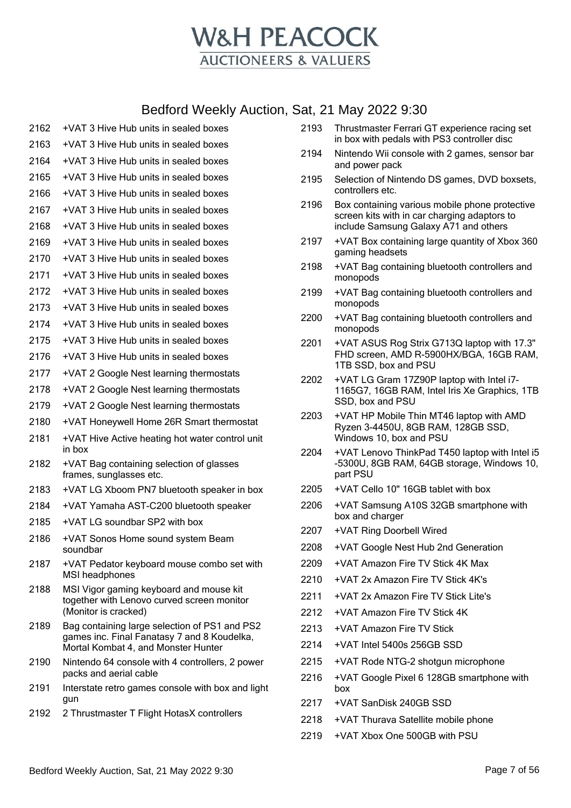

| 2162 | +VAT 3 Hive Hub units in sealed boxes                                                                                               |
|------|-------------------------------------------------------------------------------------------------------------------------------------|
| 2163 | +VAT 3 Hive Hub units in sealed boxes                                                                                               |
| 2164 | +VAT 3 Hive Hub units in sealed boxes                                                                                               |
| 2165 | +VAT 3 Hive Hub units in sealed boxes                                                                                               |
| 2166 | +VAT 3 Hive Hub units in sealed boxes                                                                                               |
| 2167 | +VAT 3 Hive Hub units in sealed boxes                                                                                               |
| 2168 | +VAT 3 Hive Hub units in sealed boxes                                                                                               |
| 2169 | +VAT 3 Hive Hub units in sealed boxes                                                                                               |
| 2170 | +VAT 3 Hive Hub units in sealed boxes                                                                                               |
| 2171 | +VAT 3 Hive Hub units in sealed boxes                                                                                               |
| 2172 | +VAT 3 Hive Hub units in sealed boxes                                                                                               |
| 2173 | +VAT 3 Hive Hub units in sealed boxes                                                                                               |
| 2174 | +VAT 3 Hive Hub units in sealed boxes                                                                                               |
| 2175 | +VAT 3 Hive Hub units in sealed boxes                                                                                               |
| 2176 | +VAT 3 Hive Hub units in sealed boxes                                                                                               |
| 2177 | +VAT 2 Google Nest learning thermostats                                                                                             |
| 2178 | +VAT 2 Google Nest learning thermostats                                                                                             |
| 2179 | +VAT 2 Google Nest learning thermostats                                                                                             |
| 2180 | +VAT Honeywell Home 26R Smart thermostat                                                                                            |
| 2181 | +VAT Hive Active heating hot water control unit<br>in box                                                                           |
| 2182 | +VAT Bag containing selection of glasses<br>frames, sunglasses etc.                                                                 |
| 2183 | +VAT LG Xboom PN7 bluetooth speaker in box                                                                                          |
| 2184 | +VAT Yamaha AST-C200 bluetooth speaker                                                                                              |
| 2185 | +VAT LG soundbar SP2 with box                                                                                                       |
| 2186 | +VAT Sonos Home sound system Beam<br>soundbar                                                                                       |
| 2187 | +VAT Pedator keyboard mouse combo set with<br>MSI headphones                                                                        |
| 2188 | MSI Vigor gaming keyboard and mouse kit<br>together with Lenovo curved screen monitor<br>(Monitor is cracked)                       |
| 2189 | Bag containing large selection of PS1 and PS2<br>games inc. Final Fanatasy 7 and 8 Koudelka,<br>Mortal Kombat 4, and Monster Hunter |
| 2190 | Nintendo 64 console with 4 controllers, 2 power<br>packs and aerial cable                                                           |
| 2191 | Interstate retro games console with box and light<br>gun                                                                            |
| 2192 | 2 Thrustmaster T Flight HotasX controllers                                                                                          |
|      |                                                                                                                                     |

- Thrustmaster Ferrari GT experience racing set in box with pedals with PS3 controller disc
- Nintendo Wii console with 2 games, sensor bar and power pack
- Selection of Nintendo DS games, DVD boxsets, controllers etc.
- Box containing various mobile phone protective screen kits with in car charging adaptors to include Samsung Galaxy A71 and others
- +VAT Box containing large quantity of Xbox 360 gaming headsets
- +VAT Bag containing bluetooth controllers and monopods
- +VAT Bag containing bluetooth controllers and monopods
- +VAT Bag containing bluetooth controllers and monopods
- +VAT ASUS Rog Strix G713Q laptop with 17.3" FHD screen, AMD R-5900HX/BGA, 16GB RAM, 1TB SSD, box and PSU
- +VAT LG Gram 17Z90P laptop with Intel i7- 1165G7, 16GB RAM, Intel Iris Xe Graphics, 1TB SSD, box and PSU
- +VAT HP Mobile Thin MT46 laptop with AMD Ryzen 3-4450U, 8GB RAM, 128GB SSD, Windows 10, box and PSU
- +VAT Lenovo ThinkPad T450 laptop with Intel i5 -5300U, 8GB RAM, 64GB storage, Windows 10, part PSU
- +VAT Cello 10" 16GB tablet with box
- +VAT Samsung A10S 32GB smartphone with box and charger
- +VAT Ring Doorbell Wired
- +VAT Google Nest Hub 2nd Generation
- +VAT Amazon Fire TV Stick 4K Max
- +VAT 2x Amazon Fire TV Stick 4K's
- 2211 +VAT 2x Amazon Fire TV Stick Lite's
- +VAT Amazon Fire TV Stick 4K
- +VAT Amazon Fire TV Stick
- +VAT Intel 5400s 256GB SSD
- +VAT Rode NTG-2 shotgun microphone
- +VAT Google Pixel 6 128GB smartphone with box
- +VAT SanDisk 240GB SSD
- +VAT Thurava Satellite mobile phone
- +VAT Xbox One 500GB with PSU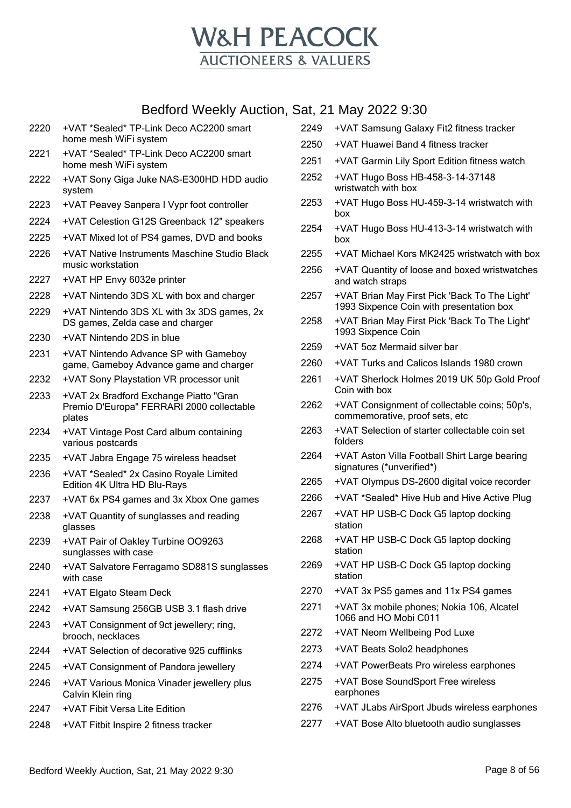

| 2220 | +VAT *Sealed* TP-Link Deco AC2200 smart<br>home mesh WiFi system                              |
|------|-----------------------------------------------------------------------------------------------|
| 2221 | +VAT *Sealed* TP-Link Deco AC2200 smart<br>home mesh WiFi system                              |
| 2222 | +VAT Sony Giga Juke NAS-E300HD HDD audio<br>system                                            |
| 2223 | +VAT Peavey Sanpera I Vypr foot controller                                                    |
| 2224 | +VAT Celestion G12S Greenback 12" speakers                                                    |
| 2225 | +VAT Mixed lot of PS4 games, DVD and books                                                    |
| 2226 | +VAT Native Instruments Maschine Studio Black<br>music workstation                            |
| 2227 | +VAT HP Envy 6032e printer                                                                    |
| 2228 | +VAT Nintendo 3DS XL with box and charger                                                     |
| 2229 | +VAT Nintendo 3DS XL with 3x 3DS games, 2x<br>DS games, Zelda case and charger                |
| 2230 | +VAT Nintendo 2DS in blue                                                                     |
| 2231 | +VAT Nintendo Advance SP with Gameboy<br>game, Gameboy Advance game and charger               |
| 2232 | +VAT Sony Playstation VR processor unit                                                       |
| 2233 | +VAT 2x Bradford Exchange Piatto "Gran<br>Premio D'Europa" FERRARI 2000 collectable<br>plates |
| 2234 | +VAT Vintage Post Card album containing<br>various postcards                                  |
| 2235 | +VAT Jabra Engage 75 wireless headset                                                         |
| 2236 | +VAT *Sealed* 2x Casino Royale Limited<br>Edition 4K Ultra HD Blu-Rays                        |
| 2237 | +VAT 6x PS4 games and 3x Xbox One games                                                       |
| 2238 | +VAT Quantity of sunglasses and reading<br>glasses                                            |
| 2239 | +VAT Pair of Oakley Turbine OO9263<br>sunglasses with case                                    |
| 2240 | +VAT Salvatore Ferragamo SD881S sunglasses<br>with case                                       |
| 2241 | +VAT Elgato Steam Deck                                                                        |
| 2242 | +VAT Samsung 256GB USB 3.1 flash drive                                                        |
| 2243 | +VAT Consignment of 9ct jewellery; ring,<br>brooch, necklaces                                 |
| 2244 | +VAT Selection of decorative 925 cufflinks                                                    |
| 2245 | +VAT Consignment of Pandora jewellery                                                         |
| 2246 | +VAT Various Monica Vinader jewellery plus<br>Calvin Klein ring                               |
| 2247 | +VAT Fibit Versa Lite Edition                                                                 |
| 2248 | +VAT Fitbit Inspire 2 fitness tracker                                                         |

|      | al, 21 May 2022 9.30                                                                      |
|------|-------------------------------------------------------------------------------------------|
| 2249 | +VAT Samsung Galaxy Fit2 fitness tracker                                                  |
| 2250 | +VAT Huawei Band 4 fitness tracker                                                        |
| 2251 | +VAT Garmin Lily Sport Edition fitness watch                                              |
| 2252 | +VAT Hugo Boss HB-458-3-14-37148<br>wristwatch with box                                   |
| 2253 | +VAT Hugo Boss HU-459-3-14 wristwatch with<br>box                                         |
| 2254 | +VAT Hugo Boss HU-413-3-14 wristwatch with<br>box                                         |
| 2255 | +VAT Michael Kors MK2425 wristwatch with box                                              |
| 2256 | +VAT Quantity of loose and boxed wristwatches<br>and watch straps                         |
| 2257 | +VAT Brian May First Pick 'Back To The Light'<br>1993 Sixpence Coin with presentation box |
| 2258 | +VAT Brian May First Pick 'Back To The Light'<br>1993 Sixpence Coin                       |
| 2259 | +VAT 5oz Mermaid silver bar                                                               |
| 2260 | +VAT Turks and Calicos Islands 1980 crown                                                 |
| 2261 | +VAT Sherlock Holmes 2019 UK 50p Gold Proof<br>Coin with box                              |
| 2262 | +VAT Consignment of collectable coins; 50p's,<br>commemorative, proof sets, etc           |
| 2263 | +VAT Selection of starter collectable coin set<br>folders                                 |
| 2264 | +VAT Aston Villa Football Shirt Large bearing<br>signatures (*unverified*)                |
| 2265 | +VAT Olympus DS-2600 digital voice recorder                                               |
| 2266 | +VAT *Sealed* Hive Hub and Hive Active Plug                                               |
| 2267 | +VAT HP USB-C Dock G5 laptop docking<br>station                                           |
| 2268 | +VAT HP USB-C Dock G5 laptop docking<br>station                                           |
| 2269 | +VAT HP USB-C Dock G5 laptop docking<br>station                                           |
| 2270 | +VAT 3x PS5 games and 11x PS4 games                                                       |
| 2271 | +VAT 3x mobile phones; Nokia 106, Alcatel<br>1066 and HO Mobi C011                        |
| 2272 | +VAT Neom Wellbeing Pod Luxe                                                              |
| 2273 | +VAT Beats Solo2 headphones                                                               |
| 2274 | +VAT PowerBeats Pro wireless earphones                                                    |
| 2275 | +VAT Bose SoundSport Free wireless<br>earphones                                           |

- +VAT JLabs AirSport Jbuds wireless earphones
- +VAT Bose Alto bluetooth audio sunglasses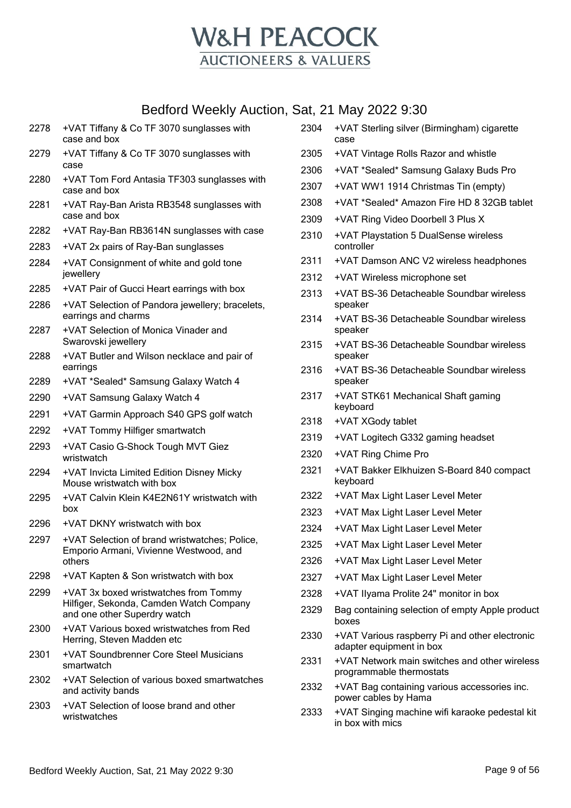

| 2278 | +VAT Tiffany & Co TF 3070 sunglasses with<br>case and box                               | 2304 | +VAT Sterling silver (Birmingham) cigarette<br>case                        |
|------|-----------------------------------------------------------------------------------------|------|----------------------------------------------------------------------------|
| 2279 | +VAT Tiffany & Co TF 3070 sunglasses with                                               | 2305 | +VAT Vintage Rolls Razor and whistle                                       |
|      | case                                                                                    | 2306 | +VAT *Sealed* Samsung Galaxy Buds Pro                                      |
| 2280 | +VAT Tom Ford Antasia TF303 sunglasses with<br>case and box                             | 2307 | +VAT WW1 1914 Christmas Tin (empty)                                        |
| 2281 | +VAT Ray-Ban Arista RB3548 sunglasses with                                              | 2308 | +VAT *Sealed* Amazon Fire HD 8 32GB tablet                                 |
|      | case and box                                                                            | 2309 | +VAT Ring Video Doorbell 3 Plus X                                          |
| 2282 | +VAT Ray-Ban RB3614N sunglasses with case                                               | 2310 | +VAT Playstation 5 DualSense wireless                                      |
| 2283 | +VAT 2x pairs of Ray-Ban sunglasses                                                     |      | controller                                                                 |
| 2284 | +VAT Consignment of white and gold tone<br>jewellery                                    | 2311 | +VAT Damson ANC V2 wireless headphones                                     |
| 2285 | +VAT Pair of Gucci Heart earrings with box                                              | 2312 | +VAT Wireless microphone set                                               |
| 2286 | +VAT Selection of Pandora jewellery; bracelets,                                         | 2313 | +VAT BS-36 Detacheable Soundbar wireless<br>speaker                        |
|      | earrings and charms                                                                     | 2314 | +VAT BS-36 Detacheable Soundbar wireless                                   |
| 2287 | +VAT Selection of Monica Vinader and                                                    |      | speaker                                                                    |
|      | Swarovski jewellery                                                                     | 2315 | +VAT BS-36 Detacheable Soundbar wireless                                   |
| 2288 | +VAT Butler and Wilson necklace and pair of<br>earrings                                 | 2316 | speaker<br>+VAT BS-36 Detacheable Soundbar wireless                        |
| 2289 | +VAT *Sealed* Samsung Galaxy Watch 4                                                    |      | speaker                                                                    |
| 2290 | +VAT Samsung Galaxy Watch 4                                                             | 2317 | +VAT STK61 Mechanical Shaft gaming                                         |
| 2291 | +VAT Garmin Approach S40 GPS golf watch                                                 | 2318 | keyboard                                                                   |
| 2292 | +VAT Tommy Hilfiger smartwatch                                                          | 2319 | +VAT XGody tablet                                                          |
| 2293 | +VAT Casio G-Shock Tough MVT Giez                                                       |      | +VAT Logitech G332 gaming headset                                          |
|      | wristwatch                                                                              | 2320 | +VAT Ring Chime Pro                                                        |
| 2294 | +VAT Invicta Limited Edition Disney Micky<br>Mouse wristwatch with box                  | 2321 | +VAT Bakker Elkhuizen S-Board 840 compact<br>keyboard                      |
| 2295 | +VAT Calvin Klein K4E2N61Y wristwatch with                                              | 2322 | +VAT Max Light Laser Level Meter                                           |
|      | box.                                                                                    | 2323 | +VAT Max Light Laser Level Meter                                           |
| 2296 | +VAT DKNY wristwatch with box                                                           | 2324 | +VAT Max Light Laser Level Meter                                           |
| 2297 | +VAT Selection of brand wristwatches; Police,<br>Emporio Armani, Vivienne Westwood, and | 2325 | +VAT Max Light Laser Level Meter                                           |
|      | others                                                                                  | 2326 | +VAT Max Light Laser Level Meter                                           |
| 2298 | +VAT Kapten & Son wristwatch with box                                                   | 2327 | +VAT Max Light Laser Level Meter                                           |
| 2299 | +VAT 3x boxed wristwatches from Tommy                                                   | 2328 | +VAT Ilyama Prolite 24" monitor in box                                     |
|      | Hilfiger, Sekonda, Camden Watch Company<br>and one other Superdry watch                 | 2329 | Bag containing selection of empty Apple product<br>boxes                   |
| 2300 | +VAT Various boxed wristwatches from Red<br>Herring, Steven Madden etc                  | 2330 | +VAT Various raspberry Pi and other electronic<br>adapter equipment in box |
| 2301 | +VAT Soundbrenner Core Steel Musicians<br>smartwatch                                    | 2331 | +VAT Network main switches and other wireless<br>programmable thermostats  |
| 2302 | +VAT Selection of various boxed smartwatches                                            | 2332 | +VAT Bag containing various accessories inc.                               |
|      | and activity bands                                                                      |      | power cables by Hama                                                       |
| 2303 | +VAT Selection of loose brand and other<br>wristwatches                                 | 2333 | +VAT Singing machine wifi karaoke pedestal kit<br>in box with mics         |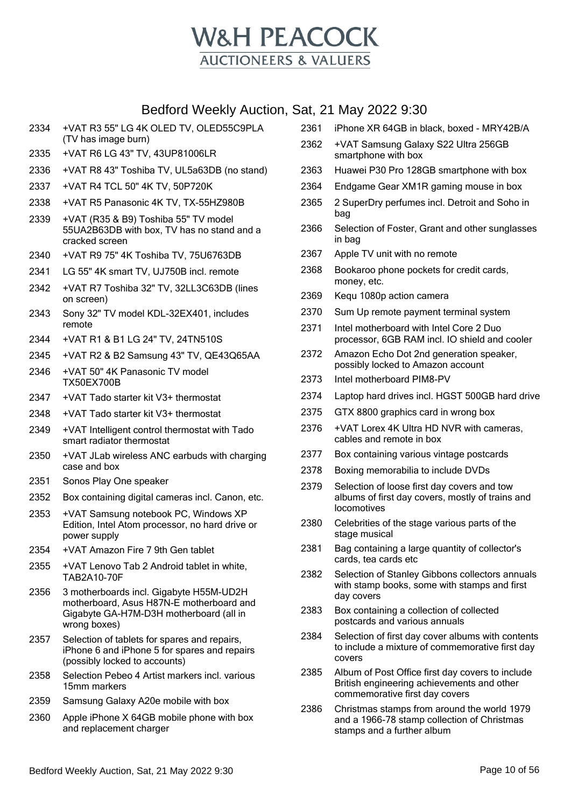

- 2334 +VAT R3 55" LG 4K OLED TV, OLED55C9PLA (TV has image burn)
- 2335 +VAT R6 LG 43" TV, 43UP81006LR
- 2336 +VAT R8 43" Toshiba TV, UL5a63DB (no stand)
- 2337 +VAT R4 TCL 50" 4K TV, 50P720K
- 2338 +VAT R5 Panasonic 4K TV, TX-55HZ980B
- 2339 +VAT (R35 & B9) Toshiba 55" TV model 55UA2B63DB with box, TV has no stand and a cracked screen
- 2340 +VAT R9 75" 4K Toshiba TV, 75U6763DB
- 2341 LG 55" 4K smart TV, UJ750B incl. remote
- 2342 +VAT R7 Toshiba 32" TV, 32LL3C63DB (lines on screen)
- 2343 Sony 32" TV model KDL-32EX401, includes remote
- 2344 +VAT R1 & B1 LG 24" TV, 24TN510S
- 2345 +VAT R2 & B2 Samsung 43" TV, QE43Q65AA
- 2346 +VAT 50" 4K Panasonic TV model TX50EX700B
- 2347 +VAT Tado starter kit V3+ thermostat
- 2348 +VAT Tado starter kit V3+ thermostat
- 2349 +VAT Intelligent control thermostat with Tado smart radiator thermostat
- 2350 +VAT JLab wireless ANC earbuds with charging case and box
- 2351 Sonos Play One speaker
- 2352 Box containing digital cameras incl. Canon, etc.
- 2353 +VAT Samsung notebook PC, Windows XP Edition, Intel Atom processor, no hard drive or power supply
- 2354 +VAT Amazon Fire 7 9th Gen tablet
- 2355 +VAT Lenovo Tab 2 Android tablet in white, TAB2A10-70F
- 2356 3 motherboards incl. Gigabyte H55M-UD2H motherboard, Asus H87N-E motherboard and Gigabyte GA-H7M-D3H motherboard (all in wrong boxes)
- 2357 Selection of tablets for spares and repairs, iPhone 6 and iPhone 5 for spares and repairs (possibly locked to accounts)
- 2358 Selection Pebeo 4 Artist markers incl. various 15mm markers
- 2359 Samsung Galaxy A20e mobile with box
- 2360 Apple iPhone X 64GB mobile phone with box and replacement charger
- 2361 iPhone XR 64GB in black, boxed MRY42B/A
- 2362 +VAT Samsung Galaxy S22 Ultra 256GB smartphone with box
- 2363 Huawei P30 Pro 128GB smartphone with box
- 2364 Endgame Gear XM1R gaming mouse in box
- 2365 2 SuperDry perfumes incl. Detroit and Soho in bag
- 2366 Selection of Foster, Grant and other sunglasses in bag
- 2367 Apple TV unit with no remote
- 2368 Bookaroo phone pockets for credit cards, money, etc.
- 2369 Kequ 1080p action camera
- 2370 Sum Up remote payment terminal system
- 2371 Intel motherboard with Intel Core 2 Duo processor, 6GB RAM incl. IO shield and cooler
- 2372 Amazon Echo Dot 2nd generation speaker, possibly locked to Amazon account
- 2373 Intel motherboard PIM8-PV
- 2374 Laptop hard drives incl. HGST 500GB hard drive
- 2375 GTX 8800 graphics card in wrong box
- 2376 +VAT Lorex 4K Ultra HD NVR with cameras, cables and remote in box
- 2377 Box containing various vintage postcards
- 2378 Boxing memorabilia to include DVDs
- 2379 Selection of loose first day covers and tow albums of first day covers, mostly of trains and locomotives
- 2380 Celebrities of the stage various parts of the stage musical
- 2381 Bag containing a large quantity of collector's cards, tea cards etc
- 2382 Selection of Stanley Gibbons collectors annuals with stamp books, some with stamps and first day covers
- 2383 Box containing a collection of collected postcards and various annuals
- 2384 Selection of first day cover albums with contents to include a mixture of commemorative first day covers
- 2385 Album of Post Office first day covers to include British engineering achievements and other commemorative first day covers
- 2386 Christmas stamps from around the world 1979 and a 1966-78 stamp collection of Christmas stamps and a further album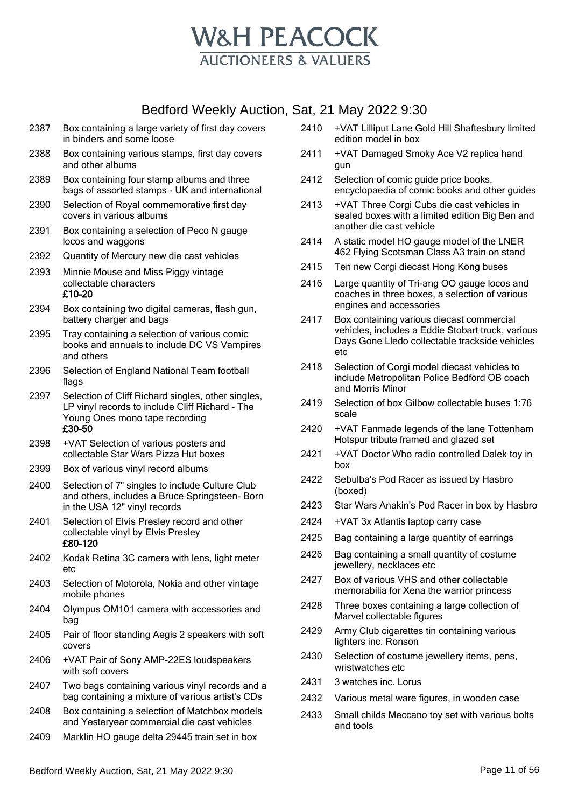

- 2387 Box containing a large variety of first day covers in binders and some loose
- 2388 Box containing various stamps, first day covers and other albums
- 2389 Box containing four stamp albums and three bags of assorted stamps - UK and international
- 2390 Selection of Royal commemorative first day covers in various albums
- 2391 Box containing a selection of Peco N gauge locos and waggons
- 2392 Quantity of Mercury new die cast vehicles
- 2393 Minnie Mouse and Miss Piggy vintage collectable characters £10-20
- 2394 Box containing two digital cameras, flash gun, battery charger and bags
- 2395 Tray containing a selection of various comic books and annuals to include DC VS Vampires and others
- 2396 Selection of England National Team football flags
- 2397 Selection of Cliff Richard singles, other singles, LP vinyl records to include Cliff Richard - The Young Ones mono tape recording £30-50
- 2398 +VAT Selection of various posters and collectable Star Wars Pizza Hut boxes
- 2399 Box of various vinyl record albums
- 2400 Selection of 7" singles to include Culture Club and others, includes a Bruce Springsteen- Born in the USA 12" vinyl records
- 2401 Selection of Elvis Presley record and other collectable vinyl by Elvis Presley £80-120
- 2402 Kodak Retina 3C camera with lens, light meter etc
- 2403 Selection of Motorola, Nokia and other vintage mobile phones
- 2404 Olympus OM101 camera with accessories and bag
- 2405 Pair of floor standing Aegis 2 speakers with soft covers
- 2406 +VAT Pair of Sony AMP-22ES loudspeakers with soft covers
- 2407 Two bags containing various vinyl records and a bag containing a mixture of various artist's CDs
- 2408 Box containing a selection of Matchbox models and Yesteryear commercial die cast vehicles
- 2409 Marklin HO gauge delta 29445 train set in box
- 2410 +VAT Lilliput Lane Gold Hill Shaftesbury limited edition model in box
- 2411 +VAT Damaged Smoky Ace V2 replica hand gun
- 2412 Selection of comic guide price books, encyclopaedia of comic books and other guides
- 2413 +VAT Three Corgi Cubs die cast vehicles in sealed boxes with a limited edition Big Ben and another die cast vehicle
- 2414 A static model HO gauge model of the LNER 462 Flying Scotsman Class A3 train on stand
- 2415 Ten new Corgi diecast Hong Kong buses
- 2416 Large quantity of Tri-ang OO gauge locos and coaches in three boxes, a selection of various engines and accessories
- 2417 Box containing various diecast commercial vehicles, includes a Eddie Stobart truck, various Days Gone Lledo collectable trackside vehicles etc
- 2418 Selection of Corgi model diecast vehicles to include Metropolitan Police Bedford OB coach and Morris Minor
- 2419 Selection of box Gilbow collectable buses 1:76 scale
- 2420 +VAT Fanmade legends of the lane Tottenham Hotspur tribute framed and glazed set
- 2421 +VAT Doctor Who radio controlled Dalek toy in box
- 2422 Sebulba's Pod Racer as issued by Hasbro (boxed)
- 2423 Star Wars Anakin's Pod Racer in box by Hasbro
- 2424 +VAT 3x Atlantis laptop carry case
- 2425 Bag containing a large quantity of earrings
- 2426 Bag containing a small quantity of costume jewellery, necklaces etc
- 2427 Box of various VHS and other collectable memorabilia for Xena the warrior princess
- 2428 Three boxes containing a large collection of Marvel collectable figures
- 2429 Army Club cigarettes tin containing various lighters inc. Ronson
- 2430 Selection of costume jewellery items, pens, wristwatches etc
- 2431 3 watches inc. Lorus
- 2432 Various metal ware figures, in wooden case
- 2433 Small childs Meccano toy set with various bolts and tools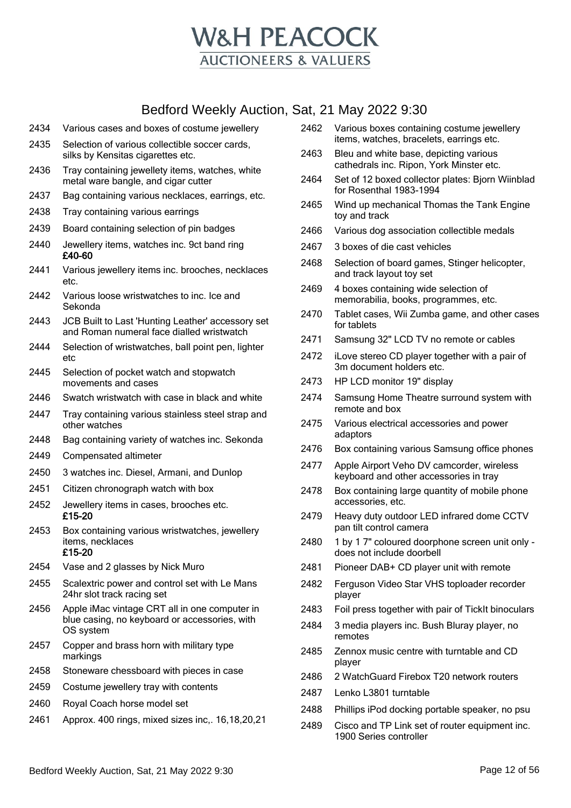

- Various cases and boxes of costume jewellery
- Selection of various collectible soccer cards, silks by Kensitas cigarettes etc.
- Tray containing jewellety items, watches, white metal ware bangle, and cigar cutter
- Bag containing various necklaces, earrings, etc.
- Tray containing various earrings
- Board containing selection of pin badges
- Jewellery items, watches inc. 9ct band ring £40-60
- Various jewellery items inc. brooches, necklaces etc.
- Various loose wristwatches to inc. Ice and Sekonda
- JCB Built to Last 'Hunting Leather' accessory set and Roman numeral face dialled wristwatch
- Selection of wristwatches, ball point pen, lighter etc
- Selection of pocket watch and stopwatch movements and cases
- Swatch wristwatch with case in black and white
- Tray containing various stainless steel strap and other watches
- Bag containing variety of watches inc. Sekonda
- Compensated altimeter
- 3 watches inc. Diesel, Armani, and Dunlop
- Citizen chronograph watch with box
- Jewellery items in cases, brooches etc. £15-20
- Box containing various wristwatches, jewellery items, necklaces £15-20
- Vase and 2 glasses by Nick Muro
- Scalextric power and control set with Le Mans 24hr slot track racing set
- Apple iMac vintage CRT all in one computer in blue casing, no keyboard or accessories, with OS system
- Copper and brass horn with military type markings
- Stoneware chessboard with pieces in case
- Costume jewellery tray with contents
- Royal Coach horse model set
- Approx. 400 rings, mixed sizes inc,. 16,18,20,21
- Various boxes containing costume jewellery items, watches, bracelets, earrings etc.
- Bleu and white base, depicting various cathedrals inc. Ripon, York Minster etc.
- Set of 12 boxed collector plates: Bjorn Wiinblad for Rosenthal 1983-1994
- Wind up mechanical Thomas the Tank Engine toy and track
- Various dog association collectible medals
- 3 boxes of die cast vehicles
- Selection of board games, Stinger helicopter, and track layout toy set
- 4 boxes containing wide selection of memorabilia, books, programmes, etc.
- Tablet cases, Wii Zumba game, and other cases for tablets
- Samsung 32" LCD TV no remote or cables
- iLove stereo CD player together with a pair of 3m document holders etc.
- HP LCD monitor 19" display
- Samsung Home Theatre surround system with remote and box
- Various electrical accessories and power adaptors
- Box containing various Samsung office phones
- Apple Airport Veho DV camcorder, wireless keyboard and other accessories in tray
- Box containing large quantity of mobile phone accessories, etc.
- Heavy duty outdoor LED infrared dome CCTV pan tilt control camera
- 1 by 1 7" coloured doorphone screen unit only does not include doorbell
- Pioneer DAB+ CD player unit with remote
- Ferguson Video Star VHS toploader recorder player
- Foil press together with pair of TickIt binoculars
- 3 media players inc. Bush Bluray player, no remotes
- Zennox music centre with turntable and CD player
- 2 WatchGuard Firebox T20 network routers
- Lenko L3801 turntable
- Phillips iPod docking portable speaker, no psu
- Cisco and TP Link set of router equipment inc. 1900 Series controller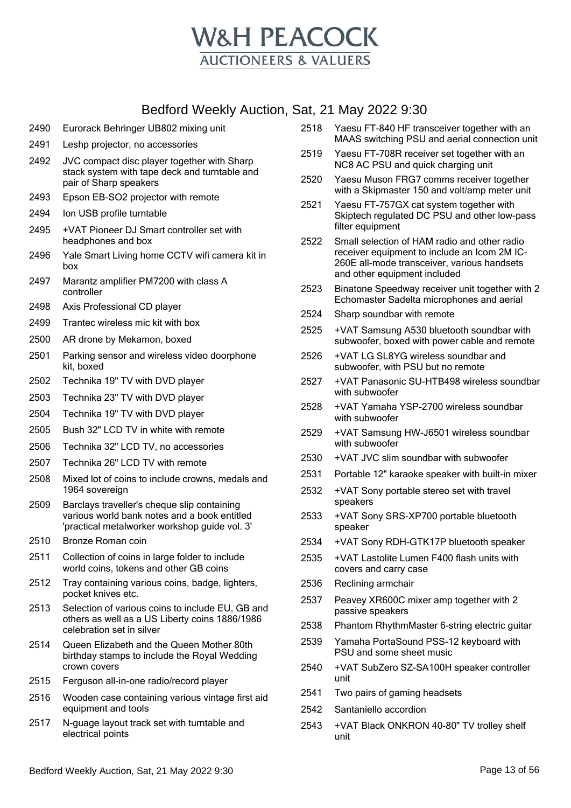

|      | Boardia Wooniy Addition, Ba                                                                                                                  |          |
|------|----------------------------------------------------------------------------------------------------------------------------------------------|----------|
| 2490 | Eurorack Behringer UB802 mixing unit                                                                                                         | 25       |
| 2491 | Leshp projector, no accessories                                                                                                              |          |
| 2492 | JVC compact disc player together with Sharp<br>stack system with tape deck and turntable and<br>pair of Sharp speakers                       | 2!<br>2! |
| 2493 | Epson EB-SO2 projector with remote                                                                                                           |          |
| 2494 | Ion USB profile turntable                                                                                                                    | 25       |
| 2495 | +VAT Pioneer DJ Smart controller set with<br>headphones and box                                                                              | 2!       |
| 2496 | Yale Smart Living home CCTV wifi camera kit in<br>box                                                                                        |          |
| 2497 | Marantz amplifier PM7200 with class A<br>controller                                                                                          | 2!       |
| 2498 | Axis Professional CD player                                                                                                                  | 25       |
| 2499 | Trantec wireless mic kit with box                                                                                                            | 25       |
| 2500 | AR drone by Mekamon, boxed                                                                                                                   |          |
| 2501 | Parking sensor and wireless video doorphone<br>kit, boxed                                                                                    | 2!       |
| 2502 | Technika 19" TV with DVD player                                                                                                              | 2!       |
| 2503 | Technika 23" TV with DVD player                                                                                                              | 2!       |
| 2504 | Technika 19" TV with DVD player                                                                                                              |          |
| 2505 | Bush 32" LCD TV in white with remote                                                                                                         | 25       |
| 2506 | Technika 32" LCD TV, no accessories                                                                                                          |          |
| 2507 | Technika 26" LCD TV with remote                                                                                                              | 25       |
| 2508 | Mixed lot of coins to include crowns, medals and<br>1964 sovereign                                                                           | 2!<br>2! |
| 2509 | Barclays traveller's cheque slip containing<br>various world bank notes and a book entitled<br>'practical metalworker workshop guide vol. 3' | 2!       |
| 2510 | Bronze Roman coin                                                                                                                            | 2!       |
| 2511 | Collection of coins in large folder to include<br>world coins, tokens and other GB coins                                                     | 25       |
| 2512 | Tray containing various coins, badge, lighters,<br>pocket knives etc.                                                                        | 2!<br>2! |
| 2513 | Selection of various coins to include EU, GB and<br>others as well as a US Liberty coins 1886/1986<br>celebration set in silver              | 2!       |
| 2514 | Queen Elizabeth and the Queen Mother 80th<br>birthday stamps to include the Royal Wedding<br>crown covers                                    | 2<br>25  |
| 2515 | Ferguson all-in-one radio/record player                                                                                                      |          |
| 2516 | Wooden case containing various vintage first aid                                                                                             | 25       |
|      | equipment and tools                                                                                                                          | 25       |
| 2517 | N-guage layout track set with turntable and<br>electrical points                                                                             | 2!       |

- 518 Yaesu FT-840 HF transceiver together with an MAAS switching PSU and aerial connection unit
- 519 Yaesu FT-708R receiver set together with an NC8 AC PSU and quick charging unit
- 2520 Yaesu Muson FRG7 comms receiver together with a Skipmaster 150 and volt/amp meter unit
- 521 Yaesu FT-757GX cat system together with Skiptech regulated DC PSU and other low-pass filter equipment
- 522 Small selection of HAM radio and other radio receiver equipment to include an Icom 2M IC-260E all-mode transceiver, various handsets and other equipment included
- 523 Binatone Speedway receiver unit together with 2 Echomaster Sadelta microphones and aerial
- 524 Sharp soundbar with remote
- 525 +VAT Samsung A530 bluetooth soundbar with subwoofer, boxed with power cable and remote
- 2526 +VAT LG SL8YG wireless soundbar and subwoofer, with PSU but no remote
- 2527 +VAT Panasonic SU-HTB498 wireless soundbar with subwoofer
- 2528 +VAT Yamaha YSP-2700 wireless soundbar with subwoofer
- 2529 +VAT Samsung HW-J6501 wireless soundbar with subwoofer
- 2530 +VAT JVC slim soundbar with subwoofer
- 531 Portable 12" karaoke speaker with built-in mixer
- 532 +VAT Sony portable stereo set with travel speakers
- 533 +VAT Sony SRS-XP700 portable bluetooth speaker
- 534 +VAT Sony RDH-GTK17P bluetooth speaker
- 535 +VAT Lastolite Lumen F400 flash units with covers and carry case
- 536 Reclining armchair
- 537 Peavey XR600C mixer amp together with 2 passive speakers
- 538 Phantom RhythmMaster 6-string electric quitar
- 539 Yamaha PortaSound PSS-12 keyboard with PSU and some sheet music
- 540 +VAT SubZero SZ-SA100H speaker controller unit
- 541 Two pairs of gaming headsets
- 542 Santaniello accordion
- 543 +VAT Black ONKRON 40-80" TV trolley shelf unit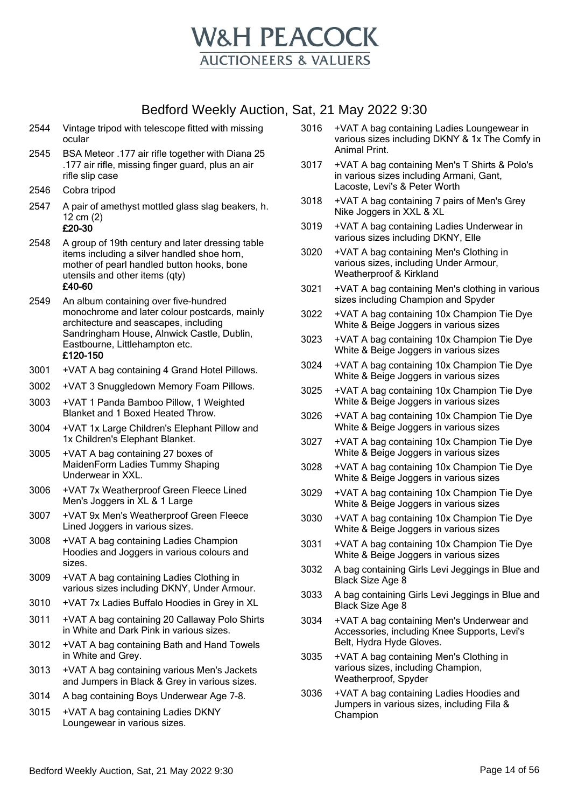

| 2544 | Vintage tripod with telescope fitted with missing |
|------|---------------------------------------------------|
|      | ocular                                            |

- 2545 BSA Meteor .177 air rifle together with Diana 25 .177 air rifle, missing finger guard, plus an air rifle slip case
- 2546 Cobra tripod
- 2547 A pair of amethyst mottled glass slag beakers, h. 12 cm (2) £20-30
- 2548 A group of 19th century and later dressing table items including a silver handled shoe horn, mother of pearl handled button hooks, bone utensils and other items (qty)

#### £40-60

- 2549 An album containing over five-hundred monochrome and later colour postcards, mainly architecture and seascapes, including Sandringham House, Alnwick Castle, Dublin, Eastbourne, Littlehampton etc. £120-150
- 3001 +VAT A bag containing 4 Grand Hotel Pillows.
- 3002 +VAT 3 Snuggledown Memory Foam Pillows.
- 3003 +VAT 1 Panda Bamboo Pillow, 1 Weighted Blanket and 1 Boxed Heated Throw.
- 3004 +VAT 1x Large Children's Elephant Pillow and 1x Children's Elephant Blanket.
- 3005 +VAT A bag containing 27 boxes of MaidenForm Ladies Tummy Shaping Underwear in XXL.
- 3006 +VAT 7x Weatherproof Green Fleece Lined Men's Joggers in XL & 1 Large
- 3007 +VAT 9x Men's Weatherproof Green Fleece Lined Joggers in various sizes.
- 3008 +VAT A bag containing Ladies Champion Hoodies and Joggers in various colours and sizes.
- 3009 +VAT A bag containing Ladies Clothing in various sizes including DKNY, Under Armour.
- 3010 +VAT 7x Ladies Buffalo Hoodies in Grey in XL
- 3011 +VAT A bag containing 20 Callaway Polo Shirts in White and Dark Pink in various sizes.
- 3012 +VAT A bag containing Bath and Hand Towels in White and Grey.
- 3013 +VAT A bag containing various Men's Jackets and Jumpers in Black & Grey in various sizes.
- 3014 A bag containing Boys Underwear Age 7-8.
- 3015 +VAT A bag containing Ladies DKNY Loungewear in various sizes.
- 3016 +VAT A bag containing Ladies Loungewear in various sizes including DKNY & 1x The Comfy in Animal Print.
- 3017 +VAT A bag containing Men's T Shirts & Polo's in various sizes including Armani, Gant, Lacoste, Levi's & Peter Worth
- 3018 +VAT A bag containing 7 pairs of Men's Grey Nike Joggers in XXL & XL
- 3019 +VAT A bag containing Ladies Underwear in various sizes including DKNY, Elle
- 3020 +VAT A bag containing Men's Clothing in various sizes, including Under Armour, Weatherproof & Kirkland
- 3021 +VAT A bag containing Men's clothing in various sizes including Champion and Spyder
- 3022 +VAT A bag containing 10x Champion Tie Dye White & Beige Joggers in various sizes
- 3023 +VAT A bag containing 10x Champion Tie Dye White & Beige Joggers in various sizes
- 3024 +VAT A bag containing 10x Champion Tie Dye White & Beige Joggers in various sizes
- 3025 +VAT A bag containing 10x Champion Tie Dye White & Beige Joggers in various sizes
- 3026 +VAT A bag containing 10x Champion Tie Dye White & Beige Joggers in various sizes
- 3027 +VAT A bag containing 10x Champion Tie Dye White & Beige Joggers in various sizes
- 3028 +VAT A bag containing 10x Champion Tie Dye White & Beige Joggers in various sizes
- 3029 +VAT A bag containing 10x Champion Tie Dye White & Beige Joggers in various sizes
- 3030 +VAT A bag containing 10x Champion Tie Dye White & Beige Joggers in various sizes
- 3031 +VAT A bag containing 10x Champion Tie Dye White & Beige Joggers in various sizes
- 3032 A bag containing Girls Levi Jeggings in Blue and Black Size Age 8
- 3033 A bag containing Girls Levi Jeggings in Blue and Black Size Age 8
- 3034 +VAT A bag containing Men's Underwear and Accessories, including Knee Supports, Levi's Belt, Hydra Hyde Gloves.
- 3035 +VAT A bag containing Men's Clothing in various sizes, including Champion, Weatherproof, Spyder
- 3036 +VAT A bag containing Ladies Hoodies and Jumpers in various sizes, including Fila & Champion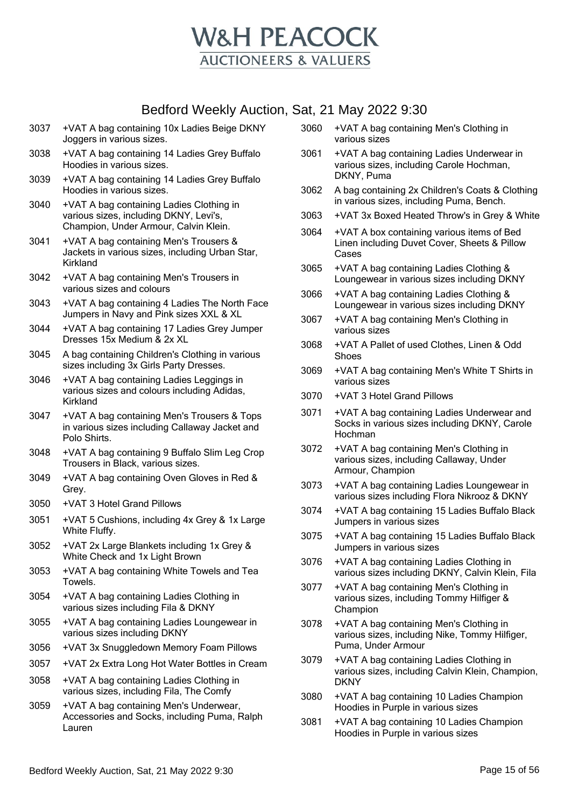

- 3037 +VAT A bag containing 10x Ladies Beige DKNY Joggers in various sizes.
- 3038 +VAT A bag containing 14 Ladies Grey Buffalo Hoodies in various sizes.
- 3039 +VAT A bag containing 14 Ladies Grey Buffalo Hoodies in various sizes.
- 3040 +VAT A bag containing Ladies Clothing in various sizes, including DKNY, Levi's, Champion, Under Armour, Calvin Klein.
- 3041 +VAT A bag containing Men's Trousers & Jackets in various sizes, including Urban Star, Kirkland
- 3042 +VAT A bag containing Men's Trousers in various sizes and colours
- 3043 +VAT A bag containing 4 Ladies The North Face Jumpers in Navy and Pink sizes XXL & XL
- 3044 +VAT A bag containing 17 Ladies Grey Jumper Dresses 15x Medium & 2x XL
- 3045 A bag containing Children's Clothing in various sizes including 3x Girls Party Dresses.
- 3046 +VAT A bag containing Ladies Leggings in various sizes and colours including Adidas, Kirkland
- 3047 +VAT A bag containing Men's Trousers & Tops in various sizes including Callaway Jacket and Polo Shirts.
- 3048 +VAT A bag containing 9 Buffalo Slim Leg Crop Trousers in Black, various sizes.
- 3049 +VAT A bag containing Oven Gloves in Red & Grey.
- 3050 +VAT 3 Hotel Grand Pillows
- 3051 +VAT 5 Cushions, including 4x Grey & 1x Large White Fluffy.
- 3052 +VAT 2x Large Blankets including 1x Grey & White Check and 1x Light Brown
- 3053 +VAT A bag containing White Towels and Tea Towels.
- 3054 +VAT A bag containing Ladies Clothing in various sizes including Fila & DKNY
- 3055 +VAT A bag containing Ladies Loungewear in various sizes including DKNY
- 3056 +VAT 3x Snuggledown Memory Foam Pillows
- 3057 +VAT 2x Extra Long Hot Water Bottles in Cream
- 3058 +VAT A bag containing Ladies Clothing in various sizes, including Fila, The Comfy
- 3059 +VAT A bag containing Men's Underwear, Accessories and Socks, including Puma, Ralph Lauren
- 3060 +VAT A bag containing Men's Clothing in various sizes
- 3061 +VAT A bag containing Ladies Underwear in various sizes, including Carole Hochman, DKNY, Puma
- 3062 A bag containing 2x Children's Coats & Clothing in various sizes, including Puma, Bench.
- 3063 +VAT 3x Boxed Heated Throw's in Grey & White
- 3064 +VAT A box containing various items of Bed Linen including Duvet Cover, Sheets & Pillow Cases
- 3065 +VAT A bag containing Ladies Clothing & Loungewear in various sizes including DKNY
- 3066 +VAT A bag containing Ladies Clothing & Loungewear in various sizes including DKNY
- 3067 +VAT A bag containing Men's Clothing in various sizes
- 3068 +VAT A Pallet of used Clothes, Linen & Odd Shoes
- 3069 +VAT A bag containing Men's White T Shirts in various sizes
- 3070 +VAT 3 Hotel Grand Pillows
- 3071 +VAT A bag containing Ladies Underwear and Socks in various sizes including DKNY, Carole Hochman
- 3072 +VAT A bag containing Men's Clothing in various sizes, including Callaway, Under Armour, Champion
- 3073 +VAT A bag containing Ladies Loungewear in various sizes including Flora Nikrooz & DKNY
- 3074 +VAT A bag containing 15 Ladies Buffalo Black Jumpers in various sizes
- 3075 +VAT A bag containing 15 Ladies Buffalo Black Jumpers in various sizes
- 3076 +VAT A bag containing Ladies Clothing in various sizes including DKNY, Calvin Klein, Fila
- 3077 +VAT A bag containing Men's Clothing in various sizes, including Tommy Hilfiger & Champion
- 3078 +VAT A bag containing Men's Clothing in various sizes, including Nike, Tommy Hilfiger, Puma, Under Armour
- 3079 +VAT A bag containing Ladies Clothing in various sizes, including Calvin Klein, Champion, **DKNY**
- 3080 +VAT A bag containing 10 Ladies Champion Hoodies in Purple in various sizes
- 3081 +VAT A bag containing 10 Ladies Champion Hoodies in Purple in various sizes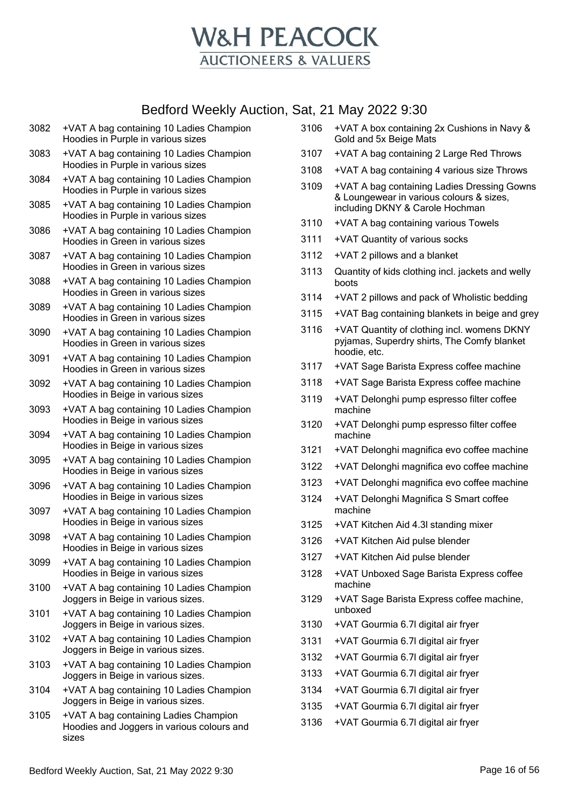

- 3082 +VAT A bag containing 10 Ladies Champion Hoodies in Purple in various sizes
- 3083 +VAT A bag containing 10 Ladies Champion Hoodies in Purple in various sizes
- 3084 +VAT A bag containing 10 Ladies Champion Hoodies in Purple in various sizes
- 3085 +VAT A bag containing 10 Ladies Champion Hoodies in Purple in various sizes
- 3086 +VAT A bag containing 10 Ladies Champion Hoodies in Green in various sizes
- 3087 +VAT A bag containing 10 Ladies Champion Hoodies in Green in various sizes
- 3088 +VAT A bag containing 10 Ladies Champion Hoodies in Green in various sizes
- 3089 +VAT A bag containing 10 Ladies Champion Hoodies in Green in various sizes
- 3090 +VAT A bag containing 10 Ladies Champion Hoodies in Green in various sizes
- 3091 +VAT A bag containing 10 Ladies Champion Hoodies in Green in various sizes
- 3092 +VAT A bag containing 10 Ladies Champion Hoodies in Beige in various sizes
- 3093 +VAT A bag containing 10 Ladies Champion Hoodies in Beige in various sizes
- 3094 +VAT A bag containing 10 Ladies Champion Hoodies in Beige in various sizes
- 3095 +VAT A bag containing 10 Ladies Champion Hoodies in Beige in various sizes
- 3096 +VAT A bag containing 10 Ladies Champion Hoodies in Beige in various sizes
- 3097 +VAT A bag containing 10 Ladies Champion Hoodies in Beige in various sizes
- 3098 +VAT A bag containing 10 Ladies Champion Hoodies in Beige in various sizes
- 3099 +VAT A bag containing 10 Ladies Champion Hoodies in Beige in various sizes
- 3100 +VAT A bag containing 10 Ladies Champion Joggers in Beige in various sizes.
- 3101 +VAT A bag containing 10 Ladies Champion Joggers in Beige in various sizes.
- 3102 +VAT A bag containing 10 Ladies Champion Joggers in Beige in various sizes.
- 3103 +VAT A bag containing 10 Ladies Champion Joggers in Beige in various sizes.
- 3104 +VAT A bag containing 10 Ladies Champion Joggers in Beige in various sizes.
- 3105 +VAT A bag containing Ladies Champion Hoodies and Joggers in various colours and sizes
- 3106 +VAT A box containing 2x Cushions in Navy & Gold and 5x Beige Mats
- 3107 +VAT A bag containing 2 Large Red Throws
- 3108 +VAT A bag containing 4 various size Throws
- 3109 +VAT A bag containing Ladies Dressing Gowns & Loungewear in various colours & sizes, including DKNY & Carole Hochman
- 3110 +VAT A bag containing various Towels
- 3111 +VAT Quantity of various socks
- 3112 +VAT 2 pillows and a blanket
- 3113 Quantity of kids clothing incl. jackets and welly boots
- 3114 +VAT 2 pillows and pack of Wholistic bedding
- 3115 +VAT Bag containing blankets in beige and grey
- 3116 +VAT Quantity of clothing incl. womens DKNY pyjamas, Superdry shirts, The Comfy blanket hoodie, etc.
- 3117 +VAT Sage Barista Express coffee machine
- 3118 +VAT Sage Barista Express coffee machine
- 3119 +VAT Delonghi pump espresso filter coffee machine
- 3120 +VAT Delonghi pump espresso filter coffee machine
- 3121 +VAT Delonghi magnifica evo coffee machine
- 3122 +VAT Delonghi magnifica evo coffee machine
- 3123 +VAT Delonghi magnifica evo coffee machine
- 3124 +VAT Delonghi Magnifica S Smart coffee machine
- 3125 +VAT Kitchen Aid 4.3l standing mixer
- 3126 +VAT Kitchen Aid pulse blender
- 3127 +VAT Kitchen Aid pulse blender
- 3128 +VAT Unboxed Sage Barista Express coffee machine
- 3129 +VAT Sage Barista Express coffee machine, unboxed
- 3130 +VAT Gourmia 6.7l digital air fryer
- 3131 +VAT Gourmia 6.7l digital air fryer
- 3132 +VAT Gourmia 6.7l digital air fryer
- 3133 +VAT Gourmia 6.7l digital air fryer
- 3134 +VAT Gourmia 6.7l digital air fryer
- 3135 +VAT Gourmia 6.7l digital air fryer
- 3136 +VAT Gourmia 6.7l digital air fryer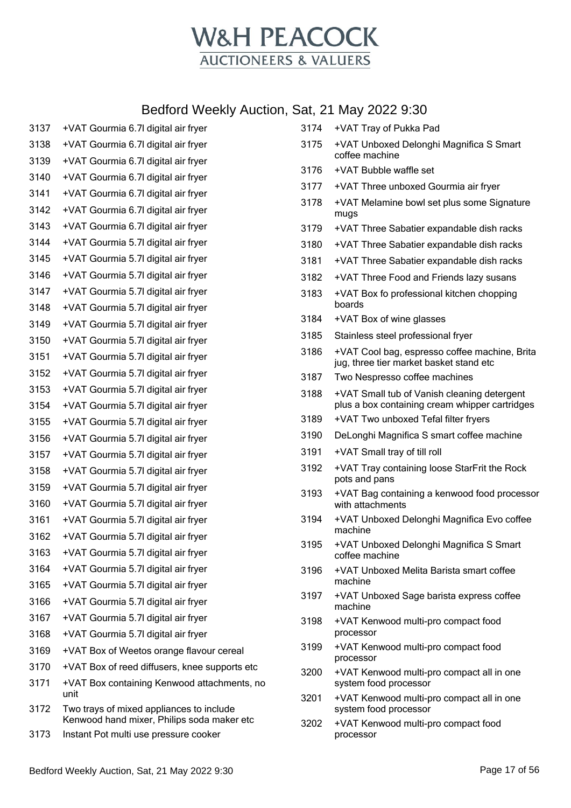

| 3137 | +VAT Gourmia 6.7I digital air fryer                                                    |
|------|----------------------------------------------------------------------------------------|
| 3138 | +VAT Gourmia 6.7I digital air fryer                                                    |
| 3139 | +VAT Gourmia 6.7I digital air fryer                                                    |
| 3140 | +VAT Gourmia 6.7I digital air fryer                                                    |
| 3141 | +VAT Gourmia 6.7I digital air fryer                                                    |
| 3142 | +VAT Gourmia 6.7I digital air fryer                                                    |
| 3143 | +VAT Gourmia 6.7I digital air fryer                                                    |
| 3144 | +VAT Gourmia 5.7I digital air fryer                                                    |
| 3145 | +VAT Gourmia 5.7I digital air fryer                                                    |
| 3146 | +VAT Gourmia 5.7I digital air fryer                                                    |
| 3147 | +VAT Gourmia 5.7I digital air fryer                                                    |
| 3148 | +VAT Gourmia 5.7I digital air fryer                                                    |
| 3149 | +VAT Gourmia 5.7I digital air fryer                                                    |
| 3150 | +VAT Gourmia 5.7I digital air fryer                                                    |
| 3151 | +VAT Gourmia 5.7I digital air fryer                                                    |
| 3152 | +VAT Gourmia 5.7I digital air fryer                                                    |
| 3153 | +VAT Gourmia 5.7I digital air fryer                                                    |
| 3154 | +VAT Gourmia 5.7I digital air fryer                                                    |
| 3155 | +VAT Gourmia 5.7I digital air fryer                                                    |
| 3156 | +VAT Gourmia 5.7I digital air fryer                                                    |
| 3157 | +VAT Gourmia 5.7I digital air fryer                                                    |
| 3158 | +VAT Gourmia 5.7I digital air fryer                                                    |
| 3159 | +VAT Gourmia 5.7I digital air fryer                                                    |
| 3160 | +VAT Gourmia 5.7I digital air fryer                                                    |
| 3161 | +VAT Gourmia 5.7I digital air fryer                                                    |
| 3162 | +VAT Gourmia 5.7I digital air fryer                                                    |
| 3163 | +VAT Gourmia 5.7I digital air fryer                                                    |
| 3164 | +VAT Gourmia 5.7I digital air fryer                                                    |
| 3165 | +VAT Gourmia 5.7I digital air fryer                                                    |
| 3166 | +VAT Gourmia 5.7I digital air fryer                                                    |
| 3167 | +VAT Gourmia 5.7I digital air fryer                                                    |
| 3168 | +VAT Gourmia 5.7I digital air fryer                                                    |
| 3169 | +VAT Box of Weetos orange flavour cereal                                               |
| 3170 | +VAT Box of reed diffusers, knee supports etc                                          |
| 3171 | +VAT Box containing Kenwood attachments, no<br>unit                                    |
| 3172 | Two trays of mixed appliances to include<br>Kenwood hand mixer, Philips soda maker etc |
| 3173 | Instant Pot multi use pressure cooker                                                  |

| 3174 | +VAT Tray of Pukka Pad                                                                        |
|------|-----------------------------------------------------------------------------------------------|
| 3175 | +VAT Unboxed Delonghi Magnifica S Smart<br>coffee machine                                     |
| 3176 | +VAT Bubble waffle set                                                                        |
| 3177 | +VAT Three unboxed Gourmia air fryer                                                          |
| 3178 | +VAT Melamine bowl set plus some Signature<br>mugs                                            |
| 3179 | +VAT Three Sabatier expandable dish racks                                                     |
| 3180 | +VAT Three Sabatier expandable dish racks                                                     |
| 3181 | +VAT Three Sabatier expandable dish racks                                                     |
| 3182 | +VAT Three Food and Friends lazy susans                                                       |
| 3183 | +VAT Box fo professional kitchen chopping<br>boards                                           |
| 3184 | +VAT Box of wine glasses                                                                      |
| 3185 | Stainless steel professional fryer                                                            |
| 3186 | +VAT Cool bag, espresso coffee machine, Brita<br>jug, three tier market basket stand etc      |
| 3187 | Two Nespresso coffee machines                                                                 |
| 3188 | +VAT Small tub of Vanish cleaning detergent<br>plus a box containing cream whipper cartridges |
| 3189 | +VAT Two unboxed Tefal filter fryers                                                          |
| 3190 | DeLonghi Magnifica S smart coffee machine                                                     |
| 3191 | +VAT Small tray of till roll                                                                  |
| 3192 | +VAT Tray containing loose StarFrit the Rock<br>pots and pans                                 |
| 3193 | +VAT Bag containing a kenwood food processor<br>with attachments                              |
| 3194 | +VAT Unboxed Delonghi Magnifica Evo coffee<br>machine                                         |
| 3195 | +VAT Unboxed Delonghi Magnifica S Smart<br>coffee machine                                     |
| 3196 | +VAT Unboxed Melita Barista smart coffee<br>machine                                           |
| 3197 | +VAT Unboxed Sage barista express coffee<br>machine                                           |
| 3198 | +VAT Kenwood multi-pro compact food<br>processor                                              |
| 3199 | +VAT Kenwood multi-pro compact food<br>processor                                              |
| 3200 | +VAT Kenwood multi-pro compact all in one<br>system food processor                            |
| 3201 | +VAT Kenwood multi-pro compact all in one<br>system food processor                            |
| 3202 | +VAT Kenwood multi-pro compact food<br>processor                                              |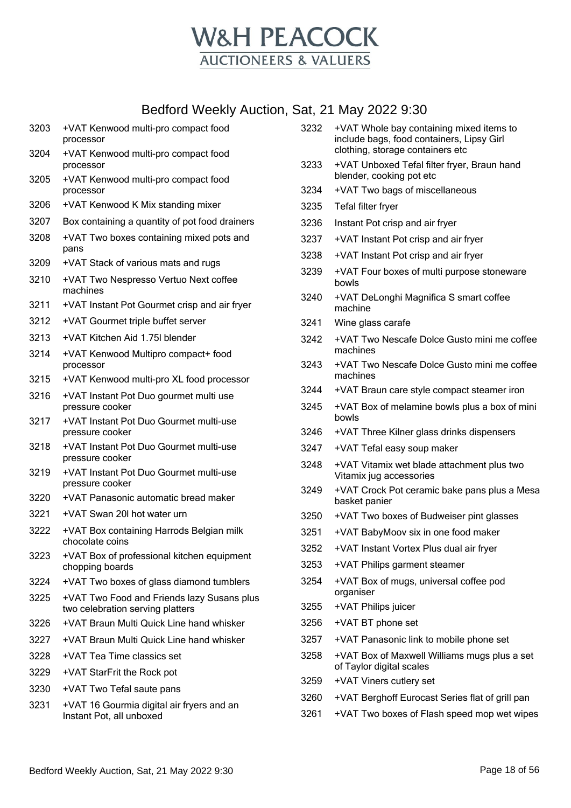

| 3203 | +VAT Kenwood multi-pro compact food<br>processor                               |
|------|--------------------------------------------------------------------------------|
| 3204 | +VAT Kenwood multi-pro compact food<br>processor                               |
| 3205 | +VAT Kenwood multi-pro compact food<br>processor                               |
| 3206 | +VAT Kenwood K Mix standing mixer                                              |
| 3207 | Box containing a quantity of pot food drainers                                 |
| 3208 | +VAT Two boxes containing mixed pots and<br>pans                               |
| 3209 | +VAT Stack of various mats and rugs                                            |
| 3210 | +VAT Two Nespresso Vertuo Next coffee<br>machines                              |
| 3211 | +VAT Instant Pot Gourmet crisp and air fryer                                   |
| 3212 | +VAT Gourmet triple buffet server                                              |
| 3213 | +VAT Kitchen Aid 1.75I blender                                                 |
| 3214 | +VAT Kenwood Multipro compact+ food<br>processor                               |
| 3215 | +VAT Kenwood multi-pro XL food processor                                       |
| 3216 | +VAT Instant Pot Duo gourmet multi use<br>pressure cooker                      |
| 3217 | +VAT Instant Pot Duo Gourmet multi-use<br>pressure cooker                      |
| 3218 | +VAT Instant Pot Duo Gourmet multi-use<br>pressure cooker                      |
| 3219 | +VAT Instant Pot Duo Gourmet multi-use<br>pressure cooker                      |
| 3220 | +VAT Panasonic automatic bread maker                                           |
| 3221 | +VAT Swan 20I hot water urn                                                    |
| 3222 | +VAT Box containing Harrods Belgian milk<br>chocolate coins                    |
| 3223 | +VAT Box of professional kitchen equipment<br>chopping boards                  |
| 3224 | +VAT Two boxes of glass diamond tumblers                                       |
| 3225 | +VAT Two Food and Friends lazy Susans plus<br>two celebration serving platters |
| 3226 | +VAT Braun Multi Quick Line hand whisker                                       |
| 3227 | +VAT Braun Multi Quick Line hand whisker                                       |
| 3228 | +VAT Tea Time classics set                                                     |
| 3229 | +VAT StarFrit the Rock pot                                                     |
| 3230 | +VAT Two Tefal saute pans                                                      |
| 3231 | +VAT 16 Gourmia digital air fryers and an<br>Instant Pot, all unboxed          |
|      |                                                                                |

| 3232 | +VAT Whole bay containing mixed items to<br>include bags, food containers, Lipsy Girl<br>clothing, storage containers etc |
|------|---------------------------------------------------------------------------------------------------------------------------|
| 3233 | +VAT Unboxed Tefal filter fryer, Braun hand<br>blender, cooking pot etc                                                   |
| 3234 | +VAT Two bags of miscellaneous                                                                                            |
| 3235 | Tefal filter fryer                                                                                                        |
| 3236 | Instant Pot crisp and air fryer                                                                                           |
| 3237 | +VAT Instant Pot crisp and air fryer                                                                                      |
| 3238 | +VAT Instant Pot crisp and air fryer                                                                                      |
| 3239 | +VAT Four boxes of multi purpose stoneware<br>bowls                                                                       |
| 3240 | +VAT DeLonghi Magnifica S smart coffee<br>machine                                                                         |
| 3241 | Wine glass carafe                                                                                                         |
| 3242 | +VAT Two Nescafe Dolce Gusto mini me coffee<br>machines                                                                   |
| 3243 | +VAT Two Nescafe Dolce Gusto mini me coffee<br>machines                                                                   |
| 3244 | +VAT Braun care style compact steamer iron                                                                                |
| 3245 | +VAT Box of melamine bowls plus a box of mini<br>bowls                                                                    |
| 3246 | +VAT Three Kilner glass drinks dispensers                                                                                 |
| 3247 | +VAT Tefal easy soup maker                                                                                                |
| 3248 | +VAT Vitamix wet blade attachment plus two<br>Vitamix jug accessories                                                     |
| 3249 | +VAT Crock Pot ceramic bake pans plus a Mesa<br>basket panier                                                             |
| 3250 | +VAT Two boxes of Budweiser pint glasses                                                                                  |
| 3251 | +VAT BabyMoov six in one food maker                                                                                       |
| 3252 | +VAT Instant Vortex Plus dual air fryer                                                                                   |
| 3253 | +VAT Philips garment steamer                                                                                              |
| 3254 | +VAT Box of mugs, universal coffee pod<br>organiser                                                                       |
| 3255 | +VAT Philips juicer                                                                                                       |
| 3256 | +VAT BT phone set                                                                                                         |
| 3257 | +VAT Panasonic link to mobile phone set                                                                                   |
| 3258 | +VAT Box of Maxwell Williams mugs plus a set<br>of Taylor digital scales                                                  |
| 3259 | +VAT Viners cutlery set                                                                                                   |
| 3260 | +VAT Berghoff Eurocast Series flat of grill pan                                                                           |
| 3261 | +VAT Two boxes of Flash speed mop wet wipes                                                                               |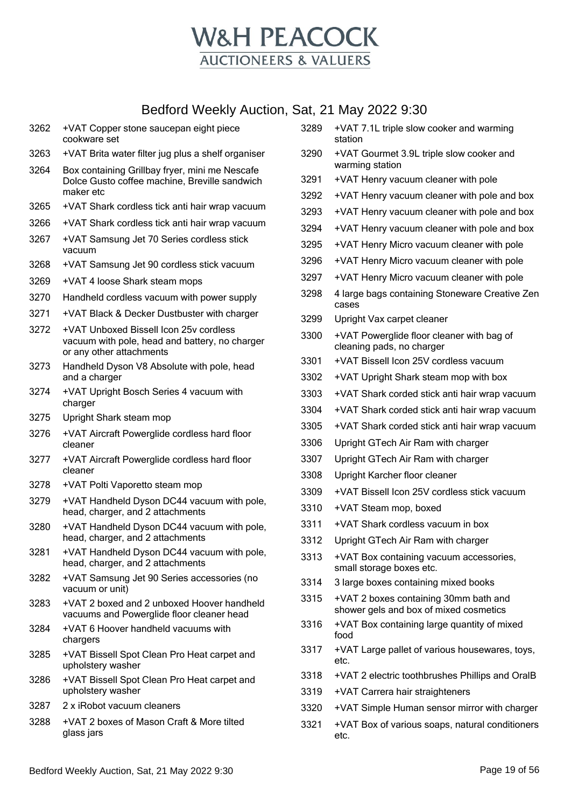

|      | Bedford Weekly Auction, Sat, 21 May 2022 9:30                                                                        |      |                                                                                 |
|------|----------------------------------------------------------------------------------------------------------------------|------|---------------------------------------------------------------------------------|
| 3262 | +VAT Copper stone saucepan eight piece<br>cookware set                                                               | 3289 | +VAT 7.1L triple slow cooker and warming<br>station                             |
| 3263 | +VAT Brita water filter jug plus a shelf organiser                                                                   | 3290 | +VAT Gourmet 3.9L triple slow cooker and<br>warming station                     |
| 3264 | Box containing Grillbay fryer, mini me Nescafe<br>Dolce Gusto coffee machine, Breville sandwich                      | 3291 | +VAT Henry vacuum cleaner with pole                                             |
|      | maker etc                                                                                                            | 3292 | +VAT Henry vacuum cleaner with pole and box                                     |
| 3265 | +VAT Shark cordless tick anti hair wrap vacuum                                                                       | 3293 | +VAT Henry vacuum cleaner with pole and box                                     |
| 3266 | +VAT Shark cordless tick anti hair wrap vacuum                                                                       | 3294 | +VAT Henry vacuum cleaner with pole and box                                     |
| 3267 | +VAT Samsung Jet 70 Series cordless stick<br>vacuum                                                                  | 3295 | +VAT Henry Micro vacuum cleaner with pole                                       |
| 3268 | +VAT Samsung Jet 90 cordless stick vacuum                                                                            | 3296 | +VAT Henry Micro vacuum cleaner with pole                                       |
| 3269 | +VAT 4 loose Shark steam mops                                                                                        | 3297 | +VAT Henry Micro vacuum cleaner with pole                                       |
| 3270 | Handheld cordless vacuum with power supply                                                                           | 3298 | 4 large bags containing Stoneware Creative Zen<br>cases                         |
| 3271 | +VAT Black & Decker Dustbuster with charger                                                                          | 3299 | Upright Vax carpet cleaner                                                      |
| 3272 | +VAT Unboxed Bissell Icon 25v cordless<br>vacuum with pole, head and battery, no charger<br>or any other attachments | 3300 | +VAT Powerglide floor cleaner with bag of<br>cleaning pads, no charger          |
| 3273 | Handheld Dyson V8 Absolute with pole, head                                                                           | 3301 | +VAT Bissell Icon 25V cordless vacuum                                           |
|      | and a charger                                                                                                        | 3302 | +VAT Upright Shark steam mop with box                                           |
| 3274 | +VAT Upright Bosch Series 4 vacuum with<br>charger                                                                   | 3303 | +VAT Shark corded stick anti hair wrap vacuum                                   |
| 3275 | Upright Shark steam mop                                                                                              | 3304 | +VAT Shark corded stick anti hair wrap vacuum                                   |
| 3276 | +VAT Aircraft Powerglide cordless hard floor                                                                         | 3305 | +VAT Shark corded stick anti hair wrap vacuum                                   |
|      | cleaner                                                                                                              | 3306 | Upright GTech Air Ram with charger                                              |
| 3277 | +VAT Aircraft Powerglide cordless hard floor<br>cleaner                                                              | 3307 | Upright GTech Air Ram with charger                                              |
| 3278 | +VAT Polti Vaporetto steam mop                                                                                       | 3308 | Upright Karcher floor cleaner                                                   |
| 3279 | +VAT Handheld Dyson DC44 vacuum with pole,                                                                           | 3309 | +VAT Bissell Icon 25V cordless stick vacuum                                     |
|      | head, charger, and 2 attachments                                                                                     | 3310 | +VAT Steam mop, boxed                                                           |
| 3280 | +VAT Handheld Dyson DC44 vacuum with pole,                                                                           | 3311 | +VAT Shark cordless vacuum in box                                               |
|      | head, charger, and 2 attachments                                                                                     | 3312 | Upright GTech Air Ram with charger                                              |
| 3281 | +VAT Handheld Dyson DC44 vacuum with pole,<br>head, charger, and 2 attachments                                       | 3313 | +VAT Box containing vacuum accessories,<br>small storage boxes etc.             |
| 3282 | +VAT Samsung Jet 90 Series accessories (no<br>vacuum or unit)                                                        | 3314 | 3 large boxes containing mixed books                                            |
| 3283 | +VAT 2 boxed and 2 unboxed Hoover handheld<br>vacuums and Powerglide floor cleaner head                              | 3315 | +VAT 2 boxes containing 30mm bath and<br>shower gels and box of mixed cosmetics |
| 3284 | +VAT 6 Hoover handheld vacuums with<br>chargers                                                                      | 3316 | +VAT Box containing large quantity of mixed<br>food                             |
| 3285 | +VAT Bissell Spot Clean Pro Heat carpet and<br>upholstery washer                                                     | 3317 | +VAT Large pallet of various housewares, toys,<br>etc.                          |
| 3286 | +VAT Bissell Spot Clean Pro Heat carpet and                                                                          | 3318 | +VAT 2 electric toothbrushes Phillips and OralB                                 |
|      | upholstery washer                                                                                                    | 3319 | +VAT Carrera hair straighteners                                                 |
| 3287 | 2 x iRobot vacuum cleaners                                                                                           | 3320 | +VAT Simple Human sensor mirror with charger                                    |
| 3288 | +VAT 2 boxes of Mason Craft & More tilted<br>glass jars                                                              | 3321 | +VAT Box of various soaps, natural conditioners<br>etc.                         |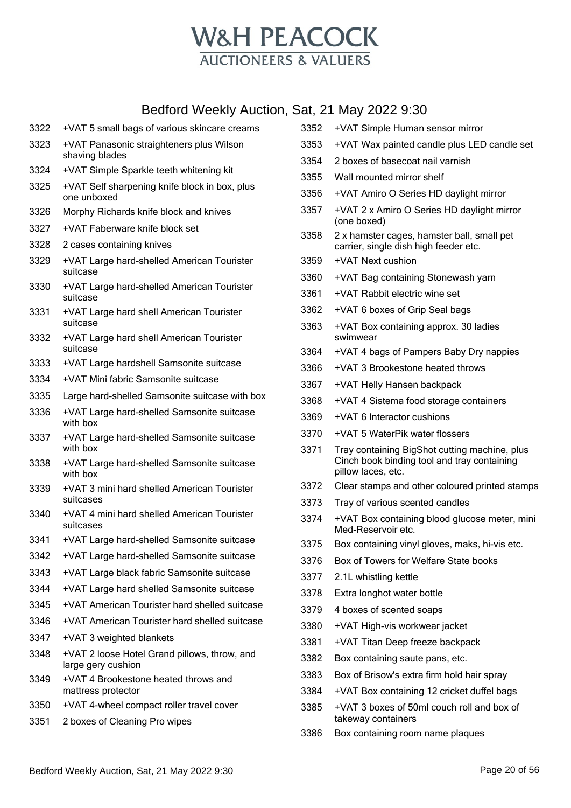

| 3322 | +VAT 5 small bags of various skincare creams                       | 3352 | +VAT Simple Human sensor mirror                                     |
|------|--------------------------------------------------------------------|------|---------------------------------------------------------------------|
| 3323 | +VAT Panasonic straighteners plus Wilson                           | 3353 | +VAT Wax painted candle plus LED candle set                         |
|      | shaving blades                                                     | 3354 | 2 boxes of basecoat nail varnish                                    |
| 3324 | +VAT Simple Sparkle teeth whitening kit                            | 3355 | Wall mounted mirror shelf                                           |
| 3325 | +VAT Self sharpening knife block in box, plus<br>one unboxed       | 3356 | +VAT Amiro O Series HD daylight mirror                              |
| 3326 | Morphy Richards knife block and knives                             | 3357 | +VAT 2 x Amiro O Series HD daylight mirror<br>(one boxed)           |
| 3327 | +VAT Faberware knife block set                                     | 3358 | 2 x hamster cages, hamster ball, small pet                          |
| 3328 | 2 cases containing knives                                          |      | carrier, single dish high feeder etc.                               |
| 3329 | +VAT Large hard-shelled American Tourister                         | 3359 | +VAT Next cushion                                                   |
|      | suitcase                                                           | 3360 | +VAT Bag containing Stonewash yarn                                  |
| 3330 | +VAT Large hard-shelled American Tourister<br>suitcase             | 3361 | +VAT Rabbit electric wine set                                       |
| 3331 | +VAT Large hard shell American Tourister                           | 3362 | +VAT 6 boxes of Grip Seal bags                                      |
| 3332 | suitcase<br>+VAT Large hard shell American Tourister               | 3363 | +VAT Box containing approx. 30 ladies<br>swimwear                   |
|      | suitcase                                                           | 3364 | +VAT 4 bags of Pampers Baby Dry nappies                             |
| 3333 | +VAT Large hardshell Samsonite suitcase                            | 3366 | +VAT 3 Brookestone heated throws                                    |
| 3334 | +VAT Mini fabric Samsonite suitcase                                | 3367 | +VAT Helly Hansen backpack                                          |
| 3335 | Large hard-shelled Samsonite suitcase with box                     | 3368 | +VAT 4 Sistema food storage containers                              |
| 3336 | +VAT Large hard-shelled Samsonite suitcase                         | 3369 | +VAT 6 Interactor cushions                                          |
| 3337 | with box<br>+VAT Large hard-shelled Samsonite suitcase             | 3370 | +VAT 5 WaterPik water flossers                                      |
|      | with box                                                           | 3371 | Tray containing BigShot cutting machine, plus                       |
| 3338 | +VAT Large hard-shelled Samsonite suitcase<br>with box             |      | Cinch book binding tool and tray containing<br>pillow laces, etc.   |
| 3339 | +VAT 3 mini hard shelled American Tourister                        | 3372 | Clear stamps and other coloured printed stamps                      |
|      | suitcases                                                          | 3373 | Tray of various scented candles                                     |
| 3340 | +VAT 4 mini hard shelled American Tourister<br>suitcases           | 3374 | +VAT Box containing blood glucose meter, mini<br>Med-Reservoir etc. |
| 3341 | +VAT Large hard-shelled Samsonite suitcase                         | 3375 | Box containing vinyl gloves, maks, hi-vis etc.                      |
| 3342 | +VAT Large hard-shelled Samsonite suitcase                         | 3376 | Box of Towers for Welfare State books                               |
| 3343 | +VAT Large black fabric Samsonite suitcase                         | 3377 | 2.1L whistling kettle                                               |
| 3344 | +VAT Large hard shelled Samsonite suitcase                         | 3378 | Extra longhot water bottle                                          |
| 3345 | +VAT American Tourister hard shelled suitcase                      | 3379 | 4 boxes of scented soaps                                            |
| 3346 | +VAT American Tourister hard shelled suitcase                      | 3380 | +VAT High-vis workwear jacket                                       |
| 3347 | +VAT 3 weighted blankets                                           | 3381 | +VAT Titan Deep freeze backpack                                     |
| 3348 | +VAT 2 loose Hotel Grand pillows, throw, and<br>large gery cushion | 3382 | Box containing saute pans, etc.                                     |
| 3349 | +VAT 4 Brookestone heated throws and                               | 3383 | Box of Brisow's extra firm hold hair spray                          |
|      | mattress protector                                                 | 3384 | +VAT Box containing 12 cricket duffel bags                          |
| 3350 | +VAT 4-wheel compact roller travel cover                           | 3385 | +VAT 3 boxes of 50ml couch roll and box of                          |
| 3351 | 2 boxes of Cleaning Pro wipes                                      |      | takeway containers                                                  |
|      |                                                                    | 3386 | Box containing room name plaques                                    |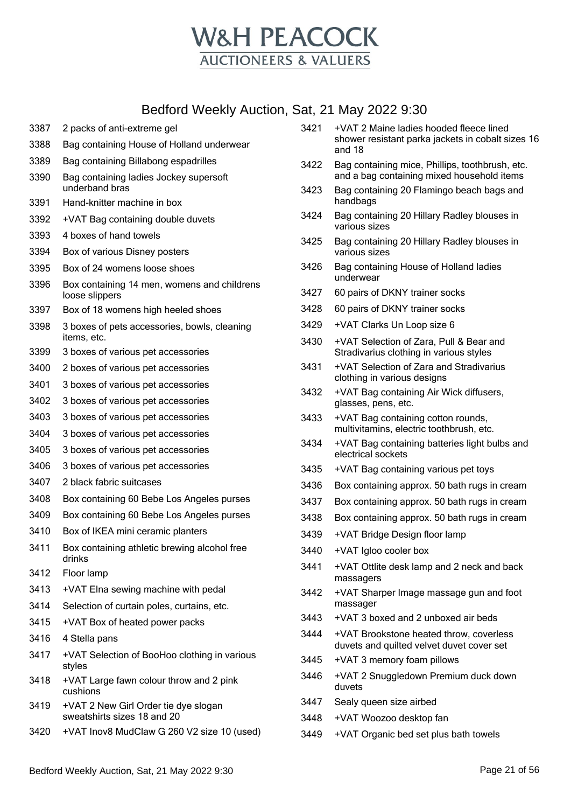

- 2 packs of anti-extreme gel Bag containing House of Holland underwear Bag containing Billabong espadrilles Bag containing ladies Jockey supersoft underband bras Hand-knitter machine in box +VAT Bag containing double duvets 4 boxes of hand towels Box of various Disney posters Box of 24 womens loose shoes Box containing 14 men, womens and childrens loose slippers Box of 18 womens high heeled shoes 3 boxes of pets accessories, bowls, cleaning items, etc. 3 boxes of various pet accessories 2 boxes of various pet accessories 3 boxes of various pet accessories 3 boxes of various pet accessories 3 boxes of various pet accessories 3 boxes of various pet accessories 3 boxes of various pet accessories 3 boxes of various pet accessories 2 black fabric suitcases Box containing 60 Bebe Los Angeles purses Box containing 60 Bebe Los Angeles purses Box of IKEA mini ceramic planters Box containing athletic brewing alcohol free drinks Floor lamp +VAT Elna sewing machine with pedal Selection of curtain poles, curtains, etc. +VAT Box of heated power packs 4 Stella pans +VAT Selection of BooHoo clothing in various styles +VAT Large fawn colour throw and 2 pink cushions +VAT 2 New Girl Order tie dye slogan sweatshirts sizes 18 and 20 +VAT Inov8 MudClaw G 260 V2 size 10 (used)
- +VAT 2 Maine ladies hooded fleece lined shower resistant parka jackets in cobalt sizes 16 and 18
- Bag containing mice, Phillips, toothbrush, etc. and a bag containing mixed household items
- Bag containing 20 Flamingo beach bags and handbags
- Bag containing 20 Hillary Radley blouses in various sizes
- Bag containing 20 Hillary Radley blouses in various sizes
- Bag containing House of Holland ladies underwear
- 60 pairs of DKNY trainer socks
- 60 pairs of DKNY trainer socks
- +VAT Clarks Un Loop size 6
- +VAT Selection of Zara, Pull & Bear and Stradivarius clothing in various styles
- +VAT Selection of Zara and Stradivarius clothing in various designs
- +VAT Bag containing Air Wick diffusers, glasses, pens, etc.
- +VAT Bag containing cotton rounds, multivitamins, electric toothbrush, etc.
- +VAT Bag containing batteries light bulbs and electrical sockets
- +VAT Bag containing various pet toys
- Box containing approx. 50 bath rugs in cream
- Box containing approx. 50 bath rugs in cream
- Box containing approx. 50 bath rugs in cream
- +VAT Bridge Design floor lamp
- +VAT Igloo cooler box
- +VAT Ottlite desk lamp and 2 neck and back massagers
- +VAT Sharper Image massage gun and foot massager
- +VAT 3 boxed and 2 unboxed air beds
- +VAT Brookstone heated throw, coverless duvets and quilted velvet duvet cover set
- +VAT 3 memory foam pillows
- +VAT 2 Snuggledown Premium duck down duvets
- Sealy queen size airbed
- +VAT Woozoo desktop fan
- +VAT Organic bed set plus bath towels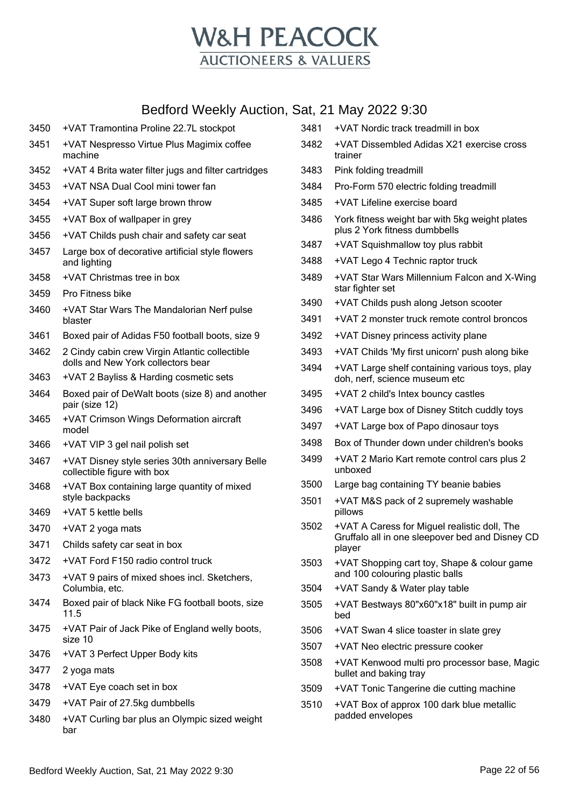

| 3450 | +VAT Tramontina Proline 22.7L stockpot                                               |
|------|--------------------------------------------------------------------------------------|
| 3451 | +VAT Nespresso Virtue Plus Magimix coffee<br>machine                                 |
| 3452 | +VAT 4 Brita water filter jugs and filter cartridges                                 |
| 3453 | +VAT NSA Dual Cool mini tower fan                                                    |
| 3454 | +VAT Super soft large brown throw                                                    |
| 3455 | +VAT Box of wallpaper in grey                                                        |
| 3456 | +VAT Childs push chair and safety car seat                                           |
| 3457 | Large box of decorative artificial style flowers<br>and lighting                     |
| 3458 | +VAT Christmas tree in box                                                           |
| 3459 | Pro Fitness bike                                                                     |
| 3460 | +VAT Star Wars The Mandalorian Nerf pulse<br>blaster                                 |
| 3461 | Boxed pair of Adidas F50 football boots, size 9                                      |
| 3462 | 2 Cindy cabin crew Virgin Atlantic collectible<br>dolls and New York collectors bear |
| 3463 | +VAT 2 Bayliss & Harding cosmetic sets                                               |
| 3464 | Boxed pair of DeWalt boots (size 8) and another<br>pair (size 12)                    |
| 3465 | +VAT Crimson Wings Deformation aircraft<br>model                                     |
| 3466 | +VAT VIP 3 gel nail polish set                                                       |
| 3467 | +VAT Disney style series 30th anniversary Belle<br>collectible figure with box       |
| 3468 | +VAT Box containing large quantity of mixed<br>style backpacks                       |
| 3469 | +VAT 5 kettle bells                                                                  |
| 3470 | +VAT 2 yoga mats                                                                     |
| 3471 | Childs safety car seat in box                                                        |
| 3472 | +VAT Ford F150 radio control truck                                                   |
| 3473 | +VAT 9 pairs of mixed shoes incl. Sketchers,<br>Columbia, etc.                       |
| 3474 | Boxed pair of black Nike FG football boots, size<br>11.5                             |
| 3475 | +VAT Pair of Jack Pike of England welly boots,<br>size 10                            |
| 3476 | +VAT 3 Perfect Upper Body kits                                                       |
| 3477 | 2 yoga mats                                                                          |
| 3478 | +VAT Eye coach set in box                                                            |
| 3479 | +VAT Pair of 27.5kg dumbbells                                                        |
| 3480 | +VAT Curling bar plus an Olympic sized weight<br>bar                                 |

|      | 5at, 21 May 2022 9:30                                                                                     |
|------|-----------------------------------------------------------------------------------------------------------|
| 3481 | +VAT Nordic track treadmill in box                                                                        |
| 3482 | +VAT Dissembled Adidas X21 exercise cross<br>trainer                                                      |
| 3483 | Pink folding treadmill                                                                                    |
| 3484 | Pro-Form 570 electric folding treadmill                                                                   |
| 3485 | +VAT Lifeline exercise board                                                                              |
| 3486 | York fitness weight bar with 5kg weight plates<br>plus 2 York fitness dumbbells                           |
| 3487 | +VAT Squishmallow toy plus rabbit                                                                         |
| 3488 | +VAT Lego 4 Technic raptor truck                                                                          |
| 3489 | +VAT Star Wars Millennium Falcon and X-Wing<br>star fighter set                                           |
| 3490 | +VAT Childs push along Jetson scooter                                                                     |
| 3491 | +VAT 2 monster truck remote control broncos                                                               |
| 3492 | +VAT Disney princess activity plane                                                                       |
| 3493 | +VAT Childs 'My first unicorn' push along bike                                                            |
| 3494 | +VAT Large shelf containing various toys, play<br>doh, nerf, science museum etc                           |
| 3495 | +VAT 2 child's Intex bouncy castles                                                                       |
| 3496 | +VAT Large box of Disney Stitch cuddly toys                                                               |
| 3497 | +VAT Large box of Papo dinosaur toys                                                                      |
| 3498 | Box of Thunder down under children's books                                                                |
| 3499 | +VAT 2 Mario Kart remote control cars plus 2<br>unboxed                                                   |
| 3500 | Large bag containing TY beanie babies                                                                     |
| 3501 | +VAT M&S pack of 2 supremely washable<br>pillows                                                          |
| 3502 | +VAT A Caress for Miguel realistic doll, The<br>Gruffalo all in one sleepover bed and Disney CD<br>player |
| 3503 | +VAT Shopping cart toy, Shape & colour game<br>and 100 colouring plastic balls                            |
| 3504 | +VAT Sandy & Water play table                                                                             |
| 3505 | +VAT Bestways 80"x60"x18" built in pump air<br>bed                                                        |
| 3506 | +VAT Swan 4 slice toaster in slate grey                                                                   |
| 3507 | +VAT Neo electric pressure cooker                                                                         |
| 3508 | +VAT Kenwood multi pro processor base, Magic<br>bullet and baking tray                                    |
| 3509 | +VAT Tonic Tangerine die cutting machine                                                                  |
| 3510 | +VAT Box of approx 100 dark blue metallic                                                                 |

padded envelopes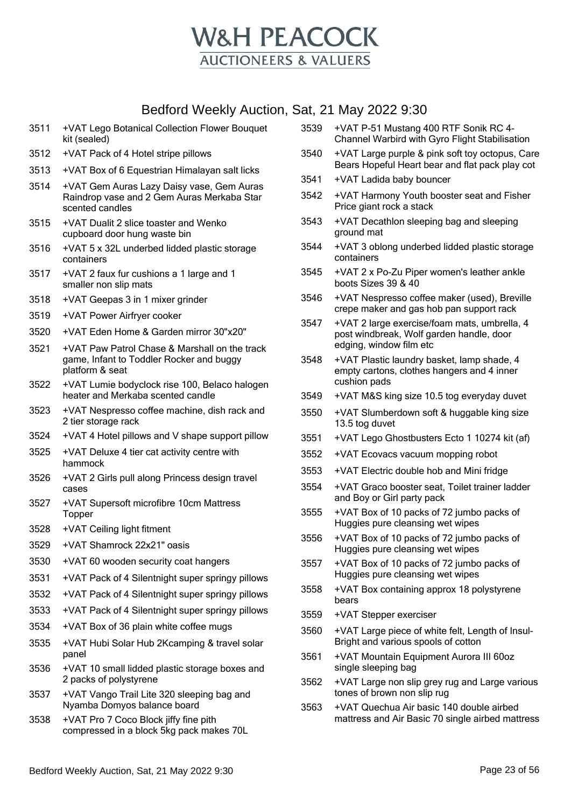

- 3511 +VAT Lego Botanical Collection Flower Bouquet kit (sealed)
- 3512 +VAT Pack of 4 Hotel stripe pillows
- 3513 +VAT Box of 6 Equestrian Himalayan salt licks
- 3514 +VAT Gem Auras Lazy Daisy vase, Gem Auras Raindrop vase and 2 Gem Auras Merkaba Star scented candles
- 3515 +VAT Dualit 2 slice toaster and Wenko cupboard door hung waste bin
- 3516 +VAT 5 x 32L underbed lidded plastic storage containers
- 3517 +VAT 2 faux fur cushions a 1 large and 1 smaller non slip mats
- 3518 +VAT Geepas 3 in 1 mixer grinder
- 3519 +VAT Power Airfryer cooker
- 3520 +VAT Eden Home & Garden mirror 30"x20"
- 3521 +VAT Paw Patrol Chase & Marshall on the track game, Infant to Toddler Rocker and buggy platform & seat
- 3522 +VAT Lumie bodyclock rise 100, Belaco halogen heater and Merkaba scented candle
- 3523 +VAT Nespresso coffee machine, dish rack and 2 tier storage rack
- 3524 +VAT 4 Hotel pillows and V shape support pillow
- 3525 +VAT Deluxe 4 tier cat activity centre with hammock
- 3526 +VAT 2 Girls pull along Princess design travel cases
- 3527 +VAT Supersoft microfibre 10cm Mattress **Topper**
- 3528 +VAT Ceiling light fitment
- 3529 +VAT Shamrock 22x21" oasis
- 3530 +VAT 60 wooden security coat hangers
- 3531 +VAT Pack of 4 Silentnight super springy pillows
- 3532 +VAT Pack of 4 Silentnight super springy pillows
- 3533 +VAT Pack of 4 Silentnight super springy pillows
- 3534 +VAT Box of 36 plain white coffee mugs
- 3535 +VAT Hubi Solar Hub 2Kcamping & travel solar panel
- 3536 +VAT 10 small lidded plastic storage boxes and 2 packs of polystyrene
- 3537 +VAT Vango Trail Lite 320 sleeping bag and Nyamba Domyos balance board
- 3538 +VAT Pro 7 Coco Block jiffy fine pith compressed in a block 5kg pack makes 70L
- 3539 +VAT P-51 Mustang 400 RTF Sonik RC 4- Channel Warbird with Gyro Flight Stabilisation
- 3540 +VAT Large purple & pink soft toy octopus, Care Bears Hopeful Heart bear and flat pack play cot
- 3541 +VAT Ladida baby bouncer
- 3542 +VAT Harmony Youth booster seat and Fisher Price giant rock a stack
- 3543 +VAT Decathlon sleeping bag and sleeping ground mat
- 3544 +VAT 3 oblong underbed lidded plastic storage containers
- 3545 +VAT 2 x Po-Zu Piper women's leather ankle boots Sizes 39 & 40
- 3546 +VAT Nespresso coffee maker (used), Breville crepe maker and gas hob pan support rack
- 3547 +VAT 2 large exercise/foam mats, umbrella, 4 post windbreak, Wolf garden handle, door edging, window film etc
- 3548 +VAT Plastic laundry basket, lamp shade, 4 empty cartons, clothes hangers and 4 inner cushion pads
- 3549 +VAT M&S king size 10.5 tog everyday duvet
- 3550 +VAT Slumberdown soft & huggable king size 13.5 tog duvet
- 3551 +VAT Lego Ghostbusters Ecto 1 10274 kit (af)
- 3552 +VAT Ecovacs vacuum mopping robot
- 3553 +VAT Electric double hob and Mini fridge
- 3554 +VAT Graco booster seat, Toilet trainer ladder and Boy or Girl party pack
- 3555 +VAT Box of 10 packs of 72 jumbo packs of Huggies pure cleansing wet wipes
- 3556 +VAT Box of 10 packs of 72 jumbo packs of Huggies pure cleansing wet wipes
- 3557 +VAT Box of 10 packs of 72 jumbo packs of Huggies pure cleansing wet wipes
- 3558 +VAT Box containing approx 18 polystyrene bears
- 3559 +VAT Stepper exerciser
- 3560 +VAT Large piece of white felt, Length of Insul-Bright and various spools of cotton
- 3561 +VAT Mountain Equipment Aurora III 60oz single sleeping bag
- 3562 +VAT Large non slip grey rug and Large various tones of brown non slip rug
- 3563 +VAT Quechua Air basic 140 double airbed mattress and Air Basic 70 single airbed mattress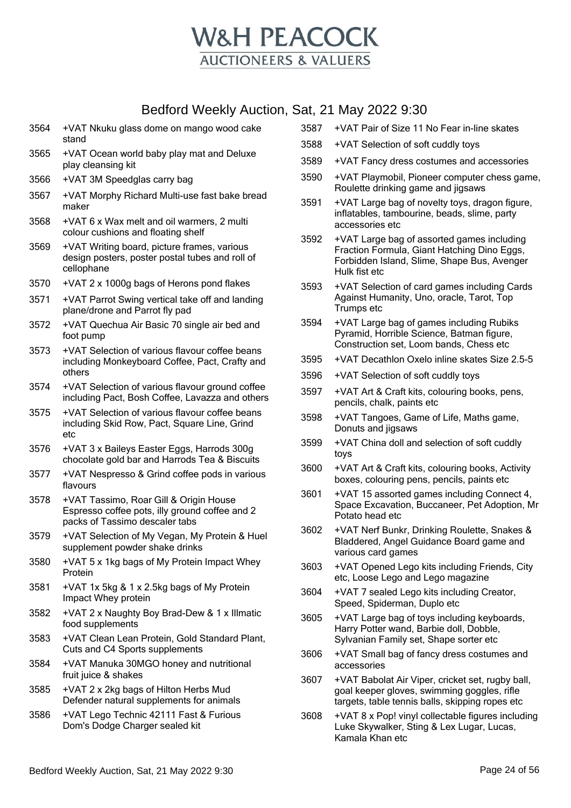

- 3564 +VAT Nkuku glass dome on mango wood cake stand
- 3565 +VAT Ocean world baby play mat and Deluxe play cleansing kit
- 3566 +VAT 3M Speedglas carry bag
- 3567 +VAT Morphy Richard Multi-use fast bake bread maker
- 3568 +VAT 6 x Wax melt and oil warmers, 2 multi colour cushions and floating shelf
- 3569 +VAT Writing board, picture frames, various design posters, poster postal tubes and roll of cellophane
- 3570 +VAT 2 x 1000g bags of Herons pond flakes
- 3571 +VAT Parrot Swing vertical take off and landing plane/drone and Parrot fly pad
- 3572 +VAT Quechua Air Basic 70 single air bed and foot pump
- 3573 +VAT Selection of various flavour coffee beans including Monkeyboard Coffee, Pact, Crafty and others
- 3574 +VAT Selection of various flavour ground coffee including Pact, Bosh Coffee, Lavazza and others
- 3575 +VAT Selection of various flavour coffee beans including Skid Row, Pact, Square Line, Grind etc
- 3576 +VAT 3 x Baileys Easter Eggs, Harrods 300g chocolate gold bar and Harrods Tea & Biscuits
- 3577 +VAT Nespresso & Grind coffee pods in various flavours
- 3578 +VAT Tassimo, Roar Gill & Origin House Espresso coffee pots, illy ground coffee and 2 packs of Tassimo descaler tabs
- 3579 +VAT Selection of My Vegan, My Protein & Huel supplement powder shake drinks
- 3580 +VAT 5 x 1kg bags of My Protein Impact Whey Protein
- 3581 +VAT 1x 5kg & 1 x 2.5kg bags of My Protein Impact Whey protein
- 3582 +VAT 2 x Naughty Boy Brad-Dew & 1 x Illmatic food supplements
- 3583 +VAT Clean Lean Protein, Gold Standard Plant, Cuts and C4 Sports supplements
- 3584 +VAT Manuka 30MGO honey and nutritional fruit juice & shakes
- 3585 +VAT 2 x 2kg bags of Hilton Herbs Mud Defender natural supplements for animals
- 3586 +VAT Lego Technic 42111 Fast & Furious Dom's Dodge Charger sealed kit
- 3587 +VAT Pair of Size 11 No Fear in-line skates
- 3588 +VAT Selection of soft cuddly toys
- 3589 +VAT Fancy dress costumes and accessories
- 3590 +VAT Playmobil, Pioneer computer chess game, Roulette drinking game and jigsaws
- 3591 +VAT Large bag of novelty toys, dragon figure, inflatables, tambourine, beads, slime, party accessories etc
- 3592 +VAT Large bag of assorted games including Fraction Formula, Giant Hatching Dino Eggs, Forbidden Island, Slime, Shape Bus, Avenger Hulk fist etc
- 3593 +VAT Selection of card games including Cards Against Humanity, Uno, oracle, Tarot, Top Trumps etc
- 3594 +VAT Large bag of games including Rubiks Pyramid, Horrible Science, Batman figure, Construction set, Loom bands, Chess etc
- 3595 +VAT Decathlon Oxelo inline skates Size 2.5-5
- 3596 +VAT Selection of soft cuddly toys
- 3597 +VAT Art & Craft kits, colouring books, pens, pencils, chalk, paints etc
- 3598 +VAT Tangoes, Game of Life, Maths game, Donuts and jigsaws
- 3599 +VAT China doll and selection of soft cuddly toys
- 3600 +VAT Art & Craft kits, colouring books, Activity boxes, colouring pens, pencils, paints etc
- 3601 +VAT 15 assorted games including Connect 4, Space Excavation, Buccaneer, Pet Adoption, Mr Potato head etc
- 3602 +VAT Nerf Bunkr, Drinking Roulette, Snakes & Bladdered, Angel Guidance Board game and various card games
- 3603 +VAT Opened Lego kits including Friends, City etc, Loose Lego and Lego magazine
- 3604 +VAT 7 sealed Lego kits including Creator, Speed, Spiderman, Duplo etc
- 3605 +VAT Large bag of toys including keyboards, Harry Potter wand, Barbie doll, Dobble, Sylvanian Family set, Shape sorter etc
- 3606 +VAT Small bag of fancy dress costumes and accessories
- 3607 +VAT Babolat Air Viper, cricket set, rugby ball, goal keeper gloves, swimming goggles, rifle targets, table tennis balls, skipping ropes etc
- 3608 +VAT 8 x Pop! vinyl collectable figures including Luke Skywalker, Sting & Lex Lugar, Lucas, Kamala Khan etc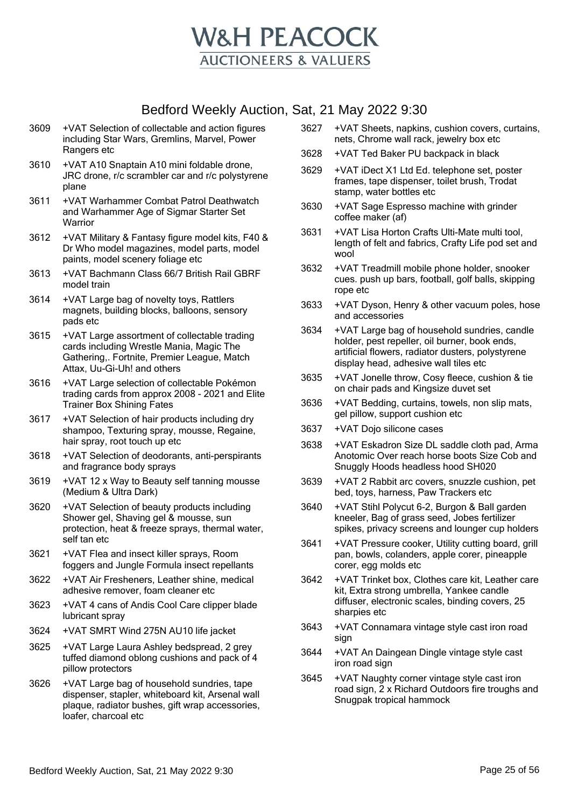

- 3609 +VAT Selection of collectable and action figures including Star Wars, Gremlins, Marvel, Power Rangers etc
- 3610 +VAT A10 Snaptain A10 mini foldable drone, JRC drone, r/c scrambler car and r/c polystyrene plane
- 3611 +VAT Warhammer Combat Patrol Deathwatch and Warhammer Age of Sigmar Starter Set **Warrior**
- 3612 +VAT Military & Fantasy figure model kits, F40 & Dr Who model magazines, model parts, model paints, model scenery foliage etc
- 3613 +VAT Bachmann Class 66/7 British Rail GBRF model train
- 3614 +VAT Large bag of novelty toys, Rattlers magnets, building blocks, balloons, sensory pads etc
- 3615 +VAT Large assortment of collectable trading cards including Wrestle Mania, Magic The Gathering,. Fortnite, Premier League, Match Attax, Uu-Gi-Uh! and others
- 3616 +VAT Large selection of collectable Pokémon trading cards from approx 2008 - 2021 and Elite Trainer Box Shining Fates
- 3617 +VAT Selection of hair products including dry shampoo, Texturing spray, mousse, Regaine, hair spray, root touch up etc
- 3618 +VAT Selection of deodorants, anti-perspirants and fragrance body sprays
- 3619 +VAT 12 x Way to Beauty self tanning mousse (Medium & Ultra Dark)
- 3620 +VAT Selection of beauty products including Shower gel, Shaving gel & mousse, sun protection, heat & freeze sprays, thermal water, self tan etc
- 3621 +VAT Flea and insect killer sprays, Room foggers and Jungle Formula insect repellants
- 3622 +VAT Air Fresheners, Leather shine, medical adhesive remover, foam cleaner etc
- 3623 +VAT 4 cans of Andis Cool Care clipper blade lubricant spray
- 3624 +VAT SMRT Wind 275N AU10 life jacket
- 3625 +VAT Large Laura Ashley bedspread, 2 grey tuffed diamond oblong cushions and pack of 4 pillow protectors
- 3626 +VAT Large bag of household sundries, tape dispenser, stapler, whiteboard kit, Arsenal wall plaque, radiator bushes, gift wrap accessories, loafer, charcoal etc
- 3627 +VAT Sheets, napkins, cushion covers, curtains, nets, Chrome wall rack, jewelry box etc
- 3628 +VAT Ted Baker PU backpack in black
- 3629 +VAT iDect X1 Ltd Ed. telephone set, poster frames, tape dispenser, toilet brush, Trodat stamp, water bottles etc
- 3630 +VAT Sage Espresso machine with grinder coffee maker (af)
- 3631 +VAT Lisa Horton Crafts Ulti-Mate multi tool, length of felt and fabrics, Crafty Life pod set and wool
- 3632 +VAT Treadmill mobile phone holder, snooker cues. push up bars, football, golf balls, skipping rope etc
- 3633 +VAT Dyson, Henry & other vacuum poles, hose and accessories
- 3634 +VAT Large bag of household sundries, candle holder, pest repeller, oil burner, book ends, artificial flowers, radiator dusters, polystyrene display head, adhesive wall tiles etc
- 3635 +VAT Jonelle throw, Cosy fleece, cushion & tie on chair pads and Kingsize duvet set
- 3636 +VAT Bedding, curtains, towels, non slip mats, gel pillow, support cushion etc
- 3637 +VAT Dojo silicone cases
- 3638 +VAT Eskadron Size DL saddle cloth pad, Arma Anotomic Over reach horse boots Size Cob and Snuggly Hoods headless hood SH020
- 3639 +VAT 2 Rabbit arc covers, snuzzle cushion, pet bed, toys, harness, Paw Trackers etc
- 3640 +VAT Stihl Polycut 6-2, Burgon & Ball garden kneeler, Bag of grass seed, Jobes fertilizer spikes, privacy screens and lounger cup holders
- 3641 +VAT Pressure cooker, Utility cutting board, grill pan, bowls, colanders, apple corer, pineapple corer, egg molds etc
- 3642 +VAT Trinket box, Clothes care kit, Leather care kit, Extra strong umbrella, Yankee candle diffuser, electronic scales, binding covers, 25 sharpies etc
- 3643 +VAT Connamara vintage style cast iron road sign
- 3644 +VAT An Daingean Dingle vintage style cast iron road sign
- 3645 +VAT Naughty corner vintage style cast iron road sign, 2 x Richard Outdoors fire troughs and Snugpak tropical hammock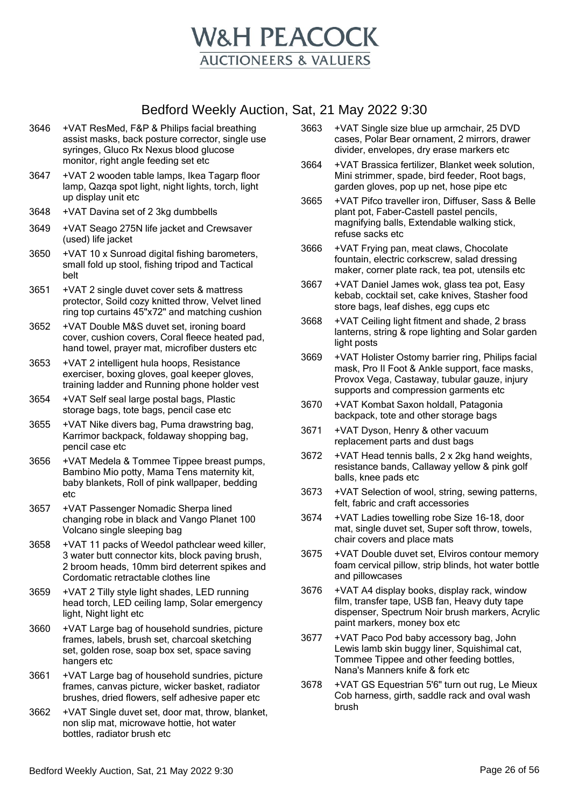

- 3646 +VAT ResMed, F&P & Philips facial breathing assist masks, back posture corrector, single use syringes, Gluco Rx Nexus blood glucose monitor, right angle feeding set etc
- 3647 +VAT 2 wooden table lamps, Ikea Tagarp floor lamp, Qazqa spot light, night lights, torch, light up display unit etc
- 3648 +VAT Davina set of 2 3kg dumbbells
- 3649 +VAT Seago 275N life jacket and Crewsaver (used) life jacket
- 3650 +VAT 10 x Sunroad digital fishing barometers, small fold up stool, fishing tripod and Tactical belt
- 3651 +VAT 2 single duvet cover sets & mattress protector, Soild cozy knitted throw, Velvet lined ring top curtains 45"x72" and matching cushion
- 3652 +VAT Double M&S duvet set, ironing board cover, cushion covers, Coral fleece heated pad, hand towel, prayer mat, microfiber dusters etc
- 3653 +VAT 2 intelligent hula hoops, Resistance exerciser, boxing gloves, goal keeper gloves, training ladder and Running phone holder vest
- 3654 +VAT Self seal large postal bags, Plastic storage bags, tote bags, pencil case etc
- 3655 +VAT Nike divers bag, Puma drawstring bag, Karrimor backpack, foldaway shopping bag, pencil case etc
- 3656 +VAT Medela & Tommee Tippee breast pumps, Bambino Mio potty, Mama Tens maternity kit, baby blankets, Roll of pink wallpaper, bedding etc
- 3657 +VAT Passenger Nomadic Sherpa lined changing robe in black and Vango Planet 100 Volcano single sleeping bag
- 3658 +VAT 11 packs of Weedol pathclear weed killer, 3 water butt connector kits, block paving brush, 2 broom heads, 10mm bird deterrent spikes and Cordomatic retractable clothes line
- 3659 +VAT 2 Tilly style light shades, LED running head torch, LED ceiling lamp, Solar emergency light, Night light etc
- 3660 +VAT Large bag of household sundries, picture frames, labels, brush set, charcoal sketching set, golden rose, soap box set, space saving hangers etc
- 3661 +VAT Large bag of household sundries, picture frames, canvas picture, wicker basket, radiator brushes, dried flowers, self adhesive paper etc
- 3662 +VAT Single duvet set, door mat, throw, blanket, non slip mat, microwave hottie, hot water bottles, radiator brush etc
- 3663 +VAT Single size blue up armchair, 25 DVD cases, Polar Bear ornament, 2 mirrors, drawer divider, envelopes, dry erase markers etc
- 3664 +VAT Brassica fertilizer, Blanket week solution, Mini strimmer, spade, bird feeder, Root bags, garden gloves, pop up net, hose pipe etc
- 3665 +VAT Pifco traveller iron, Diffuser, Sass & Belle plant pot, Faber-Castell pastel pencils, magnifying balls, Extendable walking stick, refuse sacks etc
- 3666 +VAT Frying pan, meat claws, Chocolate fountain, electric corkscrew, salad dressing maker, corner plate rack, tea pot, utensils etc
- 3667 +VAT Daniel James wok, glass tea pot, Easy kebab, cocktail set, cake knives, Stasher food store bags, leaf dishes, egg cups etc
- 3668 +VAT Ceiling light fitment and shade, 2 brass lanterns, string & rope lighting and Solar garden light posts
- 3669 +VAT Holister Ostomy barrier ring, Philips facial mask, Pro II Foot & Ankle support, face masks, Provox Vega, Castaway, tubular gauze, injury supports and compression garments etc
- 3670 +VAT Kombat Saxon holdall, Patagonia backpack, tote and other storage bags
- 3671 +VAT Dyson, Henry & other vacuum replacement parts and dust bags
- 3672 +VAT Head tennis balls, 2 x 2kg hand weights, resistance bands, Callaway yellow & pink golf balls, knee pads etc
- 3673 +VAT Selection of wool, string, sewing patterns, felt, fabric and craft accessories
- 3674 +VAT Ladies towelling robe Size 16-18, door mat, single duvet set, Super soft throw, towels, chair covers and place mats
- 3675 +VAT Double duvet set, Elviros contour memory foam cervical pillow, strip blinds, hot water bottle and pillowcases
- 3676 +VAT A4 display books, display rack, window film, transfer tape, USB fan, Heavy duty tape dispenser, Spectrum Noir brush markers, Acrylic paint markers, money box etc
- 3677 +VAT Paco Pod baby accessory bag, John Lewis lamb skin buggy liner, Squishimal cat, Tommee Tippee and other feeding bottles, Nana's Manners knife & fork etc
- 3678 +VAT GS Equestrian 5'6" turn out rug, Le Mieux Cob harness, girth, saddle rack and oval wash brush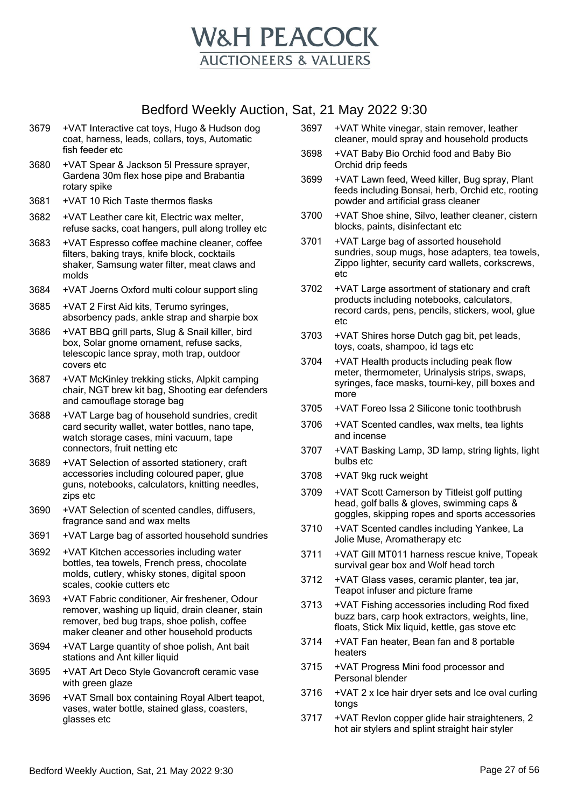

- 3679 +VAT Interactive cat toys, Hugo & Hudson dog coat, harness, leads, collars, toys, Automatic fish feeder etc
- 3680 +VAT Spear & Jackson 5l Pressure sprayer, Gardena 30m flex hose pipe and Brabantia rotary spike
- 3681 +VAT 10 Rich Taste thermos flasks
- 3682 +VAT Leather care kit, Electric wax melter, refuse sacks, coat hangers, pull along trolley etc
- 3683 +VAT Espresso coffee machine cleaner, coffee filters, baking trays, knife block, cocktails shaker, Samsung water filter, meat claws and molds
- 3684 +VAT Joerns Oxford multi colour support sling
- 3685 +VAT 2 First Aid kits, Terumo syringes, absorbency pads, ankle strap and sharpie box
- 3686 +VAT BBQ grill parts, Slug & Snail killer, bird box, Solar gnome ornament, refuse sacks, telescopic lance spray, moth trap, outdoor covers etc
- 3687 +VAT McKinley trekking sticks, Alpkit camping chair, NGT brew kit bag, Shooting ear defenders and camouflage storage bag
- 3688 +VAT Large bag of household sundries, credit card security wallet, water bottles, nano tape, watch storage cases, mini vacuum, tape connectors, fruit netting etc
- 3689 +VAT Selection of assorted stationery, craft accessories including coloured paper, glue guns, notebooks, calculators, knitting needles, zips etc
- 3690 +VAT Selection of scented candles, diffusers, fragrance sand and wax melts
- 3691 +VAT Large bag of assorted household sundries
- 3692 +VAT Kitchen accessories including water bottles, tea towels, French press, chocolate molds, cutlery, whisky stones, digital spoon scales, cookie cutters etc
- 3693 +VAT Fabric conditioner, Air freshener, Odour remover, washing up liquid, drain cleaner, stain remover, bed bug traps, shoe polish, coffee maker cleaner and other household products
- 3694 +VAT Large quantity of shoe polish, Ant bait stations and Ant killer liquid
- 3695 +VAT Art Deco Style Govancroft ceramic vase with green glaze
- 3696 +VAT Small box containing Royal Albert teapot, vases, water bottle, stained glass, coasters, glasses etc
- 3697 +VAT White vinegar, stain remover, leather cleaner, mould spray and household products
- 3698 +VAT Baby Bio Orchid food and Baby Bio Orchid drip feeds
- 3699 +VAT Lawn feed, Weed killer, Bug spray, Plant feeds including Bonsai, herb, Orchid etc, rooting powder and artificial grass cleaner
- 3700 +VAT Shoe shine, Silvo, leather cleaner, cistern blocks, paints, disinfectant etc
- 3701 +VAT Large bag of assorted household sundries, soup mugs, hose adapters, tea towels, Zippo lighter, security card wallets, corkscrews, etc
- 3702 +VAT Large assortment of stationary and craft products including notebooks, calculators, record cards, pens, pencils, stickers, wool, glue etc
- 3703 +VAT Shires horse Dutch gag bit, pet leads, toys, coats, shampoo, id tags etc
- 3704 +VAT Health products including peak flow meter, thermometer, Urinalysis strips, swaps, syringes, face masks, tourni-key, pill boxes and more
- 3705 +VAT Foreo Issa 2 Silicone tonic toothbrush
- 3706 +VAT Scented candles, wax melts, tea lights and incense
- 3707 +VAT Basking Lamp, 3D lamp, string lights, light bulbs etc
- 3708 +VAT 9kg ruck weight
- 3709 +VAT Scott Camerson by Titleist golf putting head, golf balls & gloves, swimming caps & goggles, skipping ropes and sports accessories
- 3710 +VAT Scented candles including Yankee, La Jolie Muse, Aromatherapy etc
- 3711 +VAT Gill MT011 harness rescue knive, Topeak survival gear box and Wolf head torch
- 3712 +VAT Glass vases, ceramic planter, tea jar, Teapot infuser and picture frame
- 3713 +VAT Fishing accessories including Rod fixed buzz bars, carp hook extractors, weights, line, floats, Stick Mix liquid, kettle, gas stove etc
- 3714 +VAT Fan heater, Bean fan and 8 portable heaters
- 3715 +VAT Progress Mini food processor and Personal blender
- 3716 +VAT 2 x Ice hair dryer sets and Ice oval curling tongs
- 3717 +VAT Revlon copper glide hair straighteners, 2 hot air stylers and splint straight hair styler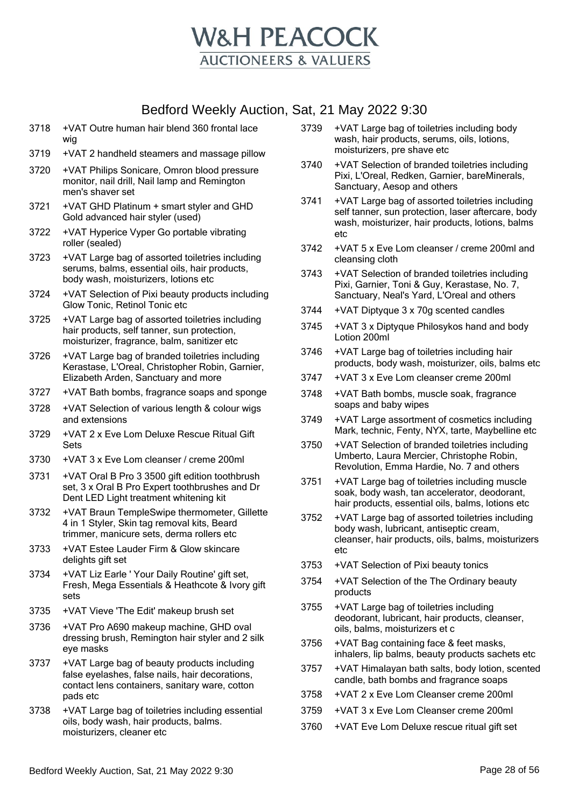

- 3718 +VAT Outre human hair blend 360 frontal lace wig
- 3719 +VAT 2 handheld steamers and massage pillow
- 3720 +VAT Philips Sonicare, Omron blood pressure monitor, nail drill, Nail lamp and Remington men's shaver set
- 3721 +VAT GHD Platinum + smart styler and GHD Gold advanced hair styler (used)
- 3722 +VAT Hyperice Vyper Go portable vibrating roller (sealed)
- 3723 +VAT Large bag of assorted toiletries including serums, balms, essential oils, hair products, body wash, moisturizers, lotions etc
- 3724 +VAT Selection of Pixi beauty products including Glow Tonic, Retinol Tonic etc
- 3725 +VAT Large bag of assorted toiletries including hair products, self tanner, sun protection, moisturizer, fragrance, balm, sanitizer etc
- 3726 +VAT Large bag of branded toiletries including Kerastase, L'Oreal, Christopher Robin, Garnier, Elizabeth Arden, Sanctuary and more
- 3727 +VAT Bath bombs, fragrance soaps and sponge
- 3728 +VAT Selection of various length & colour wigs and extensions
- 3729 +VAT 2 x Eve Lom Deluxe Rescue Ritual Gift Sets
- 3730 +VAT 3 x Eve Lom cleanser / creme 200ml
- 3731 +VAT Oral B Pro 3 3500 gift edition toothbrush set, 3 x Oral B Pro Expert toothbrushes and Dr Dent LED Light treatment whitening kit
- 3732 +VAT Braun TempleSwipe thermometer, Gillette 4 in 1 Styler, Skin tag removal kits, Beard trimmer, manicure sets, derma rollers etc
- 3733 +VAT Estee Lauder Firm & Glow skincare delights gift set
- 3734 +VAT Liz Earle ' Your Daily Routine' gift set, Fresh, Mega Essentials & Heathcote & Ivory gift sets
- 3735 +VAT Vieve 'The Edit' makeup brush set
- 3736 +VAT Pro A690 makeup machine, GHD oval dressing brush, Remington hair styler and 2 silk eye masks
- 3737 +VAT Large bag of beauty products including false eyelashes, false nails, hair decorations, contact lens containers, sanitary ware, cotton pads etc
- 3738 +VAT Large bag of toiletries including essential oils, body wash, hair products, balms. moisturizers, cleaner etc
- 3739 +VAT Large bag of toiletries including body wash, hair products, serums, oils, lotions, moisturizers, pre shave etc
- 3740 +VAT Selection of branded toiletries including Pixi, L'Oreal, Redken, Garnier, bareMinerals, Sanctuary, Aesop and others
- 3741 +VAT Large bag of assorted toiletries including self tanner, sun protection, laser aftercare, body wash, moisturizer, hair products, lotions, balms etc
- 3742 +VAT 5 x Eve Lom cleanser / creme 200ml and cleansing cloth
- 3743 +VAT Selection of branded toiletries including Pixi, Garnier, Toni & Guy, Kerastase, No. 7, Sanctuary, Neal's Yard, L'Oreal and others
- 3744 +VAT Diptyque 3 x 70g scented candles
- 3745 +VAT 3 x Diptyque Philosykos hand and body Lotion 200ml
- 3746 +VAT Large bag of toiletries including hair products, body wash, moisturizer, oils, balms etc
- 3747 +VAT 3 x Eve Lom cleanser creme 200ml
- 3748 +VAT Bath bombs, muscle soak, fragrance soaps and baby wipes
- 3749 +VAT Large assortment of cosmetics including Mark, technic, Fenty, NYX, tarte, Maybelline etc
- 3750 +VAT Selection of branded toiletries including Umberto, Laura Mercier, Christophe Robin, Revolution, Emma Hardie, No. 7 and others
- 3751 +VAT Large bag of toiletries including muscle soak, body wash, tan accelerator, deodorant, hair products, essential oils, balms, lotions etc
- 3752 +VAT Large bag of assorted toiletries including body wash, lubricant, antiseptic cream, cleanser, hair products, oils, balms, moisturizers etc
- 3753 +VAT Selection of Pixi beauty tonics
- 3754 +VAT Selection of the The Ordinary beauty products
- 3755 +VAT Large bag of toiletries including deodorant, lubricant, hair products, cleanser, oils, balms, moisturizers et c
- 3756 +VAT Bag containing face & feet masks, inhalers, lip balms, beauty products sachets etc
- 3757 +VAT Himalayan bath salts, body lotion, scented candle, bath bombs and fragrance soaps
- 3758 +VAT 2 x Eve Lom Cleanser creme 200ml
- 3759 +VAT 3 x Eve Lom Cleanser creme 200ml
- 3760 +VAT Eve Lom Deluxe rescue ritual gift set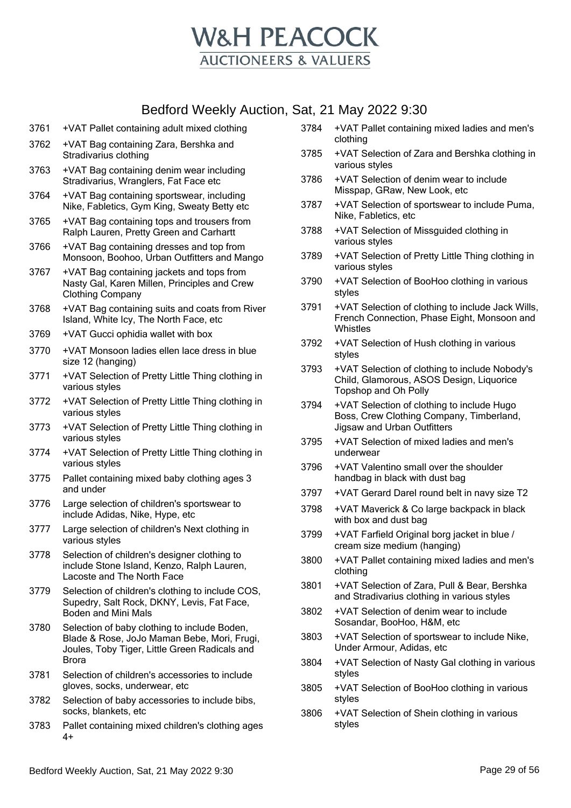

- 3761 +VAT Pallet containing adult mixed clothing
- 3762 +VAT Bag containing Zara, Bershka and Stradivarius clothing
- 3763 +VAT Bag containing denim wear including Stradivarius, Wranglers, Fat Face etc
- 3764 +VAT Bag containing sportswear, including Nike, Fabletics, Gym King, Sweaty Betty etc
- 3765 +VAT Bag containing tops and trousers from Ralph Lauren, Pretty Green and Carhartt
- 3766 +VAT Bag containing dresses and top from Monsoon, Boohoo, Urban Outfitters and Mango
- 3767 +VAT Bag containing jackets and tops from Nasty Gal, Karen Millen, Principles and Crew Clothing Company
- 3768 +VAT Bag containing suits and coats from River Island, White Icy, The North Face, etc
- 3769 +VAT Gucci ophidia wallet with box
- 3770 +VAT Monsoon ladies ellen lace dress in blue size 12 (hanging)
- 3771 +VAT Selection of Pretty Little Thing clothing in various styles
- 3772 +VAT Selection of Pretty Little Thing clothing in various styles
- 3773 +VAT Selection of Pretty Little Thing clothing in various styles
- 3774 +VAT Selection of Pretty Little Thing clothing in various styles
- 3775 Pallet containing mixed baby clothing ages 3 and under
- 3776 Large selection of children's sportswear to include Adidas, Nike, Hype, etc
- 3777 Large selection of children's Next clothing in various styles
- 3778 Selection of children's designer clothing to include Stone Island, Kenzo, Ralph Lauren, Lacoste and The North Face
- 3779 Selection of children's clothing to include COS, Supedry, Salt Rock, DKNY, Levis, Fat Face, Boden and Mini Mals
- 3780 Selection of baby clothing to include Boden, Blade & Rose, JoJo Maman Bebe, Mori, Frugi, Joules, Toby Tiger, Little Green Radicals and Brora
- 3781 Selection of children's accessories to include gloves, socks, underwear, etc
- 3782 Selection of baby accessories to include bibs, socks, blankets, etc
- 3783 Pallet containing mixed children's clothing ages 4+
- 3784 +VAT Pallet containing mixed ladies and men's clothing
- 3785 +VAT Selection of Zara and Bershka clothing in various styles
- 3786 +VAT Selection of denim wear to include Misspap, GRaw, New Look, etc
- 3787 +VAT Selection of sportswear to include Puma, Nike, Fabletics, etc
- 3788 +VAT Selection of Missguided clothing in various styles
- 3789 +VAT Selection of Pretty Little Thing clothing in various styles
- 3790 +VAT Selection of BooHoo clothing in various styles
- 3791 +VAT Selection of clothing to include Jack Wills, French Connection, Phase Eight, Monsoon and Whistles
- 3792 +VAT Selection of Hush clothing in various styles
- 3793 +VAT Selection of clothing to include Nobody's Child, Glamorous, ASOS Design, Liquorice Topshop and Oh Polly
- 3794 +VAT Selection of clothing to include Hugo Boss, Crew Clothing Company, Timberland, Jigsaw and Urban Outfitters
- 3795 +VAT Selection of mixed ladies and men's underwear
- 3796 +VAT Valentino small over the shoulder handbag in black with dust bag
- 3797 +VAT Gerard Darel round belt in navy size T2
- 3798 +VAT Maverick & Co large backpack in black with box and dust bag
- 3799 +VAT Farfield Original borg jacket in blue / cream size medium (hanging)
- 3800 +VAT Pallet containing mixed ladies and men's clothing
- 3801 +VAT Selection of Zara, Pull & Bear, Bershka and Stradivarius clothing in various styles
- 3802 +VAT Selection of denim wear to include Sosandar, BooHoo, H&M, etc
- 3803 +VAT Selection of sportswear to include Nike, Under Armour, Adidas, etc
- 3804 +VAT Selection of Nasty Gal clothing in various styles
- 3805 +VAT Selection of BooHoo clothing in various styles
- 3806 +VAT Selection of Shein clothing in various styles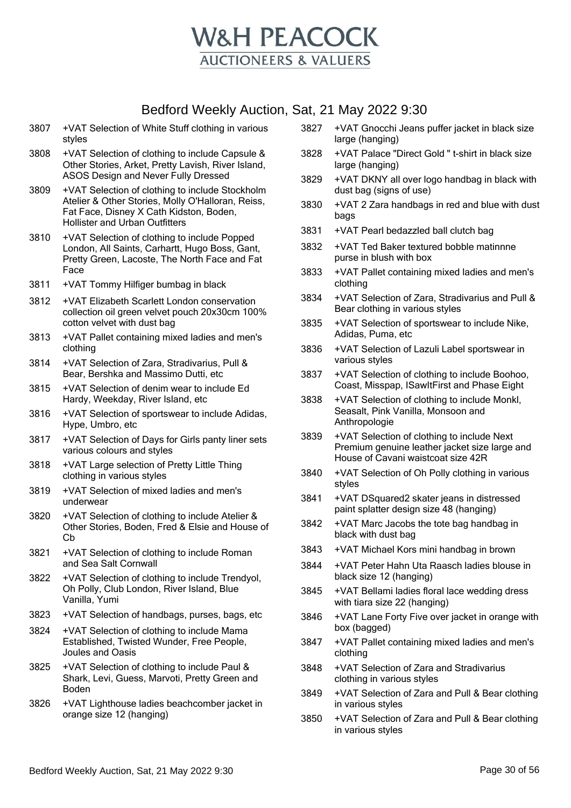

- 3807 +VAT Selection of White Stuff clothing in various styles
- 3808 +VAT Selection of clothing to include Capsule & Other Stories, Arket, Pretty Lavish, River Island, ASOS Design and Never Fully Dressed
- 3809 +VAT Selection of clothing to include Stockholm Atelier & Other Stories, Molly O'Halloran, Reiss, Fat Face, Disney X Cath Kidston, Boden, Hollister and Urban Outfitters
- 3810 +VAT Selection of clothing to include Popped London, All Saints, Carhartt, Hugo Boss, Gant, Pretty Green, Lacoste, The North Face and Fat Face
- 3811 +VAT Tommy Hilfiger bumbag in black
- 3812 +VAT Elizabeth Scarlett London conservation collection oil green velvet pouch 20x30cm 100% cotton velvet with dust bag
- 3813 +VAT Pallet containing mixed ladies and men's clothing
- 3814 +VAT Selection of Zara, Stradivarius, Pull & Bear, Bershka and Massimo Dutti, etc
- 3815 +VAT Selection of denim wear to include Ed Hardy, Weekday, River Island, etc
- 3816 +VAT Selection of sportswear to include Adidas, Hype, Umbro, etc
- 3817 +VAT Selection of Days for Girls panty liner sets various colours and styles
- 3818 +VAT Large selection of Pretty Little Thing clothing in various styles
- 3819 +VAT Selection of mixed ladies and men's underwear
- 3820 +VAT Selection of clothing to include Atelier & Other Stories, Boden, Fred & Elsie and House of Cb
- 3821 +VAT Selection of clothing to include Roman and Sea Salt Cornwall
- 3822 +VAT Selection of clothing to include Trendyol, Oh Polly, Club London, River Island, Blue Vanilla, Yumi
- 3823 +VAT Selection of handbags, purses, bags, etc
- 3824 +VAT Selection of clothing to include Mama Established, Twisted Wunder, Free People, Joules and Oasis
- 3825 +VAT Selection of clothing to include Paul & Shark, Levi, Guess, Marvoti, Pretty Green and Boden
- 3826 +VAT Lighthouse ladies beachcomber jacket in orange size 12 (hanging)
- 3827 +VAT Gnocchi Jeans puffer jacket in black size large (hanging)
- 3828 +VAT Palace "Direct Gold " t-shirt in black size large (hanging)
- 3829 +VAT DKNY all over logo handbag in black with dust bag (signs of use)
- 3830 +VAT 2 Zara handbags in red and blue with dust bags
- 3831 +VAT Pearl bedazzled ball clutch bag
- 3832 +VAT Ted Baker textured bobble matinnne purse in blush with box
- 3833 +VAT Pallet containing mixed ladies and men's clothing
- 3834 +VAT Selection of Zara, Stradivarius and Pull & Bear clothing in various styles
- 3835 +VAT Selection of sportswear to include Nike, Adidas, Puma, etc
- 3836 +VAT Selection of Lazuli Label sportswear in various styles
- 3837 +VAT Selection of clothing to include Boohoo, Coast, Misspap, ISawItFirst and Phase Eight
- 3838 +VAT Selection of clothing to include Monkl, Seasalt, Pink Vanilla, Monsoon and Anthropologie
- 3839 +VAT Selection of clothing to include Next Premium genuine leather jacket size large and House of Cavani waistcoat size 42R
- 3840 +VAT Selection of Oh Polly clothing in various styles
- 3841 +VAT DSquared2 skater jeans in distressed paint splatter design size 48 (hanging)
- 3842 +VAT Marc Jacobs the tote bag handbag in black with dust bag
- 3843 +VAT Michael Kors mini handbag in brown
- 3844 +VAT Peter Hahn Uta Raasch ladies blouse in black size 12 (hanging)
- 3845 +VAT Bellami ladies floral lace wedding dress with tiara size 22 (hanging)
- 3846 +VAT Lane Forty Five over jacket in orange with box (bagged)
- 3847 +VAT Pallet containing mixed ladies and men's clothing
- 3848 +VAT Selection of Zara and Stradivarius clothing in various styles
- 3849 +VAT Selection of Zara and Pull & Bear clothing in various styles
- 3850 +VAT Selection of Zara and Pull & Bear clothing in various styles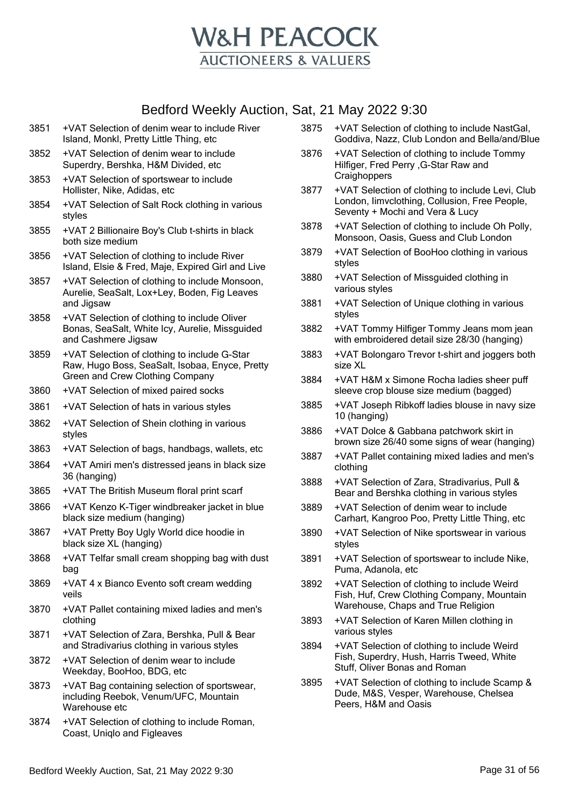

- 3851 +VAT Selection of denim wear to include River Island, Monkl, Pretty Little Thing, etc
- 3852 +VAT Selection of denim wear to include Superdry, Bershka, H&M Divided, etc
- 3853 +VAT Selection of sportswear to include Hollister, Nike, Adidas, etc
- 3854 +VAT Selection of Salt Rock clothing in various styles
- 3855 +VAT 2 Billionaire Boy's Club t-shirts in black both size medium
- 3856 +VAT Selection of clothing to include River Island, Elsie & Fred, Maje, Expired Girl and Live
- 3857 +VAT Selection of clothing to include Monsoon, Aurelie, SeaSalt, Lox+Ley, Boden, Fig Leaves and Jigsaw
- 3858 +VAT Selection of clothing to include Oliver Bonas, SeaSalt, White Icy, Aurelie, Missguided and Cashmere Jigsaw
- 3859 +VAT Selection of clothing to include G-Star Raw, Hugo Boss, SeaSalt, Isobaa, Enyce, Pretty Green and Crew Clothing Company
- 3860 +VAT Selection of mixed paired socks
- 3861 +VAT Selection of hats in various styles
- 3862 +VAT Selection of Shein clothing in various styles
- 3863 +VAT Selection of bags, handbags, wallets, etc
- 3864 +VAT Amiri men's distressed jeans in black size 36 (hanging)
- 3865 +VAT The British Museum floral print scarf
- 3866 +VAT Kenzo K-Tiger windbreaker jacket in blue black size medium (hanging)
- 3867 +VAT Pretty Boy Ugly World dice hoodie in black size XL (hanging)
- 3868 +VAT Telfar small cream shopping bag with dust bag
- 3869 +VAT 4 x Bianco Evento soft cream wedding veils
- 3870 +VAT Pallet containing mixed ladies and men's clothing
- 3871 +VAT Selection of Zara, Bershka, Pull & Bear and Stradivarius clothing in various styles
- 3872 +VAT Selection of denim wear to include Weekday, BooHoo, BDG, etc
- 3873 +VAT Bag containing selection of sportswear, including Reebok, Venum/UFC, Mountain Warehouse etc
- 3874 +VAT Selection of clothing to include Roman, Coast, Uniqlo and Figleaves
- 3875 +VAT Selection of clothing to include NastGal, Goddiva, Nazz, Club London and Bella/and/Blue
- 3876 +VAT Selection of clothing to include Tommy Hilfiger, Fred Perry ,G-Star Raw and **Craighoppers**
- 3877 +VAT Selection of clothing to include Levi, Club London, Iimvclothing, Collusion, Free People, Seventy + Mochi and Vera & Lucy
- 3878 +VAT Selection of clothing to include Oh Polly, Monsoon, Oasis, Guess and Club London
- 3879 +VAT Selection of BooHoo clothing in various styles
- 3880 +VAT Selection of Missguided clothing in various styles
- 3881 +VAT Selection of Unique clothing in various styles
- 3882 +VAT Tommy Hilfiger Tommy Jeans mom jean with embroidered detail size 28/30 (hanging)
- 3883 +VAT Bolongaro Trevor t-shirt and joggers both size XL
- 3884 +VAT H&M x Simone Rocha ladies sheer puff sleeve crop blouse size medium (bagged)
- 3885 +VAT Joseph Ribkoff ladies blouse in navy size 10 (hanging)
- 3886 +VAT Dolce & Gabbana patchwork skirt in brown size 26/40 some signs of wear (hanging)
- 3887 +VAT Pallet containing mixed ladies and men's clothing
- 3888 +VAT Selection of Zara, Stradivarius, Pull & Bear and Bershka clothing in various styles
- 3889 +VAT Selection of denim wear to include Carhart, Kangroo Poo, Pretty Little Thing, etc
- 3890 +VAT Selection of Nike sportswear in various styles
- 3891 +VAT Selection of sportswear to include Nike, Puma, Adanola, etc
- 3892 +VAT Selection of clothing to include Weird Fish, Huf, Crew Clothing Company, Mountain Warehouse, Chaps and True Religion
- 3893 +VAT Selection of Karen Millen clothing in various styles
- 3894 +VAT Selection of clothing to include Weird Fish, Superdry, Hush, Harris Tweed, White Stuff, Oliver Bonas and Roman
- 3895 +VAT Selection of clothing to include Scamp & Dude, M&S, Vesper, Warehouse, Chelsea Peers, H&M and Oasis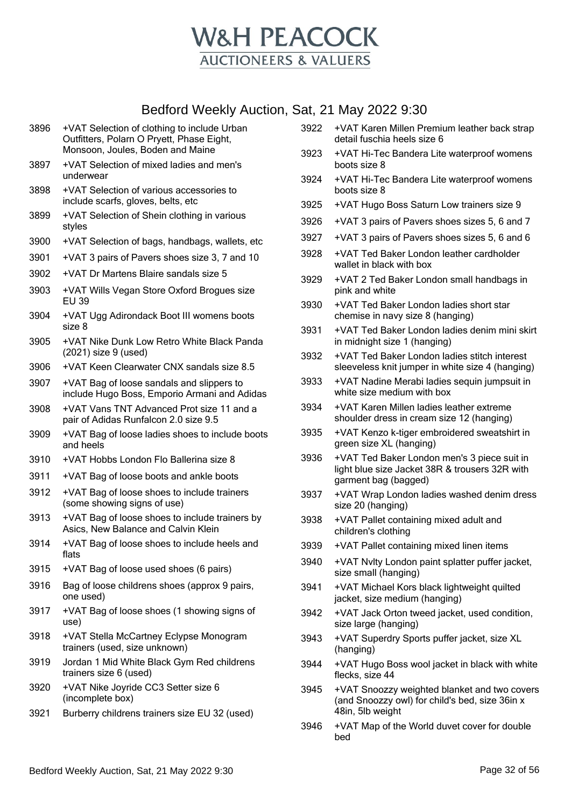

- 3897 +VAT Selection of mixed ladies and men's underwear
- 3898 +VAT Selection of various accessories to include scarfs, gloves, belts, etc
- 3899 +VAT Selection of Shein clothing in various styles
- 3900 +VAT Selection of bags, handbags, wallets, etc
- 3901 +VAT 3 pairs of Pavers shoes size 3, 7 and 10
- 3902 +VAT Dr Martens Blaire sandals size 5
- 3903 +VAT Wills Vegan Store Oxford Brogues size EU 39
- 3904 +VAT Ugg Adirondack Boot III womens boots size 8
- 3905 +VAT Nike Dunk Low Retro White Black Panda (2021) size 9 (used)
- 3906 +VAT Keen Clearwater CNX sandals size 8.5
- 3907 +VAT Bag of loose sandals and slippers to include Hugo Boss, Emporio Armani and Adidas
- 3908 +VAT Vans TNT Advanced Prot size 11 and a pair of Adidas Runfalcon 2.0 size 9.5
- 3909 +VAT Bag of loose ladies shoes to include boots and heels
- 3910 +VAT Hobbs London Flo Ballerina size 8
- 3911 +VAT Bag of loose boots and ankle boots
- 3912 +VAT Bag of loose shoes to include trainers (some showing signs of use)
- 3913 +VAT Bag of loose shoes to include trainers by Asics, New Balance and Calvin Klein
- 3914 +VAT Bag of loose shoes to include heels and flats
- 3915 +VAT Bag of loose used shoes (6 pairs)
- 3916 Bag of loose childrens shoes (approx 9 pairs, one used)
- 3917 +VAT Bag of loose shoes (1 showing signs of use)
- 3918 +VAT Stella McCartney Eclypse Monogram trainers (used, size unknown)
- 3919 Jordan 1 Mid White Black Gym Red childrens trainers size 6 (used)
- 3920 +VAT Nike Joyride CC3 Setter size 6 (incomplete box)
- 3921 Burberry childrens trainers size EU 32 (used)
- 3922 +VAT Karen Millen Premium leather back strap detail fuschia heels size 6
- 3923 +VAT Hi-Tec Bandera Lite waterproof womens boots size 8
- 3924 +VAT Hi-Tec Bandera Lite waterproof womens boots size 8
- 3925 +VAT Hugo Boss Saturn Low trainers size 9
- 3926 +VAT 3 pairs of Pavers shoes sizes 5, 6 and 7
- 3927 +VAT 3 pairs of Pavers shoes sizes 5, 6 and 6
- 3928 +VAT Ted Baker London leather cardholder wallet in black with box
- 3929 +VAT 2 Ted Baker London small handbags in pink and white
- 3930 +VAT Ted Baker London ladies short star chemise in navy size 8 (hanging)
- 3931 +VAT Ted Baker London ladies denim mini skirt in midnight size 1 (hanging)
- 3932 +VAT Ted Baker London ladies stitch interest sleeveless knit jumper in white size 4 (hanging)
- 3933 +VAT Nadine Merabi ladies sequin jumpsuit in white size medium with box
- 3934 +VAT Karen Millen ladies leather extreme shoulder dress in cream size 12 (hanging)
- 3935 +VAT Kenzo k-tiger embroidered sweatshirt in green size XL (hanging)
- 3936 +VAT Ted Baker London men's 3 piece suit in light blue size Jacket 38R & trousers 32R with garment bag (bagged)
- 3937 +VAT Wrap London ladies washed denim dress size 20 (hanging)
- 3938 +VAT Pallet containing mixed adult and children's clothing
- 3939 +VAT Pallet containing mixed linen items
- 3940 +VAT Nvlty London paint splatter puffer jacket, size small (hanging)
- 3941 +VAT Michael Kors black lightweight quilted jacket, size medium (hanging)
- 3942 +VAT Jack Orton tweed jacket, used condition, size large (hanging)
- 3943 +VAT Superdry Sports puffer jacket, size XL (hanging)
- 3944 +VAT Hugo Boss wool jacket in black with white flecks, size 44
- 3945 +VAT Snoozzy weighted blanket and two covers (and Snoozzy owl) for child's bed, size 36in x 48in, 5lb weight
- 3946 +VAT Map of the World duvet cover for double bed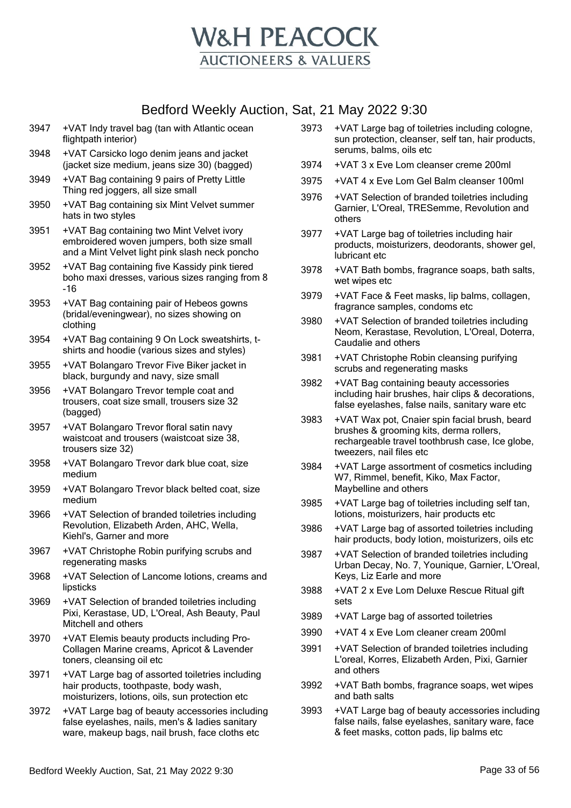

- 3947 +VAT Indy travel bag (tan with Atlantic ocean flightpath interior)
- 3948 +VAT Carsicko logo denim jeans and jacket (jacket size medium, jeans size 30) (bagged)
- 3949 +VAT Bag containing 9 pairs of Pretty Little Thing red joggers, all size small
- 3950 +VAT Bag containing six Mint Velvet summer hats in two styles
- 3951 +VAT Bag containing two Mint Velvet ivory embroidered woven jumpers, both size small and a Mint Velvet light pink slash neck poncho
- 3952 +VAT Bag containing five Kassidy pink tiered boho maxi dresses, various sizes ranging from 8 -16
- 3953 +VAT Bag containing pair of Hebeos gowns (bridal/eveningwear), no sizes showing on clothing
- 3954 +VAT Bag containing 9 On Lock sweatshirts, tshirts and hoodie (various sizes and styles)
- 3955 +VAT Bolangaro Trevor Five Biker jacket in black, burgundy and navy, size small
- 3956 +VAT Bolangaro Trevor temple coat and trousers, coat size small, trousers size 32 (bagged)
- 3957 +VAT Bolangaro Trevor floral satin navy waistcoat and trousers (waistcoat size 38, trousers size 32)
- 3958 +VAT Bolangaro Trevor dark blue coat, size medium
- 3959 +VAT Bolangaro Trevor black belted coat, size medium
- 3966 +VAT Selection of branded toiletries including Revolution, Elizabeth Arden, AHC, Wella, Kiehl's, Garner and more
- 3967 +VAT Christophe Robin purifying scrubs and regenerating masks
- 3968 +VAT Selection of Lancome lotions, creams and lipsticks
- 3969 +VAT Selection of branded toiletries including Pixi, Kerastase, UD, L'Oreal, Ash Beauty, Paul Mitchell and others
- 3970 +VAT Elemis beauty products including Pro-Collagen Marine creams, Apricot & Lavender toners, cleansing oil etc
- 3971 +VAT Large bag of assorted toiletries including hair products, toothpaste, body wash, moisturizers, lotions, oils, sun protection etc
- 3972 +VAT Large bag of beauty accessories including false eyelashes, nails, men's & ladies sanitary ware, makeup bags, nail brush, face cloths etc
- 3973 +VAT Large bag of toiletries including cologne, sun protection, cleanser, self tan, hair products, serums, balms, oils etc
- 3974 +VAT 3 x Eve Lom cleanser creme 200ml
- 3975 +VAT 4 x Eve Lom Gel Balm cleanser 100ml
- 3976 +VAT Selection of branded toiletries including Garnier, L'Oreal, TRESemme, Revolution and others
- 3977 +VAT Large bag of toiletries including hair products, moisturizers, deodorants, shower gel, lubricant etc
- 3978 +VAT Bath bombs, fragrance soaps, bath salts, wet wipes etc
- 3979 +VAT Face & Feet masks, lip balms, collagen, fragrance samples, condoms etc
- 3980 +VAT Selection of branded toiletries including Neom, Kerastase, Revolution, L'Oreal, Doterra, Caudalie and others
- 3981 +VAT Christophe Robin cleansing purifying scrubs and regenerating masks
- 3982 +VAT Bag containing beauty accessories including hair brushes, hair clips & decorations, false eyelashes, false nails, sanitary ware etc
- 3983 +VAT Wax pot, Cnaier spin facial brush, beard brushes & grooming kits, derma rollers, rechargeable travel toothbrush case, Ice globe, tweezers, nail files etc
- 3984 +VAT Large assortment of cosmetics including W7, Rimmel, benefit, Kiko, Max Factor, Maybelline and others
- 3985 +VAT Large bag of toiletries including self tan, lotions, moisturizers, hair products etc
- 3986 +VAT Large bag of assorted toiletries including hair products, body lotion, moisturizers, oils etc
- 3987 +VAT Selection of branded toiletries including Urban Decay, No. 7, Younique, Garnier, L'Oreal, Keys, Liz Earle and more
- 3988 +VAT 2 x Eve Lom Deluxe Rescue Ritual gift sets
- 3989 +VAT Large bag of assorted toiletries
- 3990 +VAT 4 x Eve Lom cleaner cream 200ml
- 3991 +VAT Selection of branded toiletries including L'oreal, Korres, Elizabeth Arden, Pixi, Garnier and others
- 3992 +VAT Bath bombs, fragrance soaps, wet wipes and bath salts
- 3993 +VAT Large bag of beauty accessories including false nails, false eyelashes, sanitary ware, face & feet masks, cotton pads, lip balms etc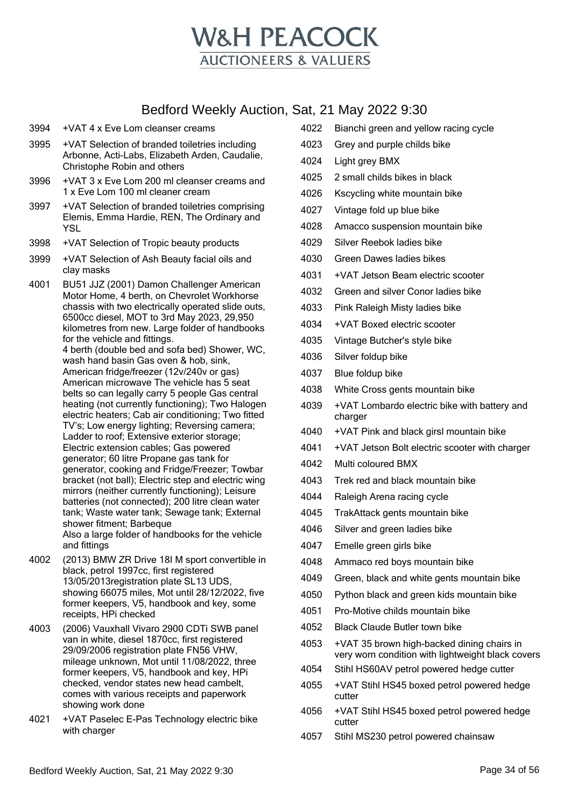

- 3994 +VAT 4 x Eve Lom cleanser creams
- 3995 +VAT Selection of branded toiletries including Arbonne, Acti-Labs, Elizabeth Arden, Caudalie, Christophe Robin and others
- 3996 +VAT 3 x Eve Lom 200 ml cleanser creams and 1 x Eve Lom 100 ml cleaner cream
- 3997 +VAT Selection of branded toiletries comprising Elemis, Emma Hardie, REN, The Ordinary and YSL
- 3998 +VAT Selection of Tropic beauty products
- 3999 +VAT Selection of Ash Beauty facial oils and clay masks
- 4001 BU51 JJZ (2001) Damon Challenger American Motor Home, 4 berth, on Chevrolet Workhorse chassis with two electrically operated slide outs, 6500cc diesel, MOT to 3rd May 2023, 29,950 kilometres from new. Large folder of handbooks for the vehicle and fittings. 4 berth (double bed and sofa bed) Shower, WC, wash hand basin Gas oven & hob, sink, American fridge/freezer (12v/240v or gas) American microwave The vehicle has 5 seat belts so can legally carry 5 people Gas central heating (not currently functioning); Two Halogen electric heaters; Cab air conditioning; Two fitted TV's; Low energy lighting; Reversing camera; Ladder to roof; Extensive exterior storage; Electric extension cables; Gas powered generator; 60 litre Propane gas tank for generator, cooking and Fridge/Freezer; Towbar bracket (not ball); Electric step and electric wing mirrors (neither currently functioning); Leisure batteries (not connected); 200 litre clean water tank; Waste water tank; Sewage tank; External shower fitment; Barbeque Also a large folder of handbooks for the vehicle and fittings
- 4002 (2013) BMW ZR Drive 18I M sport convertible in black, petrol 1997cc, first registered 13/05/2013registration plate SL13 UDS, showing 66075 miles, Mot until 28/12/2022, five former keepers, V5, handbook and key, some receipts, HPi checked
- 4003 (2006) Vauxhall Vivaro 2900 CDTi SWB panel van in white, diesel 1870cc, first registered 29/09/2006 registration plate FN56 VHW, mileage unknown, Mot until 11/08/2022, three former keepers, V5, handbook and key, HPi checked, vendor states new head cambelt, comes with various receipts and paperwork showing work done
- 4021 +VAT Paselec E-Pas Technology electric bike with charger
- 4022 Bianchi green and yellow racing cycle
- 4023 Grey and purple childs bike
- 4024 Light grey BMX
- 4025 2 small childs bikes in black
- 4026 Kscycling white mountain bike
- 4027 Vintage fold up blue bike
- 4028 Amacco suspension mountain bike
- 4029 Silver Reebok ladies bike
- 4030 Green Dawes ladies bikes
- 4031 +VAT Jetson Beam electric scooter
- 4032 Green and silver Conor ladies bike
- 4033 Pink Raleigh Misty ladies bike
- 4034 +VAT Boxed electric scooter
- 4035 Vintage Butcher's style bike
- 4036 Silver foldup bike
- 4037 Blue foldup bike
- 4038 White Cross gents mountain bike
- 4039 +VAT Lombardo electric bike with battery and charger
- 4040 +VAT Pink and black girsl mountain bike
- 4041 +VAT Jetson Bolt electric scooter with charger
- 4042 Multi coloured BMX
- 4043 Trek red and black mountain bike
- 4044 Raleigh Arena racing cycle
- 4045 TrakAttack gents mountain bike
- 4046 Silver and green ladies bike
- 4047 Emelle green girls bike
- 4048 Ammaco red boys mountain bike
- 4049 Green, black and white gents mountain bike
- 4050 Python black and green kids mountain bike
- 4051 Pro-Motive childs mountain bike
- 4052 Black Claude Butler town bike
- 4053 +VAT 35 brown high-backed dining chairs in very worn condition with lightweight black covers
- 4054 Stihl HS60AV petrol powered hedge cutter
- 4055 +VAT Stihl HS45 boxed petrol powered hedge cutter
- 4056 +VAT Stihl HS45 boxed petrol powered hedge cutter
- 4057 Stihl MS230 petrol powered chainsaw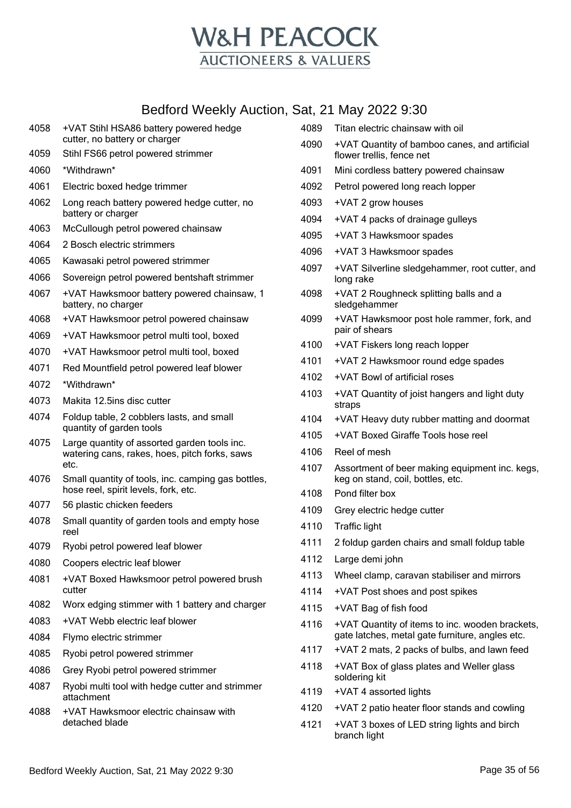

|              | Dedibid Weekly Auction, Sat, 21 May 2022 9.30                         |      |                                                                            |
|--------------|-----------------------------------------------------------------------|------|----------------------------------------------------------------------------|
| 4058         | +VAT Stihl HSA86 battery powered hedge                                | 4089 | Titan electric chainsaw with oil                                           |
| 4059         | cutter, no battery or charger<br>Stihl FS66 petrol powered strimmer   | 4090 | +VAT Quantity of bamboo canes, and artificial<br>flower trellis, fence net |
| 4060         | *Withdrawn*                                                           | 4091 | Mini cordless battery powered chainsaw                                     |
| 4061         | Electric boxed hedge trimmer                                          | 4092 | Petrol powered long reach lopper                                           |
| 4062         | Long reach battery powered hedge cutter, no                           | 4093 | +VAT 2 grow houses                                                         |
|              | battery or charger                                                    | 4094 | +VAT 4 packs of drainage gulleys                                           |
| 4063         | McCullough petrol powered chainsaw                                    | 4095 | +VAT 3 Hawksmoor spades                                                    |
| 4064         | 2 Bosch electric strimmers                                            | 4096 | +VAT 3 Hawksmoor spades                                                    |
| 4065         | Kawasaki petrol powered strimmer                                      | 4097 | +VAT Silverline sledgehammer, root cutter, and                             |
| 4066         | Sovereign petrol powered bentshaft strimmer                           |      | long rake                                                                  |
| 4067         | +VAT Hawksmoor battery powered chainsaw, 1<br>battery, no charger     | 4098 | +VAT 2 Roughneck splitting balls and a<br>sledgehammer                     |
| 4068         | +VAT Hawksmoor petrol powered chainsaw                                | 4099 | +VAT Hawksmoor post hole rammer, fork, and<br>pair of shears               |
| 4069         | +VAT Hawksmoor petrol multi tool, boxed                               | 4100 | +VAT Fiskers long reach lopper                                             |
| 4070         | +VAT Hawksmoor petrol multi tool, boxed                               | 4101 | +VAT 2 Hawksmoor round edge spades                                         |
| 4071         | Red Mountfield petrol powered leaf blower                             | 4102 | +VAT Bowl of artificial roses                                              |
| 4072         | *Withdrawn*                                                           | 4103 | +VAT Quantity of joist hangers and light duty                              |
| 4073         | Makita 12.5ins disc cutter                                            |      | straps                                                                     |
| 4074         | Foldup table, 2 cobblers lasts, and small<br>quantity of garden tools | 4104 | +VAT Heavy duty rubber matting and doormat                                 |
| 4075         | Large quantity of assorted garden tools inc.                          | 4105 | +VAT Boxed Giraffe Tools hose reel                                         |
|              | watering cans, rakes, hoes, pitch forks, saws                         | 4106 | Reel of mesh                                                               |
| 4076         | etc.<br>Small quantity of tools, inc. camping gas bottles,            | 4107 | Assortment of beer making equipment inc. kegs,                             |
|              | hose reel, spirit levels, fork, etc.                                  | 4108 | keg on stand, coil, bottles, etc.<br>Pond filter box                       |
| 4077         | 56 plastic chicken feeders                                            | 4109 | Grey electric hedge cutter                                                 |
| 4078         | Small quantity of garden tools and empty hose                         | 4110 | <b>Traffic light</b>                                                       |
|              | reel                                                                  | 4111 | 2 foldup garden chairs and small foldup table                              |
| 4079         | Ryobi petrol powered leaf blower                                      | 4112 | Large demi john                                                            |
| 4080<br>4081 | Coopers electric leaf blower                                          | 4113 | Wheel clamp, caravan stabiliser and mirrors                                |
|              | +VAT Boxed Hawksmoor petrol powered brush<br>cutter                   | 4114 | +VAT Post shoes and post spikes                                            |
| 4082         | Worx edging stimmer with 1 battery and charger                        | 4115 | +VAT Bag of fish food                                                      |
| 4083         | +VAT Webb electric leaf blower                                        | 4116 | +VAT Quantity of items to inc. wooden brackets,                            |
| 4084         | Flymo electric strimmer                                               |      | gate latches, metal gate furniture, angles etc.                            |
| 4085         | Ryobi petrol powered strimmer                                         | 4117 | +VAT 2 mats, 2 packs of bulbs, and lawn feed                               |
| 4086         | Grey Ryobi petrol powered strimmer                                    | 4118 | +VAT Box of glass plates and Weller glass<br>soldering kit                 |
| 4087         | Ryobi multi tool with hedge cutter and strimmer<br>attachment         | 4119 | +VAT 4 assorted lights                                                     |
| 4088         | +VAT Hawksmoor electric chainsaw with                                 | 4120 | +VAT 2 patio heater floor stands and cowling                               |
|              | detached blade                                                        | 4121 | +VAT 3 boxes of LED string lights and birch<br>branch light                |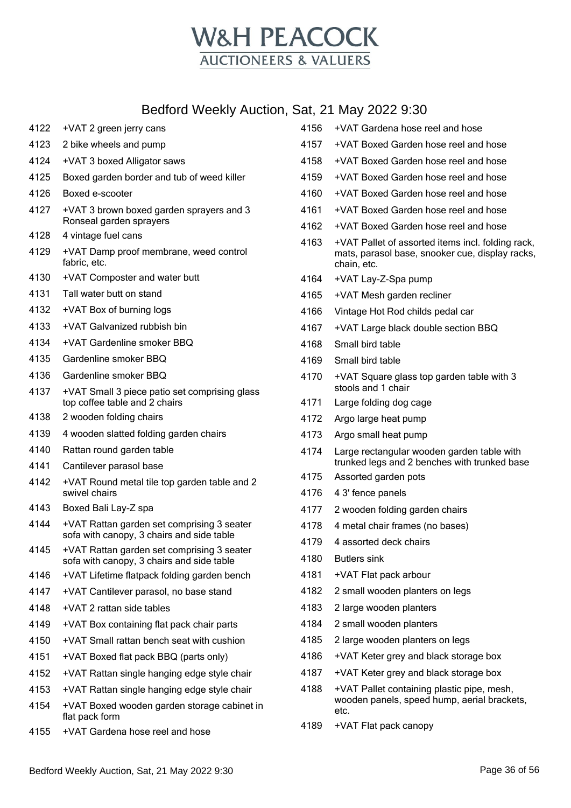

| 4122 | +VAT 2 green jerry cans                                                                 | 4156         |
|------|-----------------------------------------------------------------------------------------|--------------|
| 4123 | 2 bike wheels and pump                                                                  | 4157         |
| 4124 | +VAT 3 boxed Alligator saws                                                             | 4158         |
| 4125 | Boxed garden border and tub of weed killer                                              | 4159         |
| 4126 | Boxed e-scooter                                                                         | 4160         |
| 4127 | +VAT 3 brown boxed garden sprayers and 3<br>Ronseal garden sprayers                     | 4161<br>4162 |
| 4128 | 4 vintage fuel cans                                                                     | 4163         |
| 4129 | +VAT Damp proof membrane, weed control<br>fabric, etc.                                  |              |
| 4130 | +VAT Composter and water butt                                                           | 4164         |
| 4131 | Tall water butt on stand                                                                | 4165         |
| 4132 | +VAT Box of burning logs                                                                | 4166         |
| 4133 | +VAT Galvanized rubbish bin                                                             | 4167         |
| 4134 | +VAT Gardenline smoker BBQ                                                              | 4168         |
| 4135 | Gardenline smoker BBQ                                                                   | 4169         |
| 4136 | Gardenline smoker BBQ                                                                   | 4170         |
| 4137 | +VAT Small 3 piece patio set comprising glass<br>top coffee table and 2 chairs          | 4171         |
| 4138 | 2 wooden folding chairs                                                                 | 4172         |
| 4139 | 4 wooden slatted folding garden chairs                                                  | 4173         |
| 4140 | Rattan round garden table                                                               | 4174         |
| 4141 | Cantilever parasol base                                                                 |              |
| 4142 | +VAT Round metal tile top garden table and 2<br>swivel chairs                           | 4175<br>4176 |
| 4143 | Boxed Bali Lay-Z spa                                                                    | 4177         |
| 4144 | +VAT Rattan garden set comprising 3 seater<br>sofa with canopy, 3 chairs and side table | 4178         |
| 4145 | +VAT Rattan garden set comprising 3 seater<br>sofa with canopy, 3 chairs and side table | 4179<br>4180 |
| 4146 | +VAT Lifetime flatpack folding garden bench                                             | 4181         |
| 4147 | +VAT Cantilever parasol, no base stand                                                  | 4182         |
| 4148 | +VAT 2 rattan side tables                                                               | 4183         |
| 4149 | +VAT Box containing flat pack chair parts                                               | 4184         |
| 4150 | +VAT Small rattan bench seat with cushion                                               | 4185         |
| 4151 | +VAT Boxed flat pack BBQ (parts only)                                                   | 4186         |
| 4152 | +VAT Rattan single hanging edge style chair                                             | 4187         |
| 4153 | +VAT Rattan single hanging edge style chair                                             | 4188         |
| 4154 | +VAT Boxed wooden garden storage cabinet in<br>flat pack form                           |              |
| 4155 | +VAT Gardena hose reel and hose                                                         | 4189         |

|      | $u_i$ , $L$ i ividy $LULL$ J.JU                                                                                     |
|------|---------------------------------------------------------------------------------------------------------------------|
| 4156 | +VAT Gardena hose reel and hose                                                                                     |
| 4157 | +VAT Boxed Garden hose reel and hose                                                                                |
| 4158 | +VAT Boxed Garden hose reel and hose                                                                                |
| 4159 | +VAT Boxed Garden hose reel and hose                                                                                |
| 4160 | +VAT Boxed Garden hose reel and hose                                                                                |
| 4161 | +VAT Boxed Garden hose reel and hose                                                                                |
| 4162 | +VAT Boxed Garden hose reel and hose                                                                                |
| 4163 | +VAT Pallet of assorted items incl. folding rack,<br>mats, parasol base, snooker cue, display racks,<br>chain, etc. |
| 4164 | +VAT Lay-Z-Spa pump                                                                                                 |
| 4165 | +VAT Mesh garden recliner                                                                                           |
| 4166 | Vintage Hot Rod childs pedal car                                                                                    |
| 4167 | +VAT Large black double section BBQ                                                                                 |
| 4168 | Small bird table                                                                                                    |
| 4169 | Small bird table                                                                                                    |
| 4170 | +VAT Square glass top garden table with 3<br>stools and 1 chair                                                     |
| 4171 | Large folding dog cage                                                                                              |
| 4172 | Argo large heat pump                                                                                                |
| 4173 | Argo small heat pump                                                                                                |
| 4174 | Large rectangular wooden garden table with<br>trunked legs and 2 benches with trunked base                          |
| 4175 | Assorted garden pots                                                                                                |
| 4176 | 4 3' fence panels                                                                                                   |
| 4177 | 2 wooden folding garden chairs                                                                                      |
| 4178 | 4 metal chair frames (no bases)                                                                                     |
| 4179 | 4 assorted deck chairs                                                                                              |
| 4180 | <b>Butlers sink</b>                                                                                                 |
| 4181 | +VAT Flat pack arbour                                                                                               |
| 4182 | 2 small wooden planters on legs                                                                                     |
| 4183 | 2 large wooden planters                                                                                             |
| 4184 | 2 small wooden planters                                                                                             |
| 4185 | 2 large wooden planters on legs                                                                                     |
| 4186 | +VAT Keter grey and black storage box                                                                               |
| 4187 | +VAT Keter grey and black storage box                                                                               |
| 4188 | +VAT Pallet containing plastic pipe, mesh,<br>wooden panels, speed hump, aerial brackets,<br>etc.                   |
| 4189 | +VAT Flat pack canopy                                                                                               |
|      |                                                                                                                     |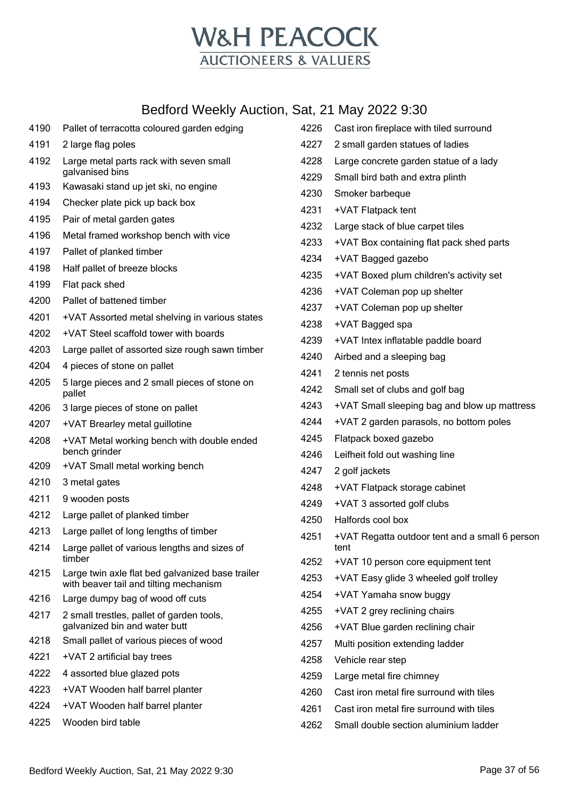

| 4190 | Pallet of terracotta coloured garden edging                                | 4226 | Cast iron fireplace with tiled surround        |
|------|----------------------------------------------------------------------------|------|------------------------------------------------|
| 4191 | 2 large flag poles                                                         | 4227 | 2 small garden statues of ladies               |
| 4192 | Large metal parts rack with seven small<br>galvanised bins                 | 4228 | Large concrete garden statue of a lady         |
| 4193 | Kawasaki stand up jet ski, no engine                                       | 4229 | Small bird bath and extra plinth               |
| 4194 | Checker plate pick up back box                                             | 4230 | Smoker barbeque                                |
| 4195 | Pair of metal garden gates                                                 | 4231 | +VAT Flatpack tent                             |
| 4196 | Metal framed workshop bench with vice                                      | 4232 | Large stack of blue carpet tiles               |
| 4197 | Pallet of planked timber                                                   | 4233 | +VAT Box containing flat pack shed parts       |
| 4198 | Half pallet of breeze blocks                                               | 4234 | +VAT Bagged gazebo                             |
| 4199 | Flat pack shed                                                             | 4235 | +VAT Boxed plum children's activity set        |
| 4200 | Pallet of battened timber                                                  | 4236 | +VAT Coleman pop up shelter                    |
| 4201 | +VAT Assorted metal shelving in various states                             | 4237 | +VAT Coleman pop up shelter                    |
| 4202 | +VAT Steel scaffold tower with boards                                      | 4238 | +VAT Bagged spa                                |
| 4203 | Large pallet of assorted size rough sawn timber                            | 4239 | +VAT Intex inflatable paddle board             |
| 4204 | 4 pieces of stone on pallet                                                | 4240 | Airbed and a sleeping bag                      |
| 4205 | 5 large pieces and 2 small pieces of stone on                              | 4241 | 2 tennis net posts                             |
|      | pallet                                                                     | 4242 | Small set of clubs and golf bag                |
| 4206 | 3 large pieces of stone on pallet                                          | 4243 | +VAT Small sleeping bag and blow up mattress   |
| 4207 | +VAT Brearley metal guillotine                                             | 4244 | +VAT 2 garden parasols, no bottom poles        |
| 4208 | +VAT Metal working bench with double ended                                 | 4245 | Flatpack boxed gazebo                          |
|      | bench grinder                                                              | 4246 | Leifheit fold out washing line                 |
| 4209 | +VAT Small metal working bench                                             | 4247 | 2 golf jackets                                 |
| 4210 | 3 metal gates                                                              | 4248 | +VAT Flatpack storage cabinet                  |
| 4211 | 9 wooden posts                                                             | 4249 | +VAT 3 assorted golf clubs                     |
| 4212 | Large pallet of planked timber                                             | 4250 | Halfords cool box                              |
| 4213 | Large pallet of long lengths of timber                                     | 4251 | +VAT Regatta outdoor tent and a small 6 person |
| 4214 | Large pallet of various lengths and sizes of<br>timber                     | 4252 | tent<br>+VAT 10 person core equipment tent     |
| 4215 | Large twin axle flat bed galvanized base trailer                           | 4253 | +VAT Easy glide 3 wheeled golf trolley         |
|      | with beaver tail and tilting mechanism                                     | 4254 | +VAT Yamaha snow buggy                         |
| 4216 | Large dumpy bag of wood off cuts                                           | 4255 | +VAT 2 grey reclining chairs                   |
| 4217 | 2 small trestles, pallet of garden tools,<br>galvanized bin and water butt | 4256 | +VAT Blue garden reclining chair               |
| 4218 | Small pallet of various pieces of wood                                     | 4257 | Multi position extending ladder                |
| 4221 | +VAT 2 artificial bay trees                                                | 4258 | Vehicle rear step                              |
| 4222 | 4 assorted blue glazed pots                                                | 4259 | Large metal fire chimney                       |
| 4223 | +VAT Wooden half barrel planter                                            | 4260 | Cast iron metal fire surround with tiles       |
| 4224 | +VAT Wooden half barrel planter                                            | 4261 | Cast iron metal fire surround with tiles       |
| 4225 | Wooden bird table                                                          | 4262 | Small double section aluminium ladder          |
|      |                                                                            |      |                                                |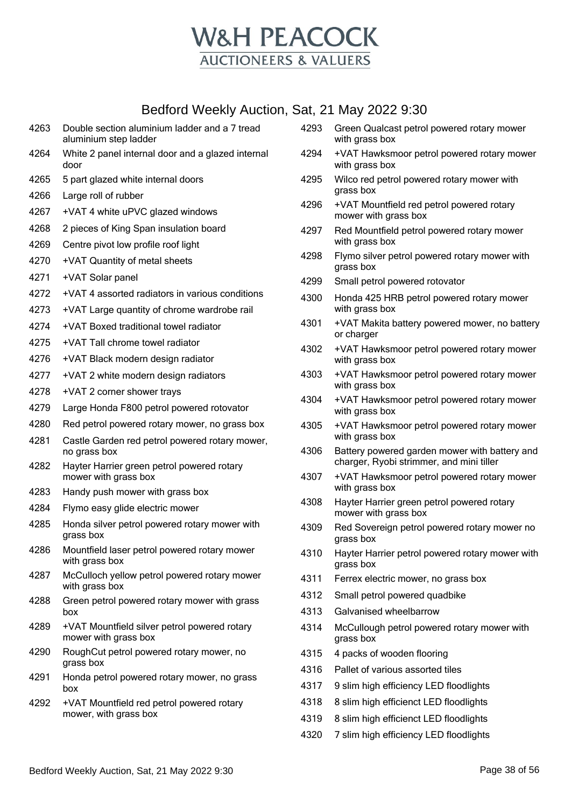

- Double section aluminium ladder and a 7 tread aluminium step ladder White 2 panel internal door and a glazed internal door
- 5 part glazed white internal doors
- Large roll of rubber
- +VAT 4 white uPVC glazed windows
- 2 pieces of King Span insulation board
- Centre pivot low profile roof light
- +VAT Quantity of metal sheets
- +VAT Solar panel
- +VAT 4 assorted radiators in various conditions
- +VAT Large quantity of chrome wardrobe rail
- +VAT Boxed traditional towel radiator
- +VAT Tall chrome towel radiator
- +VAT Black modern design radiator
- +VAT 2 white modern design radiators
- +VAT 2 corner shower trays
- Large Honda F800 petrol powered rotovator
- Red petrol powered rotary mower, no grass box
- Castle Garden red petrol powered rotary mower, no grass box
- Hayter Harrier green petrol powered rotary mower with grass box
- Handy push mower with grass box
- Flymo easy glide electric mower
- Honda silver petrol powered rotary mower with grass box
- Mountfield laser petrol powered rotary mower with grass box
- McCulloch yellow petrol powered rotary mower with grass box
- Green petrol powered rotary mower with grass box
- +VAT Mountfield silver petrol powered rotary mower with grass box
- RoughCut petrol powered rotary mower, no grass box
- Honda petrol powered rotary mower, no grass box
- +VAT Mountfield red petrol powered rotary mower, with grass box
- Green Qualcast petrol powered rotary mower with grass box
- +VAT Hawksmoor petrol powered rotary mower with grass box
- Wilco red petrol powered rotary mower with grass box
- +VAT Mountfield red petrol powered rotary mower with grass box
- Red Mountfield petrol powered rotary mower with grass box
- Flymo silver petrol powered rotary mower with grass box
- Small petrol powered rotovator
- Honda 425 HRB petrol powered rotary mower with grass box
- +VAT Makita battery powered mower, no battery or charger
- +VAT Hawksmoor petrol powered rotary mower with grass box
- +VAT Hawksmoor petrol powered rotary mower with grass box
- +VAT Hawksmoor petrol powered rotary mower with grass box
- +VAT Hawksmoor petrol powered rotary mower with grass box
- Battery powered garden mower with battery and charger, Ryobi strimmer, and mini tiller
- +VAT Hawksmoor petrol powered rotary mower with grass box
- Hayter Harrier green petrol powered rotary mower with grass box
- Red Sovereign petrol powered rotary mower no grass box
- Hayter Harrier petrol powered rotary mower with grass box
- Ferrex electric mower, no grass box
- Small petrol powered quadbike
- Galvanised wheelbarrow
- McCullough petrol powered rotary mower with grass box
- 4 packs of wooden flooring
- Pallet of various assorted tiles
- 9 slim high efficiency LED floodlights
- 8 slim high efficienct LED floodlights
- 8 slim high efficienct LED floodlights
- 7 slim high efficiency LED floodlights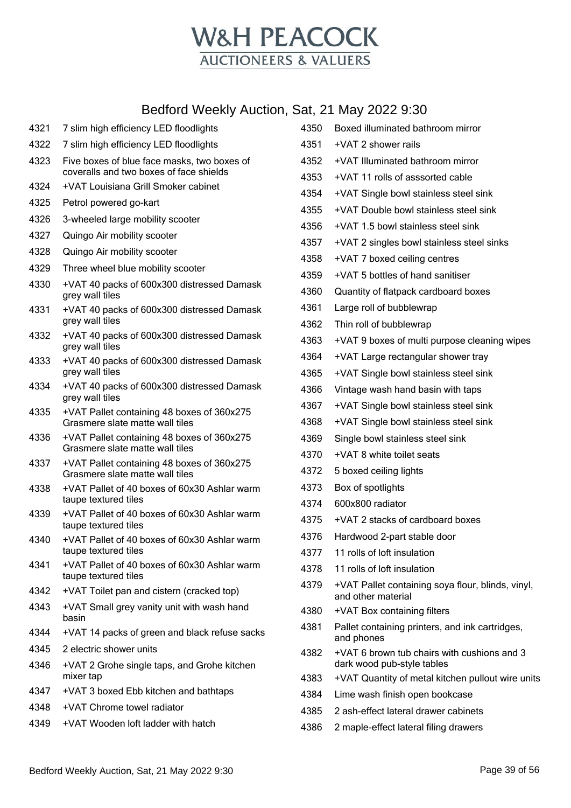

| 4321 | 7 slim high efficiency LED floodlights                                                 |
|------|----------------------------------------------------------------------------------------|
| 4322 | 7 slim high efficiency LED floodlights                                                 |
| 4323 | Five boxes of blue face masks, two boxes of<br>coveralls and two boxes of face shields |
| 4324 | +VAT Louisiana Grill Smoker cabinet                                                    |
| 4325 | Petrol powered go-kart                                                                 |
| 4326 | 3-wheeled large mobility scooter                                                       |
| 4327 | Quingo Air mobility scooter                                                            |
| 4328 | Quingo Air mobility scooter                                                            |
| 4329 | Three wheel blue mobility scooter                                                      |
| 4330 | +VAT 40 packs of 600x300 distressed Damask<br>grey wall tiles                          |
| 4331 | +VAT 40 packs of 600x300 distressed Damask<br>grey wall tiles                          |
| 4332 | +VAT 40 packs of 600x300 distressed Damask<br>grey wall tiles                          |
| 4333 | +VAT 40 packs of 600x300 distressed Damask<br>grey wall tiles                          |
| 4334 | +VAT 40 packs of 600x300 distressed Damask<br>grey wall tiles                          |
| 4335 | +VAT Pallet containing 48 boxes of 360x275<br>Grasmere slate matte wall tiles          |
| 4336 | +VAT Pallet containing 48 boxes of 360x275<br>Grasmere slate matte wall tiles          |
| 4337 | +VAT Pallet containing 48 boxes of 360x275<br>Grasmere slate matte wall tiles          |
| 4338 | +VAT Pallet of 40 boxes of 60x30 Ashlar warm<br>taupe textured tiles                   |
| 4339 | +VAT Pallet of 40 boxes of 60x30 Ashlar warm<br>taupe textured tiles                   |
| 4340 | +VAT Pallet of 40 boxes of 60x30 Ashlar warm<br>taupe textured tiles                   |
| 4341 | +VAT Pallet of 40 boxes of 60x30 Ashlar warm<br>taupe textured tiles                   |
| 4342 | +VAT Toilet pan and cistern (cracked top)                                              |
| 4343 | +VAT Small grey vanity unit with wash hand<br>basin                                    |
| 4344 | +VAT 14 packs of green and black refuse sacks                                          |
| 4345 | 2 electric shower units                                                                |
| 4346 | +VAT 2 Grohe single taps, and Grohe kitchen<br>mixer tap                               |
| 4347 | +VAT 3 boxed Ebb kitchen and bathtaps                                                  |
| 4348 | +VAT Chrome towel radiator                                                             |
| 4349 | +VAT Wooden loft ladder with hatch                                                     |

| 4350 | Boxed illuminated bathroom mirror                                         |
|------|---------------------------------------------------------------------------|
| 4351 | +VAT 2 shower rails                                                       |
| 4352 | +VAT Illuminated bathroom mirror                                          |
| 4353 | +VAT 11 rolls of asssorted cable                                          |
| 4354 | +VAT Single bowl stainless steel sink                                     |
| 4355 | +VAT Double bowl stainless steel sink                                     |
| 4356 | +VAT 1.5 bowl stainless steel sink                                        |
| 4357 | +VAT 2 singles bowl stainless steel sinks                                 |
| 4358 | +VAT 7 boxed ceiling centres                                              |
| 4359 | +VAT 5 bottles of hand sanitiser                                          |
| 4360 | Quantity of flatpack cardboard boxes                                      |
| 4361 | Large roll of bubblewrap                                                  |
| 4362 | Thin roll of bubblewrap                                                   |
| 4363 | +VAT 9 boxes of multi purpose cleaning wipes                              |
| 4364 | +VAT Large rectangular shower tray                                        |
| 4365 | +VAT Single bowl stainless steel sink                                     |
| 4366 | Vintage wash hand basin with taps                                         |
| 4367 | +VAT Single bowl stainless steel sink                                     |
| 4368 | +VAT Single bowl stainless steel sink                                     |
| 4369 | Single bowl stainless steel sink                                          |
| 4370 | +VAT 8 white toilet seats                                                 |
| 4372 | 5 boxed ceiling lights                                                    |
| 4373 | Box of spotlights                                                         |
| 4374 | 600x800 radiator                                                          |
| 4375 | +VAT 2 stacks of cardboard boxes                                          |
| 4376 | Hardwood 2-part stable door                                               |
| 4377 | 11 rolls of loft insulation                                               |
| 4378 | 11 rolls of loft insulation                                               |
| 4379 | +VAT Pallet containing soya flour, blinds, vinyl,<br>and other material   |
| 4380 | +VAT Box containing filters                                               |
| 4381 | Pallet containing printers, and ink cartridges,<br>and phones             |
| 4382 | +VAT 6 brown tub chairs with cushions and 3<br>dark wood pub-style tables |
| 4383 | +VAT Quantity of metal kitchen pullout wire units                         |
| 4384 | Lime wash finish open bookcase                                            |
| 4385 | 2 ash-effect lateral drawer cabinets                                      |
| 4386 | 2 maple-effect lateral filing drawers                                     |
|      |                                                                           |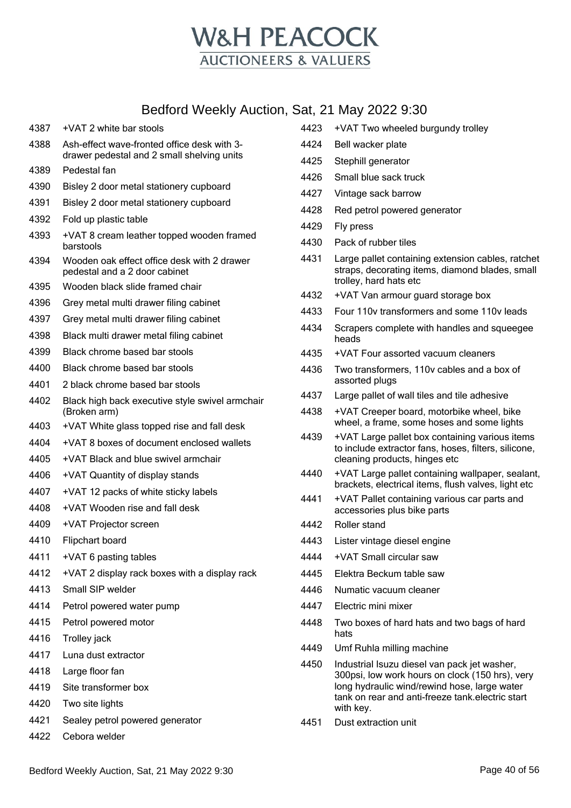

- +VAT 2 white bar stools
- Ash-effect wave-fronted office desk with 3 drawer pedestal and 2 small shelving units
- Pedestal fan
- Bisley 2 door metal stationery cupboard
- Bisley 2 door metal stationery cupboard
- Fold up plastic table
- +VAT 8 cream leather topped wooden framed barstools
- Wooden oak effect office desk with 2 drawer pedestal and a 2 door cabinet
- Wooden black slide framed chair
- Grey metal multi drawer filing cabinet
- Grey metal multi drawer filing cabinet
- Black multi drawer metal filing cabinet
- Black chrome based bar stools
- Black chrome based bar stools
- 2 black chrome based bar stools
- Black high back executive style swivel armchair (Broken arm)
- +VAT White glass topped rise and fall desk
- +VAT 8 boxes of document enclosed wallets
- +VAT Black and blue swivel armchair
- +VAT Quantity of display stands
- +VAT 12 packs of white sticky labels
- +VAT Wooden rise and fall desk
- +VAT Projector screen
- Flipchart board
- +VAT 6 pasting tables
- +VAT 2 display rack boxes with a display rack
- Small SIP welder
- Petrol powered water pump
- Petrol powered motor
- Trolley jack
- Luna dust extractor
- Large floor fan
- Site transformer box
- Two site lights
- Sealey petrol powered generator
- Cebora welder
- +VAT Two wheeled burgundy trolley
- Bell wacker plate
- Stephill generator
- Small blue sack truck
- Vintage sack barrow
- Red petrol powered generator
- Fly press
- Pack of rubber tiles
- Large pallet containing extension cables, ratchet straps, decorating items, diamond blades, small trolley, hard hats etc
- +VAT Van armour guard storage box
- Four 110v transformers and some 110v leads
- Scrapers complete with handles and squeegee heads
- +VAT Four assorted vacuum cleaners
- Two transformers, 110v cables and a box of assorted plugs
- Large pallet of wall tiles and tile adhesive
- +VAT Creeper board, motorbike wheel, bike wheel, a frame, some hoses and some lights
- +VAT Large pallet box containing various items to include extractor fans, hoses, filters, silicone, cleaning products, hinges etc
- +VAT Large pallet containing wallpaper, sealant, brackets, electrical items, flush valves, light etc
- +VAT Pallet containing various car parts and accessories plus bike parts
- Roller stand
- Lister vintage diesel engine
- +VAT Small circular saw
- Elektra Beckum table saw
- Numatic vacuum cleaner
- Electric mini mixer
- Two boxes of hard hats and two bags of hard hats
- Umf Ruhla milling machine
- Industrial Isuzu diesel van pack jet washer, 300psi, low work hours on clock (150 hrs), very long hydraulic wind/rewind hose, large water tank on rear and anti-freeze tank.electric start with key.
- Dust extraction unit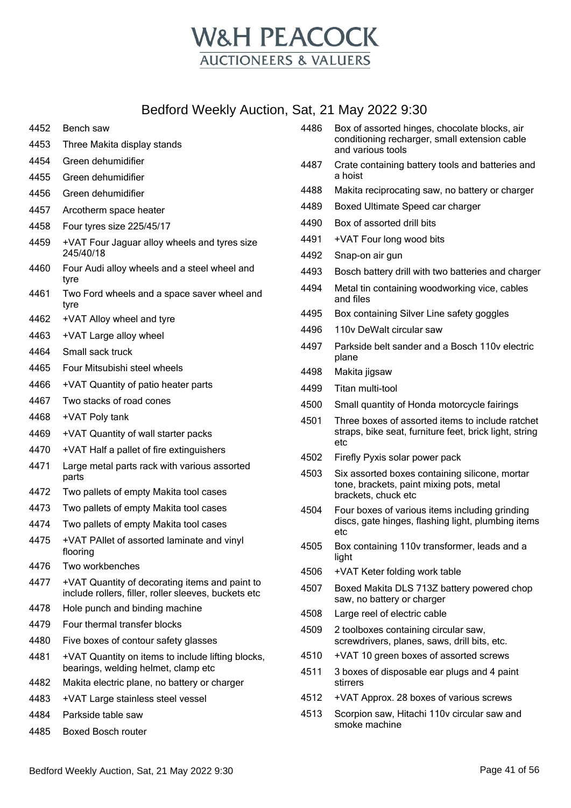

- Bench saw
- Three Makita display stands
- Green dehumidifier
- Green dehumidifier
- Green dehumidifier
- Arcotherm space heater
- Four tyres size 225/45/17
- +VAT Four Jaguar alloy wheels and tyres size 245/40/18
- Four Audi alloy wheels and a steel wheel and tyre
- Two Ford wheels and a space saver wheel and tyre
- +VAT Alloy wheel and tyre
- +VAT Large alloy wheel
- Small sack truck
- Four Mitsubishi steel wheels
- +VAT Quantity of patio heater parts
- Two stacks of road cones
- +VAT Poly tank
- +VAT Quantity of wall starter packs
- +VAT Half a pallet of fire extinguishers
- Large metal parts rack with various assorted parts
- Two pallets of empty Makita tool cases
- Two pallets of empty Makita tool cases
- Two pallets of empty Makita tool cases
- +VAT PAllet of assorted laminate and vinyl flooring
- Two workbenches
- +VAT Quantity of decorating items and paint to include rollers, filler, roller sleeves, buckets etc
- Hole punch and binding machine
- Four thermal transfer blocks
- Five boxes of contour safety glasses
- +VAT Quantity on items to include lifting blocks, bearings, welding helmet, clamp etc
- Makita electric plane, no battery or charger
- +VAT Large stainless steel vessel
- Parkside table saw
- Boxed Bosch router
- Box of assorted hinges, chocolate blocks, air conditioning recharger, small extension cable and various tools Crate containing battery tools and batteries and a hoist Makita reciprocating saw, no battery or charger Boxed Ultimate Speed car charger Box of assorted drill bits +VAT Four long wood bits Snap-on air gun Bosch battery drill with two batteries and charger Metal tin containing woodworking vice, cables and files Box containing Silver Line safety goggles 110v DeWalt circular saw Parkside belt sander and a Bosch 110v electric plane Makita jigsaw Titan multi-tool Small quantity of Honda motorcycle fairings Three boxes of assorted items to include ratchet straps, bike seat, furniture feet, brick light, string etc Firefly Pyxis solar power pack Six assorted boxes containing silicone, mortar tone, brackets, paint mixing pots, metal brackets, chuck etc Four boxes of various items including grinding discs, gate hinges, flashing light, plumbing items etc Box containing 110v transformer, leads and a light
- +VAT Keter folding work table
- Boxed Makita DLS 713Z battery powered chop saw, no battery or charger
- Large reel of electric cable
- 2 toolboxes containing circular saw, screwdrivers, planes, saws, drill bits, etc.
- +VAT 10 green boxes of assorted screws
- 3 boxes of disposable ear plugs and 4 paint stirrers
- +VAT Approx. 28 boxes of various screws
- Scorpion saw, Hitachi 110v circular saw and smoke machine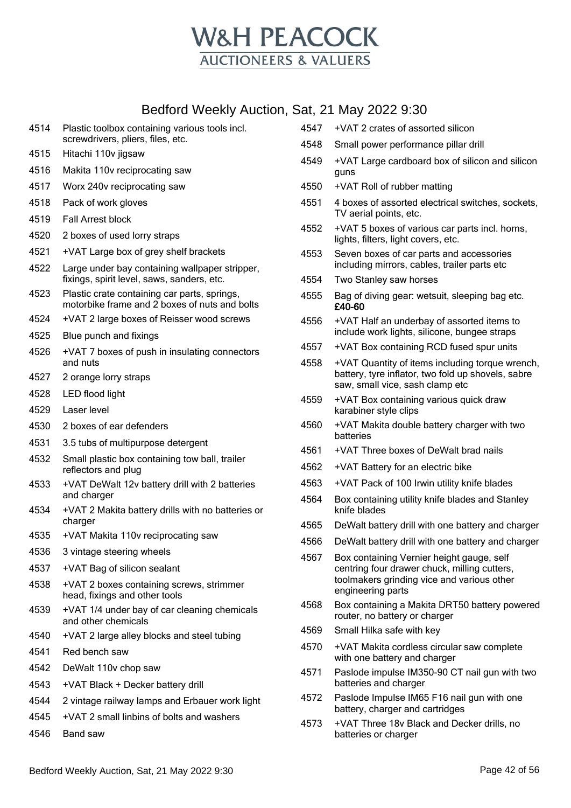

- Plastic toolbox containing various tools incl. screwdrivers, pliers, files, etc.
- Hitachi 110v jigsaw
- Makita 110v reciprocating saw
- Worx 240v reciprocating saw
- Pack of work gloves
- Fall Arrest block
- 2 boxes of used lorry straps
- +VAT Large box of grey shelf brackets
- Large under bay containing wallpaper stripper, fixings, spirit level, saws, sanders, etc.
- Plastic crate containing car parts, springs, motorbike frame and 2 boxes of nuts and bolts
- +VAT 2 large boxes of Reisser wood screws
- Blue punch and fixings
- +VAT 7 boxes of push in insulating connectors and nuts
- 2 orange lorry straps
- LED flood light
- Laser level
- 2 boxes of ear defenders
- 3.5 tubs of multipurpose detergent
- Small plastic box containing tow ball, trailer reflectors and plug
- +VAT DeWalt 12v battery drill with 2 batteries and charger
- +VAT 2 Makita battery drills with no batteries or charger
- +VAT Makita 110v reciprocating saw
- 3 vintage steering wheels
- +VAT Bag of silicon sealant
- +VAT 2 boxes containing screws, strimmer head, fixings and other tools
- +VAT 1/4 under bay of car cleaning chemicals and other chemicals
- +VAT 2 large alley blocks and steel tubing
- Red bench saw
- DeWalt 110v chop saw
- +VAT Black + Decker battery drill
- 2 vintage railway lamps and Erbauer work light
- +VAT 2 small linbins of bolts and washers
- Band saw
- +VAT 2 crates of assorted silicon
- Small power performance pillar drill
- +VAT Large cardboard box of silicon and silicon guns
- +VAT Roll of rubber matting
- 4 boxes of assorted electrical switches, sockets, TV aerial points, etc.
- +VAT 5 boxes of various car parts incl. horns, lights, filters, light covers, etc.
- Seven boxes of car parts and accessories including mirrors, cables, trailer parts etc
- Two Stanley saw horses
- Bag of diving gear: wetsuit, sleeping bag etc. £40-60
- +VAT Half an underbay of assorted items to include work lights, silicone, bungee straps
- +VAT Box containing RCD fused spur units
- +VAT Quantity of items including torque wrench, battery, tyre inflator, two fold up shovels, sabre saw, small vice, sash clamp etc
- +VAT Box containing various quick draw karabiner style clips
- +VAT Makita double battery charger with two batteries
- +VAT Three boxes of DeWalt brad nails
- +VAT Battery for an electric bike
- +VAT Pack of 100 Irwin utility knife blades
- Box containing utility knife blades and Stanley knife blades
- DeWalt battery drill with one battery and charger
- DeWalt battery drill with one battery and charger
- Box containing Vernier height gauge, self centring four drawer chuck, milling cutters, toolmakers grinding vice and various other engineering parts
- Box containing a Makita DRT50 battery powered router, no battery or charger
- Small Hilka safe with key
- +VAT Makita cordless circular saw complete with one battery and charger
- Paslode impulse IM350-90 CT nail gun with two batteries and charger
- Paslode Impulse IM65 F16 nail gun with one battery, charger and cartridges
- +VAT Three 18v Black and Decker drills, no batteries or charger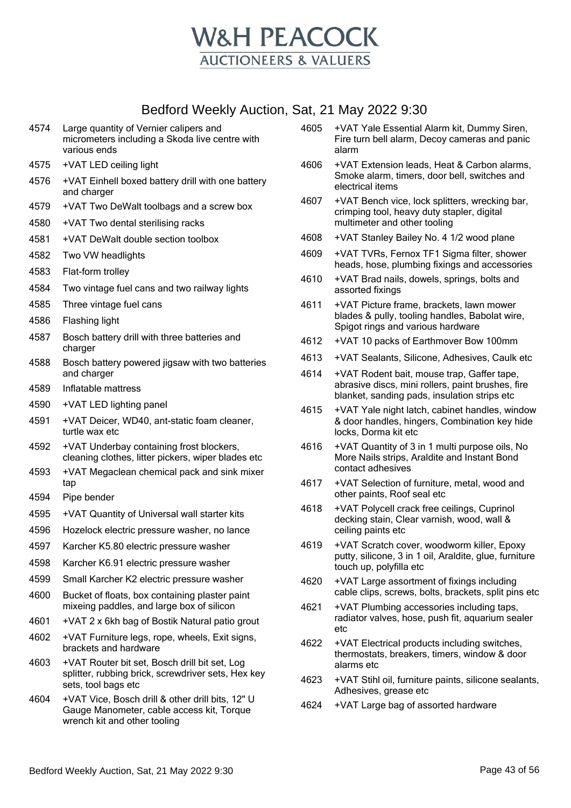

- 4574 Large quantity of Vernier calipers and micrometers including a Skoda live centre with various ends
- 4575 +VAT LED ceiling light
- 4576 +VAT Einhell boxed battery drill with one battery and charger
- 4579 +VAT Two DeWalt toolbags and a screw box
- 4580 +VAT Two dental sterilising racks
- 4581 +VAT DeWalt double section toolbox
- 4582 Two VW headlights
- 4583 Flat-form trolley
- 4584 Two vintage fuel cans and two railway lights
- 4585 Three vintage fuel cans
- 4586 Flashing light
- 4587 Bosch battery drill with three batteries and charger
- 4588 Bosch battery powered jigsaw with two batteries and charger
- 4589 Inflatable mattress
- 4590 +VAT LED lighting panel
- 4591 +VAT Deicer, WD40, ant-static foam cleaner, turtle wax etc
- 4592 +VAT Underbay containing frost blockers, cleaning clothes, litter pickers, wiper blades etc
- 4593 +VAT Megaclean chemical pack and sink mixer tap
- 4594 Pipe bender
- 4595 +VAT Quantity of Universal wall starter kits
- 4596 Hozelock electric pressure washer, no lance
- 4597 Karcher K5.80 electric pressure washer
- 4598 Karcher K6.91 electric pressure washer
- 4599 Small Karcher K2 electric pressure washer
- 4600 Bucket of floats, box containing plaster paint mixeing paddles, and large box of silicon
- 4601 +VAT 2 x 6kh bag of Bostik Natural patio grout
- 4602 +VAT Furniture legs, rope, wheels, Exit signs, brackets and hardware
- 4603 +VAT Router bit set, Bosch drill bit set, Log splitter, rubbing brick, screwdriver sets, Hex key sets, tool bags etc
- 4604 +VAT Vice, Bosch drill & other drill bits, 12" U Gauge Manometer, cable access kit, Torque wrench kit and other tooling
- 4605 +VAT Yale Essential Alarm kit, Dummy Siren, Fire turn bell alarm, Decoy cameras and panic alarm
- 4606 +VAT Extension leads, Heat & Carbon alarms, Smoke alarm, timers, door bell, switches and electrical items
- 4607 +VAT Bench vice, lock splitters, wrecking bar, crimping tool, heavy duty stapler, digital multimeter and other tooling
- 4608 +VAT Stanley Bailey No. 4 1/2 wood plane
- 4609 +VAT TVRs, Fernox TF1 Sigma filter, shower heads, hose, plumbing fixings and accessories
- 4610 +VAT Brad nails, dowels, springs, bolts and assorted fixings
- 4611 +VAT Picture frame, brackets, lawn mower blades & pully, tooling handles, Babolat wire, Spigot rings and various hardware
- 4612 +VAT 10 packs of Earthmover Bow 100mm
- 4613 +VAT Sealants, Silicone, Adhesives, Caulk etc
- 4614 +VAT Rodent bait, mouse trap, Gaffer tape, abrasive discs, mini rollers, paint brushes, fire blanket, sanding pads, insulation strips etc
- 4615 +VAT Yale night latch, cabinet handles, window & door handles, hingers, Combination key hide locks, Dorma kit etc
- 4616 +VAT Quantity of 3 in 1 multi purpose oils, No More Nails strips, Araldite and Instant Bond contact adhesives
- 4617 +VAT Selection of furniture, metal, wood and other paints, Roof seal etc
- 4618 +VAT Polycell crack free ceilings, Cuprinol decking stain, Clear varnish, wood, wall & ceiling paints etc
- 4619 +VAT Scratch cover, woodworm killer, Epoxy putty, silicone, 3 in 1 oil, Araldite, glue, furniture touch up, polyfilla etc
- 4620 +VAT Large assortment of fixings including cable clips, screws, bolts, brackets, split pins etc
- 4621 +VAT Plumbing accessories including taps, radiator valves, hose, push fit, aquarium sealer etc
- 4622 +VAT Electrical products including switches, thermostats, breakers, timers, window & door alarms etc
- 4623 +VAT Stihl oil, furniture paints, silicone sealants, Adhesives, grease etc
- 4624 +VAT Large bag of assorted hardware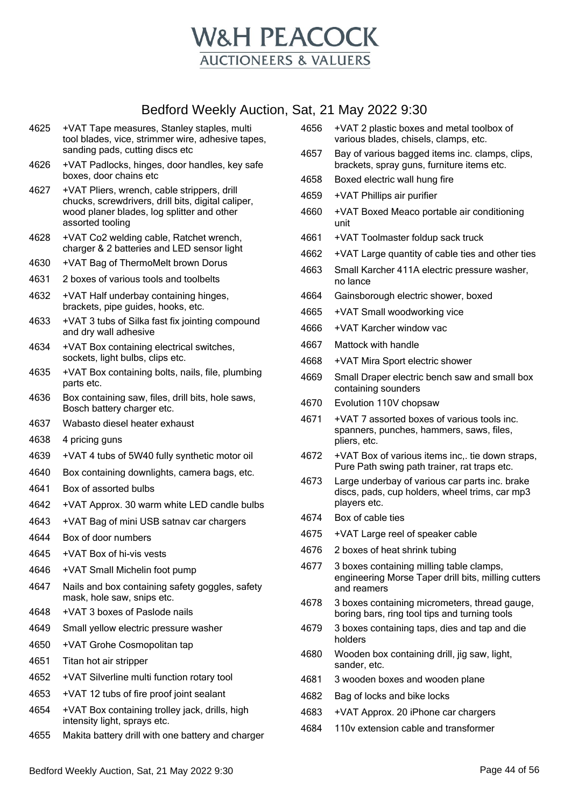

- +VAT Tape measures, Stanley staples, multi tool blades, vice, strimmer wire, adhesive tapes, sanding pads, cutting discs etc
- +VAT Padlocks, hinges, door handles, key safe boxes, door chains etc
- +VAT Pliers, wrench, cable strippers, drill chucks, screwdrivers, drill bits, digital caliper, wood planer blades, log splitter and other assorted tooling
- +VAT Co2 welding cable, Ratchet wrench, charger & 2 batteries and LED sensor light
- +VAT Bag of ThermoMelt brown Dorus
- 2 boxes of various tools and toolbelts
- +VAT Half underbay containing hinges, brackets, pipe guides, hooks, etc.
- +VAT 3 tubs of Silka fast fix jointing compound and dry wall adhesive
- +VAT Box containing electrical switches, sockets, light bulbs, clips etc.
- +VAT Box containing bolts, nails, file, plumbing parts etc.
- Box containing saw, files, drill bits, hole saws, Bosch battery charger etc.
- Wabasto diesel heater exhaust
- 4 pricing guns
- +VAT 4 tubs of 5W40 fully synthetic motor oil
- Box containing downlights, camera bags, etc.
- Box of assorted bulbs
- +VAT Approx. 30 warm white LED candle bulbs
- +VAT Bag of mini USB satnav car chargers
- Box of door numbers
- +VAT Box of hi-vis vests
- +VAT Small Michelin foot pump
- Nails and box containing safety goggles, safety mask, hole saw, snips etc.
- +VAT 3 boxes of Paslode nails
- Small yellow electric pressure washer
- +VAT Grohe Cosmopolitan tap
- Titan hot air stripper
- +VAT Silverline multi function rotary tool
- +VAT 12 tubs of fire proof joint sealant
- +VAT Box containing trolley jack, drills, high intensity light, sprays etc.
- Makita battery drill with one battery and charger
- +VAT 2 plastic boxes and metal toolbox of various blades, chisels, clamps, etc.
- Bay of various bagged items inc. clamps, clips, brackets, spray guns, furniture items etc.
- Boxed electric wall hung fire
- +VAT Phillips air purifier
- +VAT Boxed Meaco portable air conditioning unit
- +VAT Toolmaster foldup sack truck
- +VAT Large quantity of cable ties and other ties
- Small Karcher 411A electric pressure washer, no lance
- Gainsborough electric shower, boxed
- +VAT Small woodworking vice
- +VAT Karcher window vac
- Mattock with handle
- +VAT Mira Sport electric shower
- Small Draper electric bench saw and small box containing sounders
- Evolution 110V chopsaw
- +VAT 7 assorted boxes of various tools inc. spanners, punches, hammers, saws, files, pliers, etc.
- +VAT Box of various items inc,. tie down straps, Pure Path swing path trainer, rat traps etc.
- Large underbay of various car parts inc. brake discs, pads, cup holders, wheel trims, car mp3 players etc.
- Box of cable ties
- +VAT Large reel of speaker cable
- 2 boxes of heat shrink tubing
- 3 boxes containing milling table clamps, engineering Morse Taper drill bits, milling cutters and reamers
- 3 boxes containing micrometers, thread gauge, boring bars, ring tool tips and turning tools
- 3 boxes containing taps, dies and tap and die holders
- Wooden box containing drill, jig saw, light, sander, etc.
- 3 wooden boxes and wooden plane
- Bag of locks and bike locks
- +VAT Approx. 20 iPhone car chargers
- 110v extension cable and transformer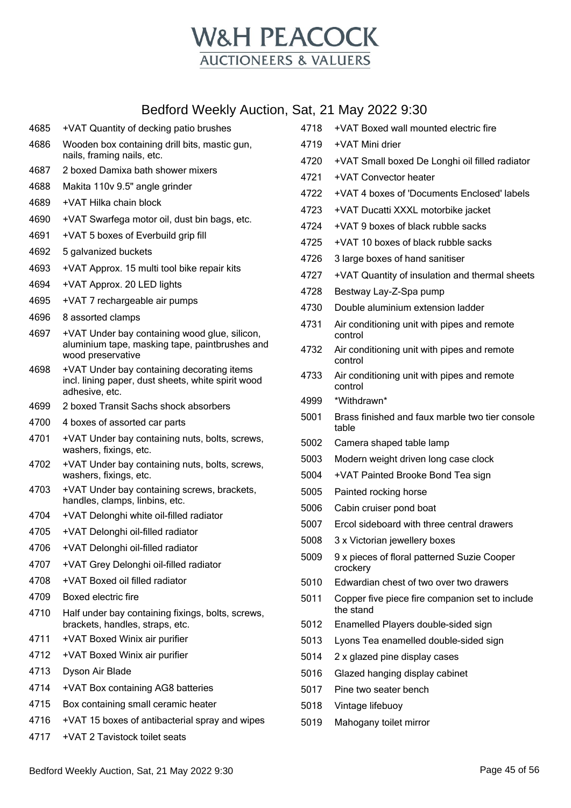

- +VAT Quantity of decking patio brushes Wooden box containing drill bits, mastic gun, nails, framing nails, etc.
- 2 boxed Damixa bath shower mixers
- Makita 110v 9.5" angle grinder
- +VAT Hilka chain block
- +VAT Swarfega motor oil, dust bin bags, etc.
- +VAT 5 boxes of Everbuild grip fill
- 5 galvanized buckets
- +VAT Approx. 15 multi tool bike repair kits
- +VAT Approx. 20 LED lights
- +VAT 7 rechargeable air pumps
- 8 assorted clamps
- +VAT Under bay containing wood glue, silicon, aluminium tape, masking tape, paintbrushes and wood preservative
- +VAT Under bay containing decorating items incl. lining paper, dust sheets, white spirit wood adhesive, etc.
- 2 boxed Transit Sachs shock absorbers
- 4 boxes of assorted car parts
- +VAT Under bay containing nuts, bolts, screws, washers, fixings, etc.
- +VAT Under bay containing nuts, bolts, screws, washers, fixings, etc.
- +VAT Under bay containing screws, brackets, handles, clamps, linbins, etc.
- +VAT Delonghi white oil-filled radiator
- +VAT Delonghi oil-filled radiator
- +VAT Delonghi oil-filled radiator
- +VAT Grey Delonghi oil-filled radiator
- +VAT Boxed oil filled radiator
- Boxed electric fire
- Half under bay containing fixings, bolts, screws, brackets, handles, straps, etc.
- +VAT Boxed Winix air purifier
- +VAT Boxed Winix air purifier
- Dyson Air Blade
- +VAT Box containing AG8 batteries
- Box containing small ceramic heater
- +VAT 15 boxes of antibacterial spray and wipes
- +VAT 2 Tavistock toilet seats

| <b></b> | $     -$                                                     |
|---------|--------------------------------------------------------------|
| 4718    | +VAT Boxed wall mounted electric fire                        |
| 4719    | +VAT Mini drier                                              |
| 4720    | +VAT Small boxed De Longhi oil filled radiator               |
| 4721    | +VAT Convector heater                                        |
| 4722    | +VAT 4 boxes of 'Documents Enclosed' labels                  |
| 4723    | +VAT Ducatti XXXL motorbike jacket                           |
| 4724    | +VAT 9 boxes of black rubble sacks                           |
| 4725    | +VAT 10 boxes of black rubble sacks                          |
| 4726    | 3 large boxes of hand sanitiser                              |
| 4727    | +VAT Quantity of insulation and thermal sheets               |
| 4728    | Bestway Lay-Z-Spa pump                                       |
| 4730    | Double aluminium extension ladder                            |
| 4731    | Air conditioning unit with pipes and remote<br>control       |
| 4732    | Air conditioning unit with pipes and remote<br>control       |
| 4733    | Air conditioning unit with pipes and remote<br>control       |
| 4999    | *Withdrawn*                                                  |
| 5001    | Brass finished and faux marble two tier console<br>table     |
| 5002    | Camera shaped table lamp                                     |
| 5003    | Modern weight driven long case clock                         |
| 5004    | +VAT Painted Brooke Bond Tea sign                            |
| 5005    | Painted rocking horse                                        |
| 5006    | Cabin cruiser pond boat                                      |
| 5007    | Ercol sideboard with three central drawers                   |
| 5008    | 3 x Victorian jewellery boxes                                |
| 5009    | 9 x pieces of floral patterned Suzie Cooper<br>crockery      |
| 5010    | Edwardian chest of two over two drawers                      |
| 5011    | Copper five piece fire companion set to include<br>the stand |
| 5012    | Enamelled Players double-sided sign                          |
| 5013    | Lyons Tea enamelled double-sided sign                        |
| 5014    | 2 x glazed pine display cases                                |
| 5016    | Glazed hanging display cabinet                               |
| 5017    | Pine two seater bench                                        |
| 5018    | Vintage lifebuoy                                             |
|         |                                                              |

Mahogany toilet mirror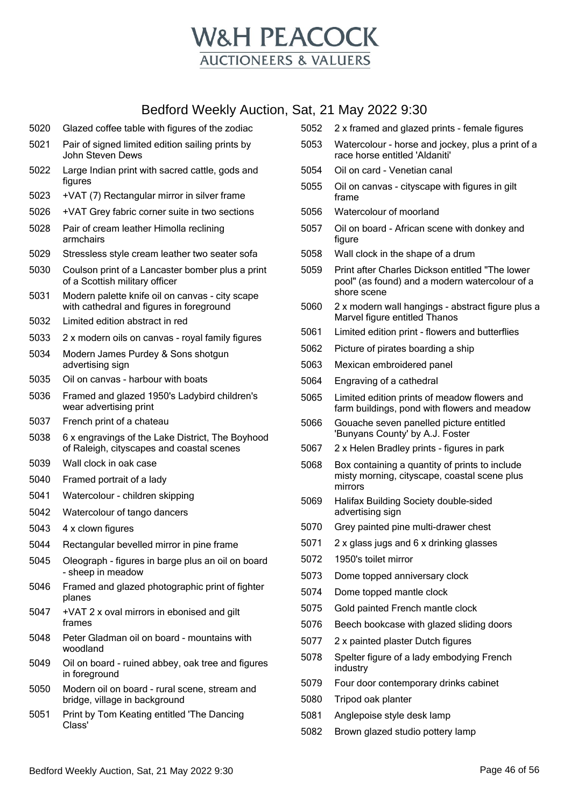

- Glazed coffee table with figures of the zodiac
- Pair of signed limited edition sailing prints by John Steven Dews
- Large Indian print with sacred cattle, gods and figures
- +VAT (7) Rectangular mirror in silver frame
- +VAT Grey fabric corner suite in two sections
- Pair of cream leather Himolla reclining armchairs
- Stressless style cream leather two seater sofa
- Coulson print of a Lancaster bomber plus a print of a Scottish military officer
- Modern palette knife oil on canvas city scape with cathedral and figures in foreground
- Limited edition abstract in red
- 2 x modern oils on canvas royal family figures
- Modern James Purdey & Sons shotgun advertising sign
- Oil on canvas harbour with boats
- Framed and glazed 1950's Ladybird children's wear advertising print
- French print of a chateau
- 6 x engravings of the Lake District, The Boyhood of Raleigh, cityscapes and coastal scenes
- Wall clock in oak case
- Framed portrait of a lady
- Watercolour children skipping
- Watercolour of tango dancers
- 4 x clown figures
- Rectangular bevelled mirror in pine frame
- Oleograph figures in barge plus an oil on board - sheep in meadow
- Framed and glazed photographic print of fighter planes
- +VAT 2 x oval mirrors in ebonised and gilt frames
- Peter Gladman oil on board mountains with woodland
- Oil on board ruined abbey, oak tree and figures in foreground
- Modern oil on board rural scene, stream and bridge, village in background
- Print by Tom Keating entitled 'The Dancing Class'
- 2 x framed and glazed prints female figures
- Watercolour horse and jockey, plus a print of a race horse entitled 'Aldaniti'
- Oil on card Venetian canal
- Oil on canvas cityscape with figures in gilt frame
- Watercolour of moorland
- Oil on board African scene with donkey and figure
- Wall clock in the shape of a drum
- Print after Charles Dickson entitled "The lower pool" (as found) and a modern watercolour of a shore scene
- 2 x modern wall hangings abstract figure plus a Marvel figure entitled Thanos
- Limited edition print flowers and butterflies
- Picture of pirates boarding a ship
- Mexican embroidered panel
- Engraving of a cathedral
- Limited edition prints of meadow flowers and farm buildings, pond with flowers and meadow
- Gouache seven panelled picture entitled 'Bunyans County' by A.J. Foster
- 2 x Helen Bradley prints figures in park
- Box containing a quantity of prints to include misty morning, cityscape, coastal scene plus mirrors
- Halifax Building Society double-sided advertising sign
- Grey painted pine multi-drawer chest
- 2 x glass jugs and 6 x drinking glasses
- 1950's toilet mirror
- Dome topped anniversary clock
- Dome topped mantle clock
- Gold painted French mantle clock
- Beech bookcase with glazed sliding doors
- 2 x painted plaster Dutch figures
- Spelter figure of a lady embodying French industry
- Four door contemporary drinks cabinet
- Tripod oak planter
- Anglepoise style desk lamp
- Brown glazed studio pottery lamp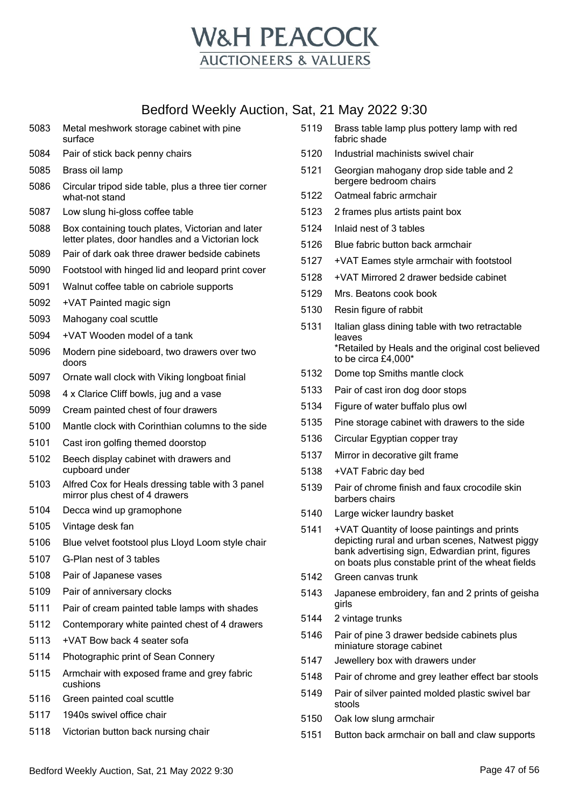

| 5083 | Metal meshwork storage cabinet with pine<br>surface                                                  |
|------|------------------------------------------------------------------------------------------------------|
| 5084 | Pair of stick back penny chairs                                                                      |
| 5085 | Brass oil lamp                                                                                       |
| 5086 | Circular tripod side table, plus a three tier corner<br>what-not stand                               |
| 5087 | Low slung hi-gloss coffee table                                                                      |
| 5088 | Box containing touch plates, Victorian and later<br>letter plates, door handles and a Victorian lock |
| 5089 | Pair of dark oak three drawer bedside cabinets                                                       |
| 5090 | Footstool with hinged lid and leopard print cover                                                    |
| 5091 | Walnut coffee table on cabriole supports                                                             |
| 5092 | +VAT Painted magic sign                                                                              |
| 5093 | Mahogany coal scuttle                                                                                |
| 5094 | +VAT Wooden model of a tank                                                                          |
| 5096 | Modern pine sideboard, two drawers over two<br>doors                                                 |
| 5097 | Ornate wall clock with Viking longboat finial                                                        |
| 5098 | 4 x Clarice Cliff bowls, jug and a vase                                                              |
| 5099 | Cream painted chest of four drawers                                                                  |
| 5100 | Mantle clock with Corinthian columns to the side                                                     |
| 5101 | Cast iron golfing themed doorstop                                                                    |
| 5102 | Beech display cabinet with drawers and<br>cupboard under                                             |
| 5103 | Alfred Cox for Heals dressing table with 3 panel<br>mirror plus chest of 4 drawers                   |
| 5104 | Decca wind up gramophone                                                                             |
| 5105 | Vintage desk fan                                                                                     |
| 5106 | Blue velvet footstool plus Lloyd Loom style chair                                                    |
| 5107 | G-Plan nest of 3 tables                                                                              |
| 5108 | Pair of Japanese vases                                                                               |
| 5109 | Pair of anniversary clocks                                                                           |
| 5111 | Pair of cream painted table lamps with shades                                                        |
| 5112 | Contemporary white painted chest of 4 drawers                                                        |
| 5113 | +VAT Bow back 4 seater sofa                                                                          |
| 5114 | Photographic print of Sean Connery                                                                   |
| 5115 | Armchair with exposed frame and grey fabric<br>cushions                                              |
| 5116 | Green painted coal scuttle                                                                           |
| 5117 | 1940s swivel office chair                                                                            |

Victorian button back nursing chair

- Brass table lamp plus pottery lamp with red fabric shade
- Industrial machinists swivel chair
- Georgian mahogany drop side table and 2 bergere bedroom chairs
- Oatmeal fabric armchair
- 2 frames plus artists paint box
- Inlaid nest of 3 tables
- Blue fabric button back armchair
- +VAT Eames style armchair with footstool
- +VAT Mirrored 2 drawer bedside cabinet
- Mrs. Beatons cook book
- Resin figure of rabbit
- Italian glass dining table with two retractable leaves \*Retailed by Heals and the original cost believed to be circa £4,000\*
- Dome top Smiths mantle clock
- Pair of cast iron dog door stops
- Figure of water buffalo plus owl
- Pine storage cabinet with drawers to the side
- Circular Egyptian copper tray
- Mirror in decorative gilt frame
- +VAT Fabric day bed
- Pair of chrome finish and faux crocodile skin barbers chairs
- Large wicker laundry basket
- +VAT Quantity of loose paintings and prints depicting rural and urban scenes, Natwest piggy bank advertising sign, Edwardian print, figures on boats plus constable print of the wheat fields
- Green canvas trunk
- Japanese embroidery, fan and 2 prints of geisha girls
- 2 vintage trunks
- Pair of pine 3 drawer bedside cabinets plus miniature storage cabinet
- Jewellery box with drawers under
- Pair of chrome and grey leather effect bar stools
- Pair of silver painted molded plastic swivel bar stools
- Oak low slung armchair
- Button back armchair on ball and claw supports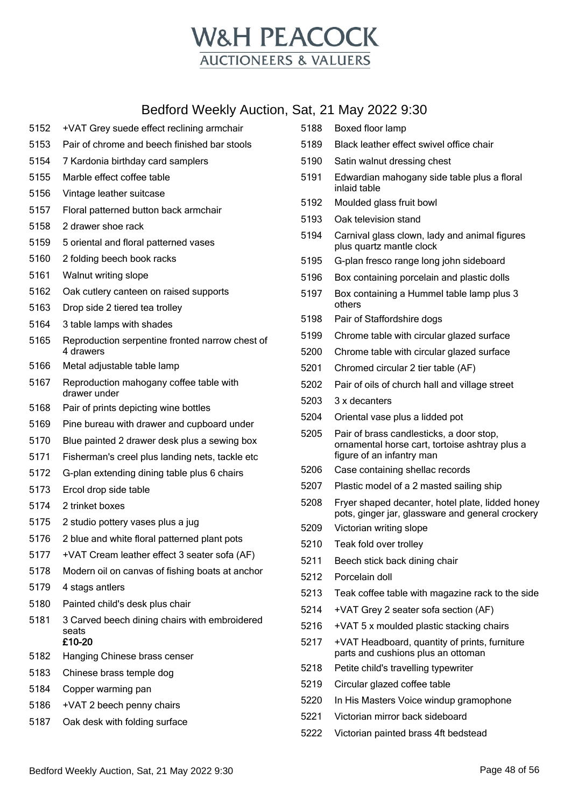

- +VAT Grey suede effect reclining armchair
- Pair of chrome and beech finished bar stools
- 7 Kardonia birthday card samplers
- Marble effect coffee table
- Vintage leather suitcase
- Floral patterned button back armchair
- 2 drawer shoe rack
- 5 oriental and floral patterned vases
- 2 folding beech book racks
- Walnut writing slope
- Oak cutlery canteen on raised supports
- Drop side 2 tiered tea trolley
- 3 table lamps with shades
- Reproduction serpentine fronted narrow chest of 4 drawers
- Metal adjustable table lamp
- Reproduction mahogany coffee table with drawer under
- Pair of prints depicting wine bottles
- Pine bureau with drawer and cupboard under
- Blue painted 2 drawer desk plus a sewing box
- Fisherman's creel plus landing nets, tackle etc
- G-plan extending dining table plus 6 chairs
- Ercol drop side table
- 2 trinket boxes
- 2 studio pottery vases plus a jug
- 2 blue and white floral patterned plant pots
- +VAT Cream leather effect 3 seater sofa (AF)
- Modern oil on canvas of fishing boats at anchor
- 4 stags antlers
- Painted child's desk plus chair
- 3 Carved beech dining chairs with embroidered seats £10-20
- Hanging Chinese brass censer
- Chinese brass temple dog
- Copper warming pan
- +VAT 2 beech penny chairs
- Oak desk with folding surface
- Boxed floor lamp Black leather effect swivel office chair Satin walnut dressing chest Edwardian mahogany side table plus a floral inlaid table Moulded glass fruit bowl Oak television stand Carnival glass clown, lady and animal figures plus quartz mantle clock G-plan fresco range long john sideboard Box containing porcelain and plastic dolls Box containing a Hummel table lamp plus 3 others Pair of Staffordshire dogs Chrome table with circular glazed surface Chrome table with circular glazed surface Chromed circular 2 tier table (AF) Pair of oils of church hall and village street 3 x decanters Oriental vase plus a lidded pot Pair of brass candlesticks, a door stop, ornamental horse cart, tortoise ashtray plus a figure of an infantry man Case containing shellac records Plastic model of a 2 masted sailing ship Fryer shaped decanter, hotel plate, lidded honey pots, ginger jar, glassware and general crockery Victorian writing slope Teak fold over trolley Beech stick back dining chair Porcelain doll Teak coffee table with magazine rack to the side +VAT Grey 2 seater sofa section (AF) +VAT 5 x moulded plastic stacking chairs +VAT Headboard, quantity of prints, furniture parts and cushions plus an ottoman Petite child's travelling typewriter Circular glazed coffee table In His Masters Voice windup gramophone
- Victorian mirror back sideboard
- Victorian painted brass 4ft bedstead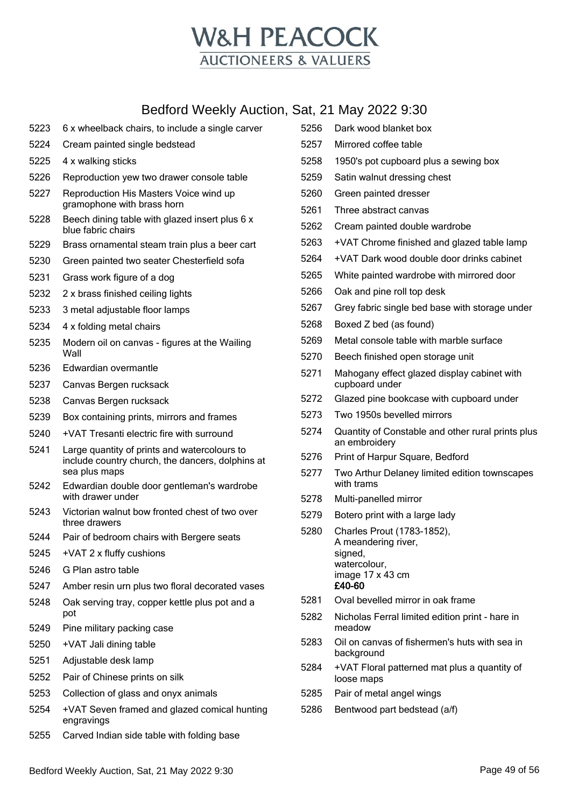

| 5223 | 6 x wheelback chairs, to include a single carver                                                                  |  |
|------|-------------------------------------------------------------------------------------------------------------------|--|
| 5224 | Cream painted single bedstead                                                                                     |  |
| 5225 | 4 x walking sticks                                                                                                |  |
| 5226 | Reproduction yew two drawer console table                                                                         |  |
| 5227 | Reproduction His Masters Voice wind up<br>gramophone with brass horn                                              |  |
| 5228 | Beech dining table with glazed insert plus 6 x<br>blue fabric chairs                                              |  |
| 5229 | Brass ornamental steam train plus a beer cart                                                                     |  |
| 5230 | Green painted two seater Chesterfield sofa                                                                        |  |
| 5231 | Grass work figure of a dog                                                                                        |  |
| 5232 | 2 x brass finished ceiling lights                                                                                 |  |
| 5233 | 3 metal adjustable floor lamps                                                                                    |  |
| 5234 | 4 x folding metal chairs                                                                                          |  |
| 5235 | Modern oil on canvas - figures at the Wailing<br>Wall                                                             |  |
| 5236 | Edwardian overmantle                                                                                              |  |
| 5237 | Canvas Bergen rucksack                                                                                            |  |
| 5238 | Canvas Bergen rucksack                                                                                            |  |
| 5239 | Box containing prints, mirrors and frames                                                                         |  |
| 5240 | +VAT Tresanti electric fire with surround                                                                         |  |
| 5241 | Large quantity of prints and watercolours to<br>include country church, the dancers, dolphins at<br>sea plus maps |  |
| 5242 | Edwardian double door gentleman's wardrobe<br>with drawer under                                                   |  |
| 5243 | Victorian walnut bow fronted chest of two over<br>three drawers                                                   |  |
| 5244 | Pair of bedroom chairs with Bergere seats                                                                         |  |
| 5245 | +VAT 2 x fluffy cushions                                                                                          |  |
| 5246 | G Plan astro table                                                                                                |  |
| 5247 | Amber resin urn plus two floral decorated vases                                                                   |  |
| 5248 | Oak serving tray, copper kettle plus pot and a<br>pot                                                             |  |
| 5249 | Pine military packing case                                                                                        |  |
| 5250 | +VAT Jali dining table                                                                                            |  |
| 5251 | Adjustable desk lamp                                                                                              |  |
| 5252 | Pair of Chinese prints on silk                                                                                    |  |
| 5253 | Collection of glass and onyx animals                                                                              |  |
| 5254 | +VAT Seven framed and glazed comical hunting<br>engravings                                                        |  |
| 5255 | Carved Indian side table with folding base                                                                        |  |

| 5256 | Dark wood blanket box                                                                                      |
|------|------------------------------------------------------------------------------------------------------------|
| 5257 | Mirrored coffee table                                                                                      |
| 5258 | 1950's pot cupboard plus a sewing box                                                                      |
| 5259 | Satin walnut dressing chest                                                                                |
| 5260 | Green painted dresser                                                                                      |
| 5261 | Three abstract canvas                                                                                      |
| 5262 | Cream painted double wardrobe                                                                              |
| 5263 | +VAT Chrome finished and glazed table lamp                                                                 |
| 5264 | +VAT Dark wood double door drinks cabinet                                                                  |
| 5265 | White painted wardrobe with mirrored door                                                                  |
| 5266 | Oak and pine roll top desk                                                                                 |
| 5267 | Grey fabric single bed base with storage under                                                             |
| 5268 | Boxed Z bed (as found)                                                                                     |
| 5269 | Metal console table with marble surface                                                                    |
| 5270 | Beech finished open storage unit                                                                           |
| 5271 | Mahogany effect glazed display cabinet with<br>cupboard under                                              |
| 5272 | Glazed pine bookcase with cupboard under                                                                   |
| 5273 | Two 1950s bevelled mirrors                                                                                 |
| 5274 | Quantity of Constable and other rural prints plus<br>an embroidery                                         |
| 5276 | Print of Harpur Square, Bedford                                                                            |
| 5277 | Two Arthur Delaney limited edition townscapes<br>with trams                                                |
| 5278 | Multi-panelled mirror                                                                                      |
| 5279 | Botero print with a large lady                                                                             |
| 5280 | Charles Prout (1783-1852),<br>A meandering river,<br>signed,<br>watercolour,<br>image 17 x 43 cm<br>£40-60 |
| 5281 | Oval bevelled mirror in oak frame                                                                          |
| 5282 | Nicholas Ferral limited edition print - hare in<br>meadow                                                  |
| 5283 | Oil on canvas of fishermen's huts with sea in<br>background                                                |
| 5284 | +VAT Floral patterned mat plus a quantity of<br>loose maps                                                 |
| 5285 | Pair of metal angel wings                                                                                  |
| 5286 | Bentwood part bedstead (a/f)                                                                               |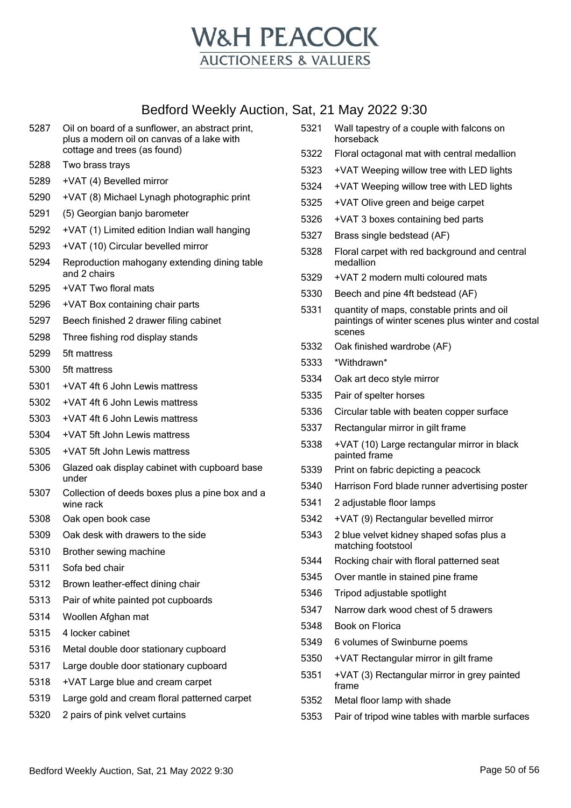

| 5287 | Oil on board of a sunflower, an abstract print,<br>plus a modern oil on canvas of a lake with | 5321 | Wall tapestry of a couple with falcons on<br>horseback                                          |
|------|-----------------------------------------------------------------------------------------------|------|-------------------------------------------------------------------------------------------------|
|      | cottage and trees (as found)                                                                  | 5322 | Floral octagonal mat with central medallion                                                     |
| 5288 | Two brass trays                                                                               | 5323 | +VAT Weeping willow tree with LED lights                                                        |
| 5289 | +VAT (4) Bevelled mirror                                                                      | 5324 | +VAT Weeping willow tree with LED lights                                                        |
| 5290 | +VAT (8) Michael Lynagh photographic print                                                    | 5325 | +VAT Olive green and beige carpet                                                               |
| 5291 | (5) Georgian banjo barometer                                                                  | 5326 | +VAT 3 boxes containing bed parts                                                               |
| 5292 | +VAT (1) Limited edition Indian wall hanging                                                  | 5327 | Brass single bedstead (AF)                                                                      |
| 5293 | +VAT (10) Circular bevelled mirror                                                            | 5328 | Floral carpet with red background and central                                                   |
| 5294 | Reproduction mahogany extending dining table<br>and 2 chairs                                  |      | medallion                                                                                       |
| 5295 | +VAT Two floral mats                                                                          | 5329 | +VAT 2 modern multi coloured mats                                                               |
| 5296 | +VAT Box containing chair parts                                                               | 5330 | Beech and pine 4ft bedstead (AF)                                                                |
| 5297 | Beech finished 2 drawer filing cabinet                                                        | 5331 | quantity of maps, constable prints and oil<br>paintings of winter scenes plus winter and costal |
| 5298 | Three fishing rod display stands                                                              |      | scenes                                                                                          |
| 5299 | 5ft mattress                                                                                  | 5332 | Oak finished wardrobe (AF)                                                                      |
| 5300 | 5ft mattress                                                                                  | 5333 | *Withdrawn*                                                                                     |
| 5301 | +VAT 4ft 6 John Lewis mattress                                                                | 5334 | Oak art deco style mirror                                                                       |
| 5302 | +VAT 4ft 6 John Lewis mattress                                                                | 5335 | Pair of spelter horses                                                                          |
| 5303 | +VAT 4ft 6 John Lewis mattress                                                                | 5336 | Circular table with beaten copper surface                                                       |
| 5304 | +VAT 5ft John Lewis mattress                                                                  | 5337 | Rectangular mirror in gilt frame                                                                |
| 5305 | +VAT 5ft John Lewis mattress                                                                  | 5338 | +VAT (10) Large rectangular mirror in black<br>painted frame                                    |
| 5306 | Glazed oak display cabinet with cupboard base                                                 | 5339 | Print on fabric depicting a peacock                                                             |
|      | under                                                                                         | 5340 | Harrison Ford blade runner advertising poster                                                   |
| 5307 | Collection of deeds boxes plus a pine box and a<br>wine rack                                  | 5341 | 2 adjustable floor lamps                                                                        |
| 5308 | Oak open book case                                                                            | 5342 | +VAT (9) Rectangular bevelled mirror                                                            |
| 5309 | Oak desk with drawers to the side                                                             | 5343 | 2 blue velvet kidney shaped sofas plus a                                                        |
| 5310 | Brother sewing machine                                                                        |      | matching footstool                                                                              |
| 5311 | Sofa bed chair                                                                                | 5344 | Rocking chair with floral patterned seat                                                        |
| 5312 | Brown leather-effect dining chair                                                             | 5345 | Over mantle in stained pine frame                                                               |
| 5313 | Pair of white painted pot cupboards                                                           | 5346 | Tripod adjustable spotlight                                                                     |
| 5314 | Woollen Afghan mat                                                                            | 5347 | Narrow dark wood chest of 5 drawers                                                             |
| 5315 | 4 locker cabinet                                                                              | 5348 | Book on Florica                                                                                 |
| 5316 | Metal double door stationary cupboard                                                         | 5349 | 6 volumes of Swinburne poems                                                                    |
| 5317 | Large double door stationary cupboard                                                         | 5350 | +VAT Rectangular mirror in gilt frame                                                           |
| 5318 | +VAT Large blue and cream carpet                                                              | 5351 | +VAT (3) Rectangular mirror in grey painted                                                     |
| 5319 | Large gold and cream floral patterned carpet                                                  |      | frame                                                                                           |
| 5320 | 2 pairs of pink velvet curtains                                                               | 5352 | Metal floor lamp with shade                                                                     |
|      |                                                                                               | 5353 | Pair of tripod wine tables with marble surfaces                                                 |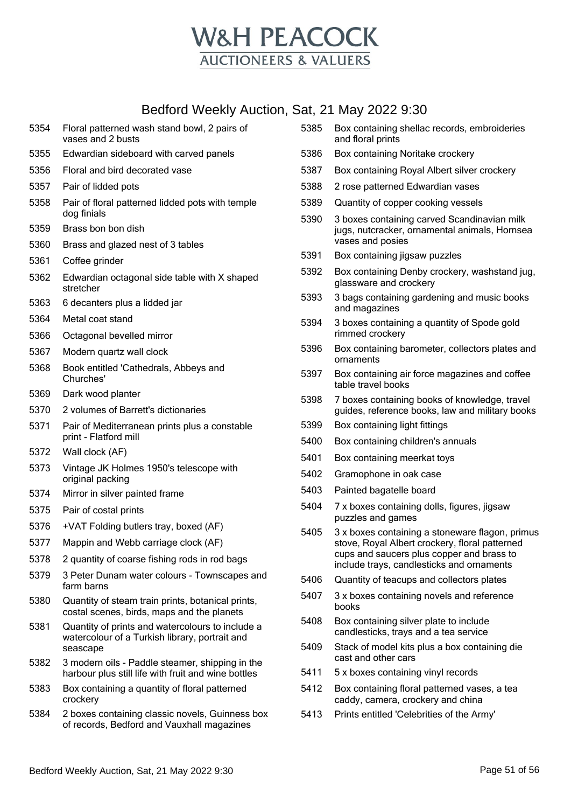

#### Bedford Weekly Auction, S

| 5354 | Floral patterned wash stand bowl, 2 pairs of<br>vases and 2 busts                                              |
|------|----------------------------------------------------------------------------------------------------------------|
| 5355 | Edwardian sideboard with carved panels                                                                         |
| 5356 | Floral and bird decorated vase                                                                                 |
| 5357 | Pair of lidded pots                                                                                            |
| 5358 | Pair of floral patterned lidded pots with temple<br>dog finials                                                |
| 5359 | Brass bon bon dish                                                                                             |
| 5360 | Brass and glazed nest of 3 tables                                                                              |
| 5361 | Coffee grinder                                                                                                 |
| 5362 | Edwardian octagonal side table with X shaped<br>stretcher                                                      |
| 5363 | 6 decanters plus a lidded jar                                                                                  |
| 5364 | Metal coat stand                                                                                               |
| 5366 | Octagonal bevelled mirror                                                                                      |
| 5367 | Modern quartz wall clock                                                                                       |
| 5368 | Book entitled 'Cathedrals, Abbeys and<br>Churches'                                                             |
| 5369 | Dark wood planter                                                                                              |
| 5370 | 2 volumes of Barrett's dictionaries                                                                            |
| 5371 | Pair of Mediterranean prints plus a constable<br>print - Flatford mill                                         |
| 5372 | Wall clock (AF)                                                                                                |
| 5373 | Vintage JK Holmes 1950's telescope with<br>original packing                                                    |
| 5374 | Mirror in silver painted frame                                                                                 |
| 5375 | Pair of costal prints                                                                                          |
| 5376 | +VAT Folding butlers tray, boxed (AF)                                                                          |
| 5377 | Mappin and Webb carriage clock (AF)                                                                            |
| 5378 | 2 quantity of coarse fishing rods in rod bags                                                                  |
| 5379 | 3 Peter Dunam water colours - Townscapes and<br>farm barns                                                     |
| 5380 | Quantity of steam train prints, botanical prints,<br>costal scenes, birds, maps and the planets                |
| 5381 | Quantity of prints and watercolours to include a<br>watercolour of a Turkish library, portrait and<br>seascape |
| 5382 | 3 modern oils - Paddle steamer, shipping in the<br>harbour plus still life with fruit and wine bottles         |
| 5383 | Box containing a quantity of floral patterned<br>crockery                                                      |
| 5384 | 2 boxes containing classic novels, Guinness box<br>of records, Bedford and Vauxhall magazines                  |
|      |                                                                                                                |

|      | iat, 21 May 2022 9:30                                                                                                                                                                       |
|------|---------------------------------------------------------------------------------------------------------------------------------------------------------------------------------------------|
| 5385 | Box containing shellac records, embroideries<br>and floral prints                                                                                                                           |
| 5386 | Box containing Noritake crockery                                                                                                                                                            |
| 5387 | Box containing Royal Albert silver crockery                                                                                                                                                 |
| 5388 | 2 rose patterned Edwardian vases                                                                                                                                                            |
| 5389 | Quantity of copper cooking vessels                                                                                                                                                          |
| 5390 | 3 boxes containing carved Scandinavian milk<br>jugs, nutcracker, ornamental animals, Hornsea<br>vases and posies                                                                            |
| 5391 | Box containing jigsaw puzzles                                                                                                                                                               |
| 5392 | Box containing Denby crockery, washstand jug,<br>glassware and crockery                                                                                                                     |
| 5393 | 3 bags containing gardening and music books<br>and magazines                                                                                                                                |
| 5394 | 3 boxes containing a quantity of Spode gold<br>rimmed crockery                                                                                                                              |
| 5396 | Box containing barometer, collectors plates and<br>ornaments                                                                                                                                |
| 5397 | Box containing air force magazines and coffee<br>table travel books                                                                                                                         |
| 5398 | 7 boxes containing books of knowledge, travel<br>guides, reference books, law and military books                                                                                            |
| 5399 | Box containing light fittings                                                                                                                                                               |
| 5400 | Box containing children's annuals                                                                                                                                                           |
| 5401 | Box containing meerkat toys                                                                                                                                                                 |
| 5402 | Gramophone in oak case                                                                                                                                                                      |
| 5403 | Painted bagatelle board                                                                                                                                                                     |
| 5404 | 7 x boxes containing dolls, figures, jigsaw<br>puzzles and games                                                                                                                            |
| 5405 | 3 x boxes containing a stoneware flagon, primus<br>stove, Royal Albert crockery, floral patterned<br>cups and saucers plus copper and brass to<br>include trays, candlesticks and ornaments |
| 5406 | Quantity of teacups and collectors plates                                                                                                                                                   |
| 5407 | 3 x boxes containing novels and reference<br>books                                                                                                                                          |
| 5408 | Box containing silver plate to include<br>candlesticks, trays and a tea service                                                                                                             |
| 5409 | Stack of model kits plus a box containing die<br>cast and other cars                                                                                                                        |
| 5411 | 5 x boxes containing vinyl records                                                                                                                                                          |
| 5412 | Box containing floral patterned vases, a tea<br>caddy, camera, crockery and china                                                                                                           |
| 5413 | Prints entitled 'Celebrities of the Army'                                                                                                                                                   |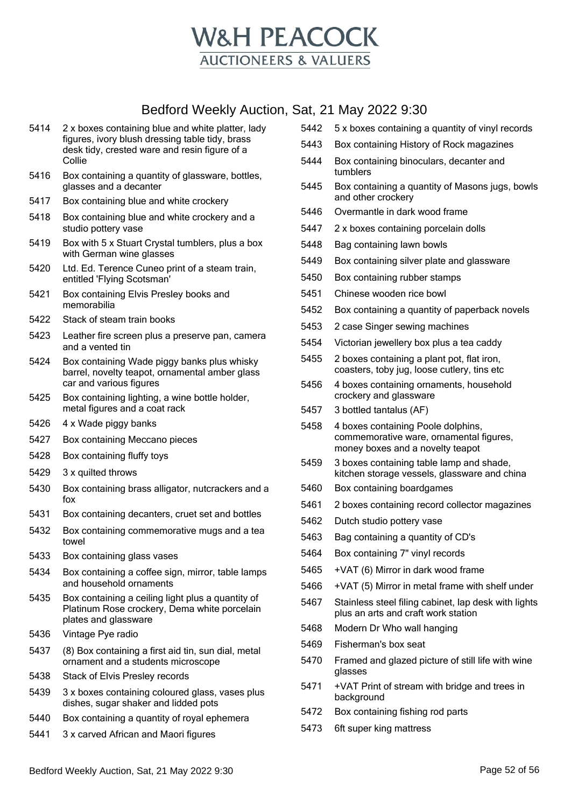

- 2 x boxes containing blue and white platter, lady figures, ivory blush dressing table tidy, brass desk tidy, crested ware and resin figure of a Collie
- Box containing a quantity of glassware, bottles, glasses and a decanter
- Box containing blue and white crockery
- Box containing blue and white crockery and a studio pottery vase
- Box with 5 x Stuart Crystal tumblers, plus a box with German wine glasses
- Ltd. Ed. Terence Cuneo print of a steam train, entitled 'Flying Scotsman'
- Box containing Elvis Presley books and memorabilia
- Stack of steam train books
- Leather fire screen plus a preserve pan, camera and a vented tin
- Box containing Wade piggy banks plus whisky barrel, novelty teapot, ornamental amber glass car and various figures
- Box containing lighting, a wine bottle holder, metal figures and a coat rack
- 4 x Wade piggy banks
- Box containing Meccano pieces
- Box containing fluffy toys
- 3 x quilted throws
- Box containing brass alligator, nutcrackers and a fox
- Box containing decanters, cruet set and bottles
- Box containing commemorative mugs and a tea towel
- Box containing glass vases
- Box containing a coffee sign, mirror, table lamps and household ornaments
- Box containing a ceiling light plus a quantity of Platinum Rose crockery, Dema white porcelain plates and glassware
- Vintage Pye radio
- (8) Box containing a first aid tin, sun dial, metal ornament and a students microscope
- Stack of Elvis Presley records
- 3 x boxes containing coloured glass, vases plus dishes, sugar shaker and lidded pots
- Box containing a quantity of royal ephemera
- 3 x carved African and Maori figures
- 5 x boxes containing a quantity of vinyl records
- Box containing History of Rock magazines
- Box containing binoculars, decanter and tumblers
- Box containing a quantity of Masons jugs, bowls and other crockery
- Overmantle in dark wood frame
- 2 x boxes containing porcelain dolls
- Bag containing lawn bowls
- Box containing silver plate and glassware
- Box containing rubber stamps
- Chinese wooden rice bowl
- Box containing a quantity of paperback novels
- 2 case Singer sewing machines
- Victorian jewellery box plus a tea caddy
- 2 boxes containing a plant pot, flat iron, coasters, toby jug, loose cutlery, tins etc
- 4 boxes containing ornaments, household crockery and glassware
- 3 bottled tantalus (AF)
- 4 boxes containing Poole dolphins, commemorative ware, ornamental figures, money boxes and a novelty teapot
- 3 boxes containing table lamp and shade, kitchen storage vessels, glassware and china
- Box containing boardgames
- 2 boxes containing record collector magazines
- Dutch studio pottery vase
- Bag containing a quantity of CD's
- Box containing 7" vinyl records
- +VAT (6) Mirror in dark wood frame
- +VAT (5) Mirror in metal frame with shelf under
- Stainless steel filing cabinet, lap desk with lights plus an arts and craft work station
- Modern Dr Who wall hanging
- Fisherman's box seat
- Framed and glazed picture of still life with wine glasses
- +VAT Print of stream with bridge and trees in background
- Box containing fishing rod parts
- 6ft super king mattress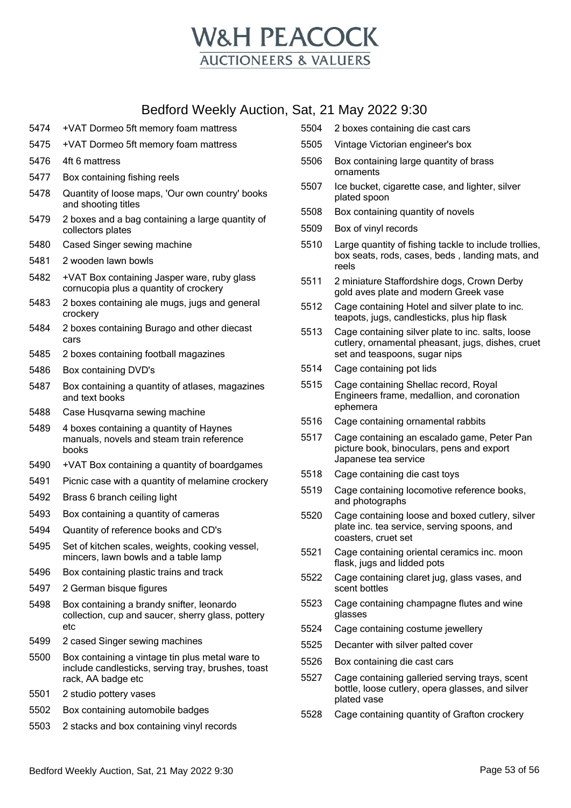

- +VAT Dormeo 5ft memory foam mattress
- +VAT Dormeo 5ft memory foam mattress
- 4ft 6 mattress
- Box containing fishing reels
- Quantity of loose maps, 'Our own country' books and shooting titles
- 2 boxes and a bag containing a large quantity of collectors plates
- Cased Singer sewing machine
- 2 wooden lawn bowls
- +VAT Box containing Jasper ware, ruby glass cornucopia plus a quantity of crockery
- 2 boxes containing ale mugs, jugs and general crockery
- 2 boxes containing Burago and other diecast cars
- 2 boxes containing football magazines
- Box containing DVD's
- Box containing a quantity of atlases, magazines and text books
- Case Husqvarna sewing machine
- 4 boxes containing a quantity of Haynes manuals, novels and steam train reference books
- +VAT Box containing a quantity of boardgames
- Picnic case with a quantity of melamine crockery
- Brass 6 branch ceiling light
- Box containing a quantity of cameras
- Quantity of reference books and CD's
- Set of kitchen scales, weights, cooking vessel, mincers, lawn bowls and a table lamp
- Box containing plastic trains and track
- 2 German bisque figures
- Box containing a brandy snifter, leonardo collection, cup and saucer, sherry glass, pottery etc
- 2 cased Singer sewing machines
- Box containing a vintage tin plus metal ware to include candlesticks, serving tray, brushes, toast rack, AA badge etc
- 2 studio pottery vases
- Box containing automobile badges
- 2 stacks and box containing vinyl records
- 2 boxes containing die cast cars
- Vintage Victorian engineer's box
- Box containing large quantity of brass ornaments
- Ice bucket, cigarette case, and lighter, silver plated spoon
- Box containing quantity of novels
- Box of vinyl records
- Large quantity of fishing tackle to include trollies, box seats, rods, cases, beds , landing mats, and reels
- 2 miniature Staffordshire dogs, Crown Derby gold aves plate and modern Greek vase
- Cage containing Hotel and silver plate to inc. teapots, jugs, candlesticks, plus hip flask
- Cage containing silver plate to inc. salts, loose cutlery, ornamental pheasant, jugs, dishes, cruet set and teaspoons, sugar nips
- Cage containing pot lids
- Cage containing Shellac record, Royal Engineers frame, medallion, and coronation ephemera
- Cage containing ornamental rabbits
- Cage containing an escalado game, Peter Pan picture book, binoculars, pens and export Japanese tea service
- Cage containing die cast toys
- Cage containing locomotive reference books, and photographs
- Cage containing loose and boxed cutlery, silver plate inc. tea service, serving spoons, and coasters, cruet set
- Cage containing oriental ceramics inc. moon flask, jugs and lidded pots
- Cage containing claret jug, glass vases, and scent bottles
- Cage containing champagne flutes and wine glasses
- Cage containing costume jewellery
- Decanter with silver palted cover
- Box containing die cast cars
- Cage containing galleried serving trays, scent bottle, loose cutlery, opera glasses, and silver plated vase
- Cage containing quantity of Grafton crockery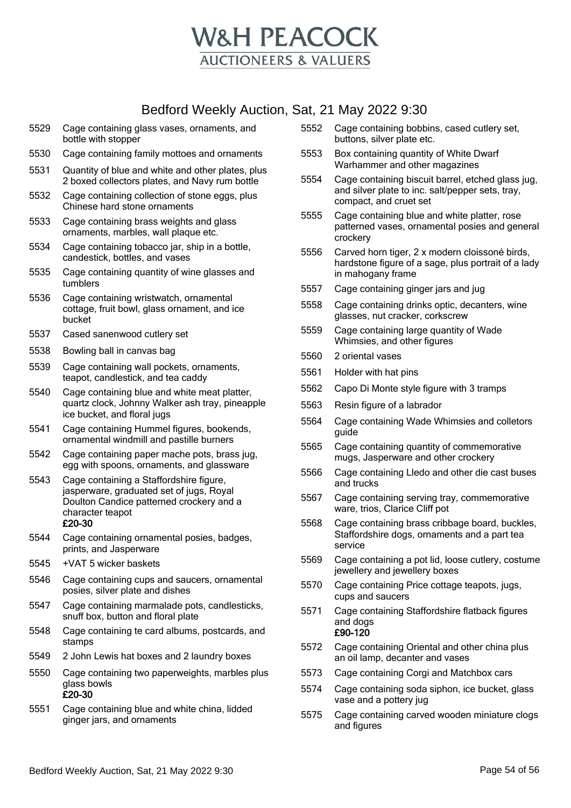

- 5529 Cage containing glass vases, ornaments, and bottle with stopper
- 5530 Cage containing family mottoes and ornaments
- 5531 Quantity of blue and white and other plates, plus 2 boxed collectors plates, and Navy rum bottle
- 5532 Cage containing collection of stone eggs, plus Chinese hard stone ornaments
- 5533 Cage containing brass weights and glass ornaments, marbles, wall plaque etc.
- 5534 Cage containing tobacco jar, ship in a bottle, candestick, bottles, and vases
- 5535 Cage containing quantity of wine glasses and tumblers
- 5536 Cage containing wristwatch, ornamental cottage, fruit bowl, glass ornament, and ice bucket
- 5537 Cased sanenwood cutlery set
- 5538 Bowling ball in canvas bag
- 5539 Cage containing wall pockets, ornaments, teapot, candlestick, and tea caddy
- 5540 Cage containing blue and white meat platter, quartz clock, Johnny Walker ash tray, pineapple ice bucket, and floral jugs
- 5541 Cage containing Hummel figures, bookends, ornamental windmill and pastille burners
- 5542 Cage containing paper mache pots, brass jug, egg with spoons, ornaments, and glassware
- 5543 Cage containing a Staffordshire figure, jasperware, graduated set of jugs, Royal Doulton Candice patterned crockery and a character teapot £20-30
- 5544 Cage containing ornamental posies, badges, prints, and Jasperware
- 5545 +VAT 5 wicker baskets
- 5546 Cage containing cups and saucers, ornamental posies, silver plate and dishes
- 5547 Cage containing marmalade pots, candlesticks, snuff box, button and floral plate
- 5548 Cage containing te card albums, postcards, and stamps
- 5549 2 John Lewis hat boxes and 2 laundry boxes
- 5550 Cage containing two paperweights, marbles plus glass bowls £20-30
- 5551 Cage containing blue and white china, lidded ginger jars, and ornaments
- 5552 Cage containing bobbins, cased cutlery set, buttons, silver plate etc.
- 5553 Box containing quantity of White Dwarf Warhammer and other magazines
- 5554 Cage containing biscuit barrel, etched glass jug, and silver plate to inc. salt/pepper sets, tray, compact, and cruet set
- 5555 Cage containing blue and white platter, rose patterned vases, ornamental posies and general crockery
- 5556 Carved horn tiger, 2 x modern cloissoné birds, hardstone figure of a sage, plus portrait of a lady in mahogany frame
- 5557 Cage containing ginger jars and jug
- 5558 Cage containing drinks optic, decanters, wine glasses, nut cracker, corkscrew
- 5559 Cage containing large quantity of Wade Whimsies, and other figures
- 5560 2 oriental vases
- 5561 Holder with hat pins
- 5562 Capo Di Monte style figure with 3 tramps
- 5563 Resin figure of a labrador
- 5564 Cage containing Wade Whimsies and colletors guide
- 5565 Cage containing quantity of commemorative mugs, Jasperware and other crockery
- 5566 Cage containing Lledo and other die cast buses and trucks
- 5567 Cage containing serving tray, commemorative ware, trios, Clarice Cliff pot
- 5568 Cage containing brass cribbage board, buckles, Staffordshire dogs, ornaments and a part tea service
- 5569 Cage containing a pot lid, loose cutlery, costume jewellery and jewellery boxes
- 5570 Cage containing Price cottage teapots, jugs, cups and saucers
- 5571 Cage containing Staffordshire flatback figures and dogs £90-120
- 5572 Cage containing Oriental and other china plus an oil lamp, decanter and vases
- 5573 Cage containing Corgi and Matchbox cars
- 5574 Cage containing soda siphon, ice bucket, glass vase and a pottery jug
- 5575 Cage containing carved wooden miniature clogs and figures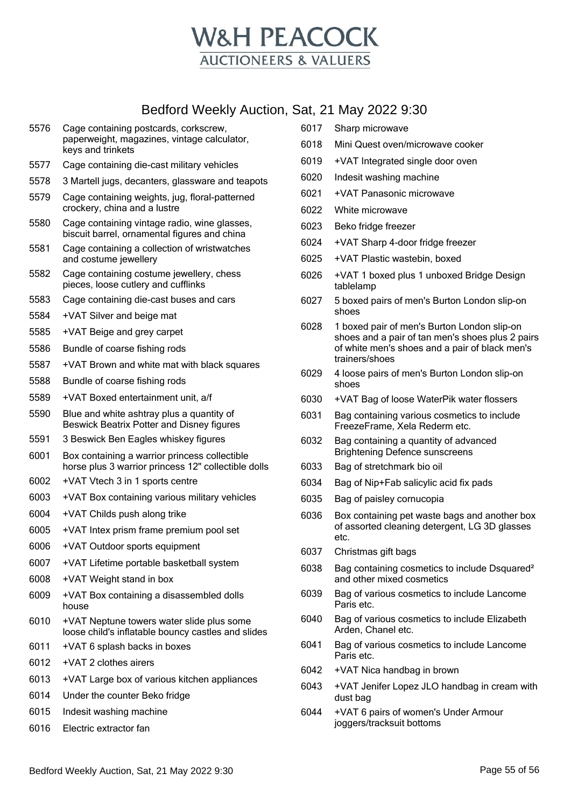

- Cage containing postcards, corkscrew, paperweight, magazines, vintage calculator, keys and trinkets
- Cage containing die-cast military vehicles
- 3 Martell jugs, decanters, glassware and teapots
- Cage containing weights, jug, floral-patterned crockery, china and a lustre
- Cage containing vintage radio, wine glasses, biscuit barrel, ornamental figures and china
- Cage containing a collection of wristwatches and costume jewellery
- Cage containing costume jewellery, chess pieces, loose cutlery and cufflinks
- Cage containing die-cast buses and cars
- +VAT Silver and beige mat
- +VAT Beige and grey carpet
- Bundle of coarse fishing rods
- +VAT Brown and white mat with black squares
- Bundle of coarse fishing rods
- +VAT Boxed entertainment unit, a/f
- Blue and white ashtray plus a quantity of Beswick Beatrix Potter and Disney figures
- 3 Beswick Ben Eagles whiskey figures
- Box containing a warrior princess collectible horse plus 3 warrior princess 12" collectible dolls
- +VAT Vtech 3 in 1 sports centre
- +VAT Box containing various military vehicles
- +VAT Childs push along trike
- +VAT Intex prism frame premium pool set
- +VAT Outdoor sports equipment
- +VAT Lifetime portable basketball system
- +VAT Weight stand in box
- +VAT Box containing a disassembled dolls house
- +VAT Neptune towers water slide plus some loose child's inflatable bouncy castles and slides
- +VAT 6 splash backs in boxes
- +VAT 2 clothes airers
- +VAT Large box of various kitchen appliances
- Under the counter Beko fridge
- Indesit washing machine
- Electric extractor fan
- Sharp microwave
- Mini Quest oven/microwave cooker
- +VAT Integrated single door oven
- Indesit washing machine
- +VAT Panasonic microwave
- White microwave
- Beko fridge freezer
- +VAT Sharp 4-door fridge freezer
- +VAT Plastic wastebin, boxed
- +VAT 1 boxed plus 1 unboxed Bridge Design tablelamp
- 5 boxed pairs of men's Burton London slip-on shoes
- 1 boxed pair of men's Burton London slip-on shoes and a pair of tan men's shoes plus 2 pairs of white men's shoes and a pair of black men's trainers/shoes
- 4 loose pairs of men's Burton London slip-on shoes
- +VAT Bag of loose WaterPik water flossers
- Bag containing various cosmetics to include FreezeFrame, Xela Rederm etc.
- Bag containing a quantity of advanced Brightening Defence sunscreens
- Bag of stretchmark bio oil
- Bag of Nip+Fab salicylic acid fix pads
- Bag of paisley cornucopia
- Box containing pet waste bags and another box of assorted cleaning detergent, LG 3D glasses etc.
- Christmas gift bags
- Bag containing cosmetics to include Dsquared² and other mixed cosmetics
- Bag of various cosmetics to include Lancome Paris etc.
- Bag of various cosmetics to include Elizabeth Arden, Chanel etc.
- Bag of various cosmetics to include Lancome Paris etc.
- +VAT Nica handbag in brown
- +VAT Jenifer Lopez JLO handbag in cream with dust bag
- +VAT 6 pairs of women's Under Armour joggers/tracksuit bottoms